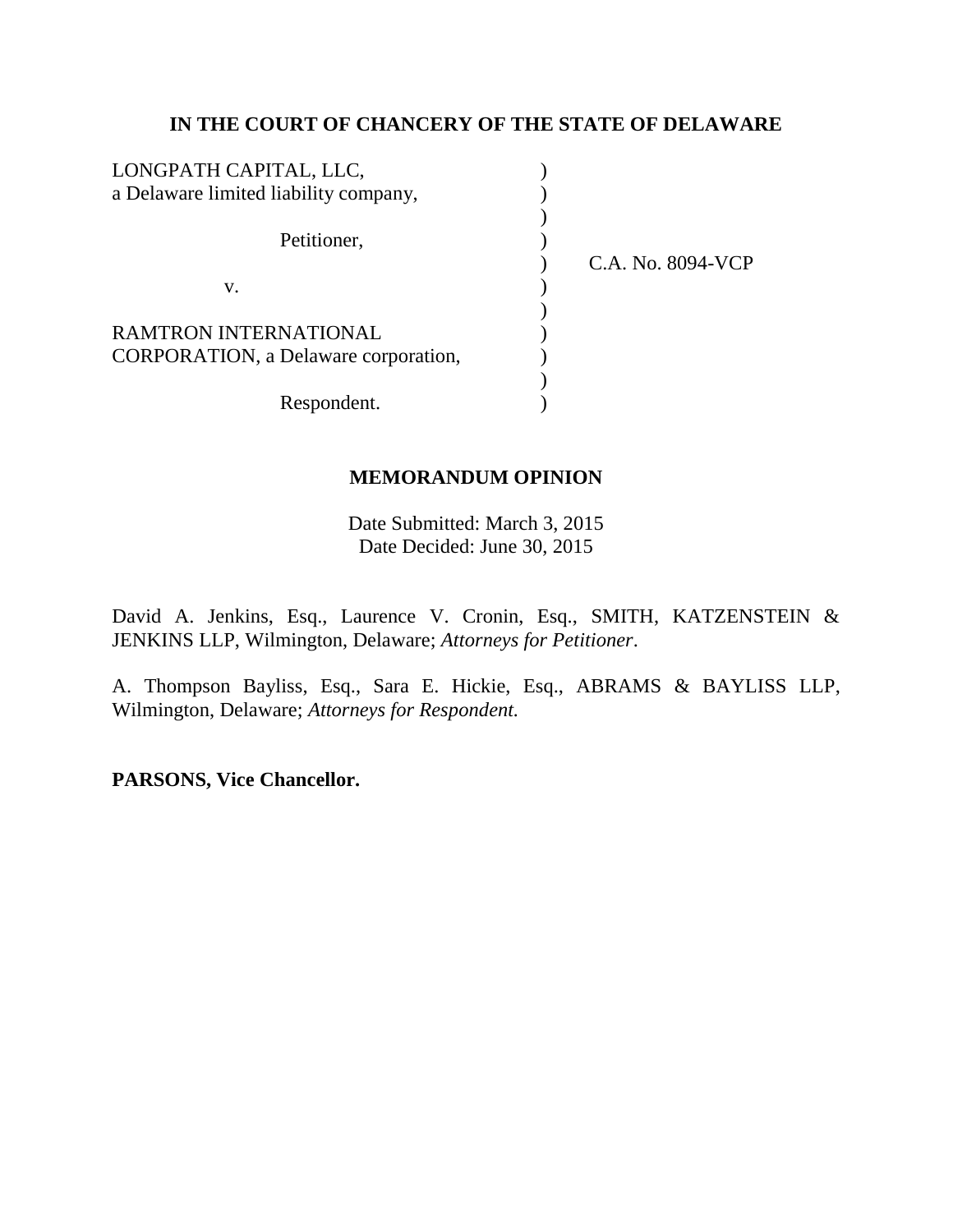# **IN THE COURT OF CHANCERY OF THE STATE OF DELAWARE**

| LONGPATH CAPITAL, LLC,                |                   |
|---------------------------------------|-------------------|
| a Delaware limited liability company, |                   |
|                                       |                   |
| Petitioner,                           |                   |
|                                       | C.A. No. 8094-VCP |
| v.                                    |                   |
|                                       |                   |
| <b>RAMTRON INTERNATIONAL</b>          |                   |
| CORPORATION, a Delaware corporation,  |                   |
|                                       |                   |
| Respondent.                           |                   |

# **MEMORANDUM OPINION**

Date Submitted: March 3, 2015 Date Decided: June 30, 2015

David A. Jenkins, Esq., Laurence V. Cronin, Esq., SMITH, KATZENSTEIN & JENKINS LLP, Wilmington, Delaware; *Attorneys for Petitioner*.

A. Thompson Bayliss, Esq., Sara E. Hickie, Esq., ABRAMS & BAYLISS LLP, Wilmington, Delaware; *Attorneys for Respondent.*

**PARSONS, Vice Chancellor.**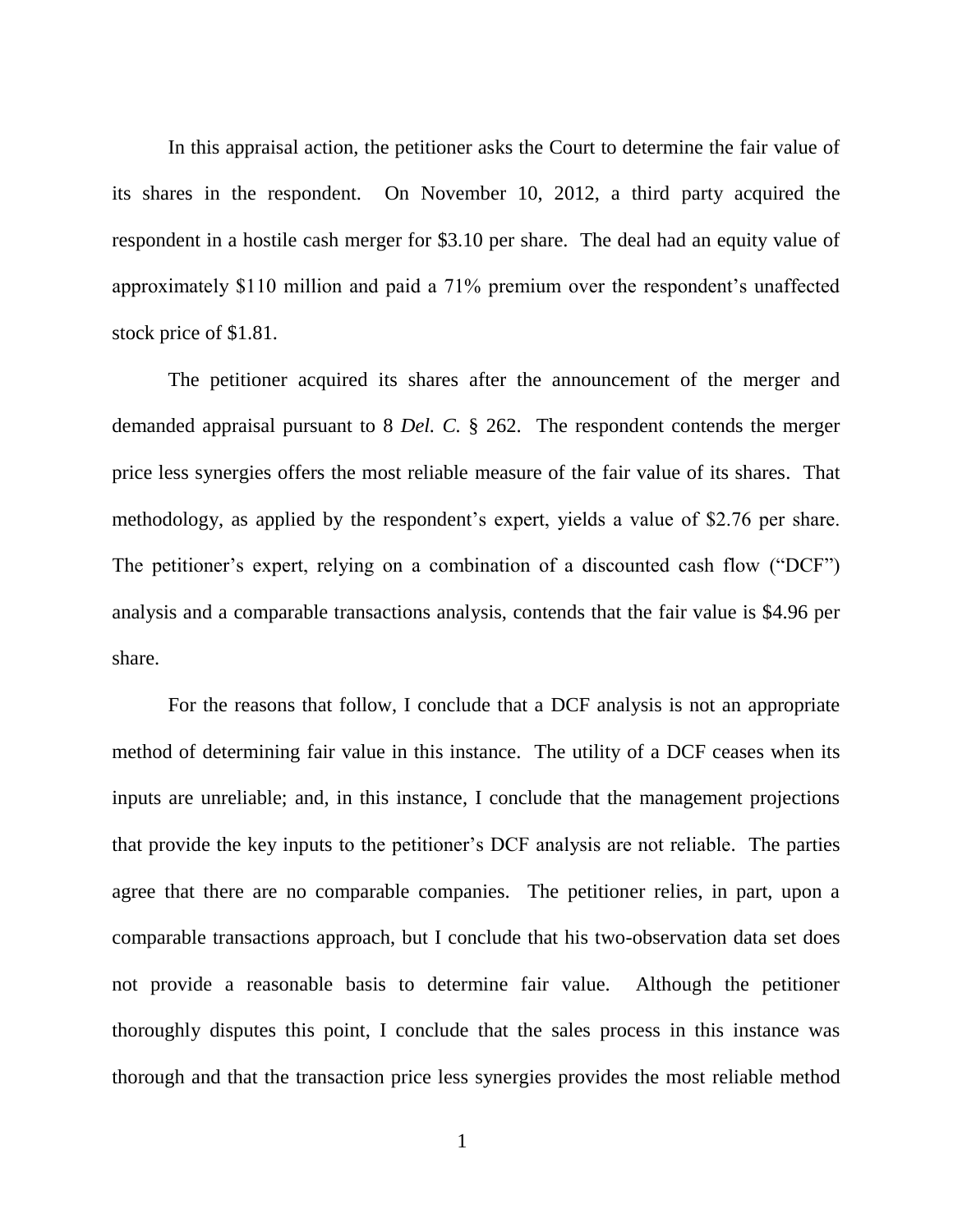In this appraisal action, the petitioner asks the Court to determine the fair value of its shares in the respondent. On November 10, 2012, a third party acquired the respondent in a hostile cash merger for \$3.10 per share. The deal had an equity value of approximately \$110 million and paid a 71% premium over the respondent's unaffected stock price of \$1.81.

The petitioner acquired its shares after the announcement of the merger and demanded appraisal pursuant to 8 *Del. C.* § 262. The respondent contends the merger price less synergies offers the most reliable measure of the fair value of its shares. That methodology, as applied by the respondent's expert, yields a value of \$2.76 per share. The petitioner's expert, relying on a combination of a discounted cash flow ("DCF") analysis and a comparable transactions analysis, contends that the fair value is \$4.96 per share.

For the reasons that follow, I conclude that a DCF analysis is not an appropriate method of determining fair value in this instance. The utility of a DCF ceases when its inputs are unreliable; and, in this instance, I conclude that the management projections that provide the key inputs to the petitioner's DCF analysis are not reliable. The parties agree that there are no comparable companies. The petitioner relies, in part, upon a comparable transactions approach, but I conclude that his two-observation data set does not provide a reasonable basis to determine fair value. Although the petitioner thoroughly disputes this point, I conclude that the sales process in this instance was thorough and that the transaction price less synergies provides the most reliable method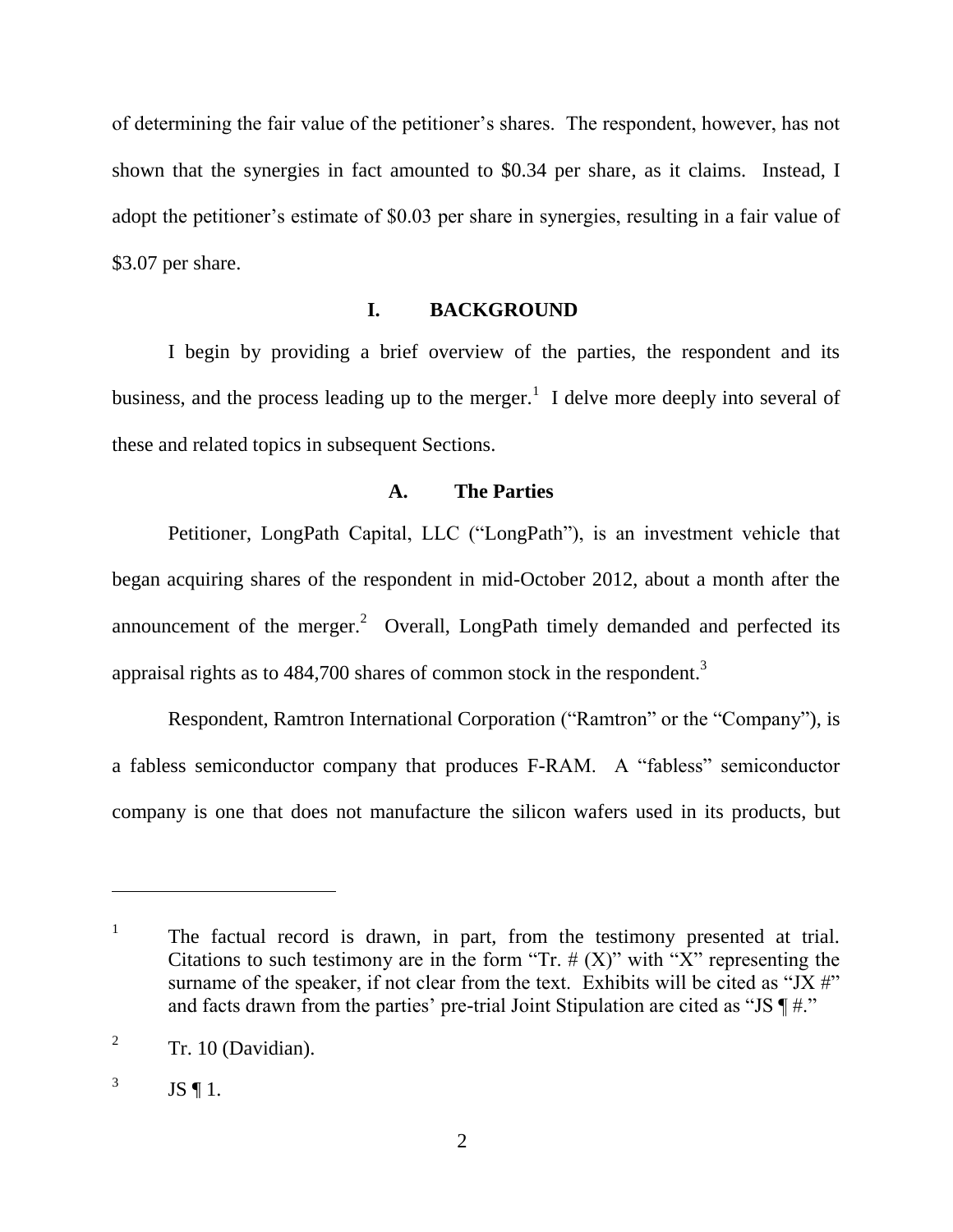of determining the fair value of the petitioner's shares. The respondent, however, has not shown that the synergies in fact amounted to \$0.34 per share, as it claims. Instead, I adopt the petitioner's estimate of \$0.03 per share in synergies, resulting in a fair value of \$3.07 per share.

### **I. BACKGROUND**

I begin by providing a brief overview of the parties, the respondent and its business, and the process leading up to the merger.<sup>1</sup> I delve more deeply into several of these and related topics in subsequent Sections.

## **A. The Parties**

Petitioner, LongPath Capital, LLC ("LongPath"), is an investment vehicle that began acquiring shares of the respondent in mid-October 2012, about a month after the announcement of the merger.<sup>2</sup> Overall, LongPath timely demanded and perfected its appraisal rights as to 484,700 shares of common stock in the respondent.<sup>3</sup>

Respondent, Ramtron International Corporation ("Ramtron" or the "Company"), is a fabless semiconductor company that produces F-RAM. A "fabless" semiconductor company is one that does not manufacture the silicon wafers used in its products, but

<sup>1</sup> The factual record is drawn, in part, from the testimony presented at trial. Citations to such testimony are in the form "Tr.  $# (X)$ " with "X" representing the surname of the speaker, if not clear from the text. Exhibits will be cited as "JX  $\#$ " and facts drawn from the parties' pre-trial Joint Stipulation are cited as "JS  $\P \#$ ."

<sup>2</sup> Tr. 10 (Davidian).

<sup>3</sup> JS ¶ 1.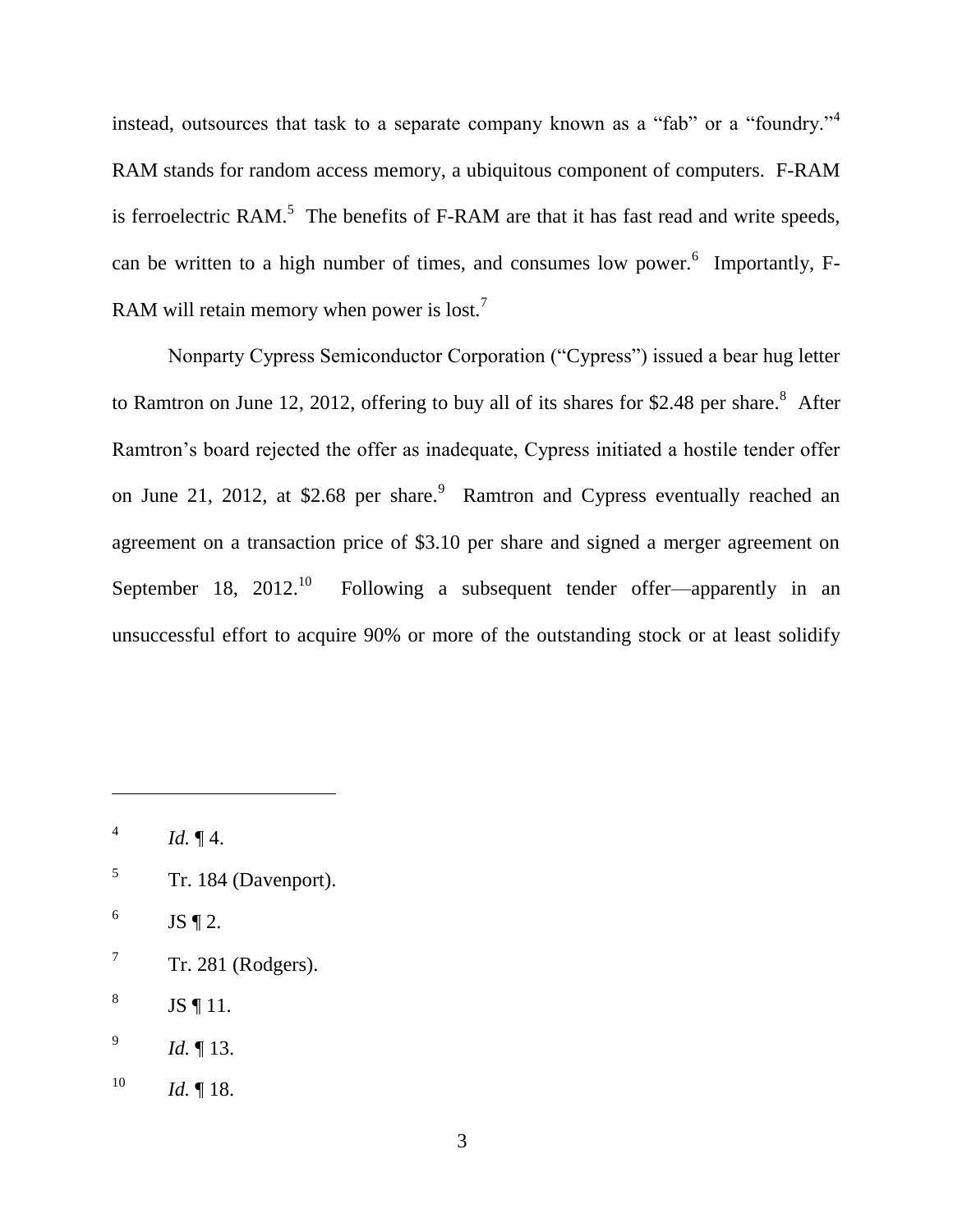instead, outsources that task to a separate company known as a "fab" or a "foundry."<sup>4</sup> RAM stands for random access memory, a ubiquitous component of computers. F-RAM is ferroelectric RAM.<sup>5</sup> The benefits of F-RAM are that it has fast read and write speeds, can be written to a high number of times, and consumes low power.<sup>6</sup> Importantly, F-RAM will retain memory when power is lost.<sup>7</sup>

Nonparty Cypress Semiconductor Corporation ("Cypress") issued a bear hug letter to Ramtron on June 12, 2012, offering to buy all of its shares for \$2.48 per share. $8$  After Ramtron's board rejected the offer as inadequate, Cypress initiated a hostile tender offer on June 21, 2012, at \$2.68 per share.<sup>9</sup> Ramtron and Cypress eventually reached an agreement on a transaction price of \$3.10 per share and signed a merger agreement on September 18, 2012.<sup>10</sup> Following a subsequent tender offer—apparently in an unsuccessful effort to acquire 90% or more of the outstanding stock or at least solidify

- 5 Tr. 184 (Davenport).
- 6 JS  $\P$  2.
- 7 Tr. 281 (Rodgers).
- 8 JS ¶ 11.
- 9 *Id.* ¶ 13.
- $10$  *Id.* 18.

<sup>4</sup> *Id.* ¶ 4.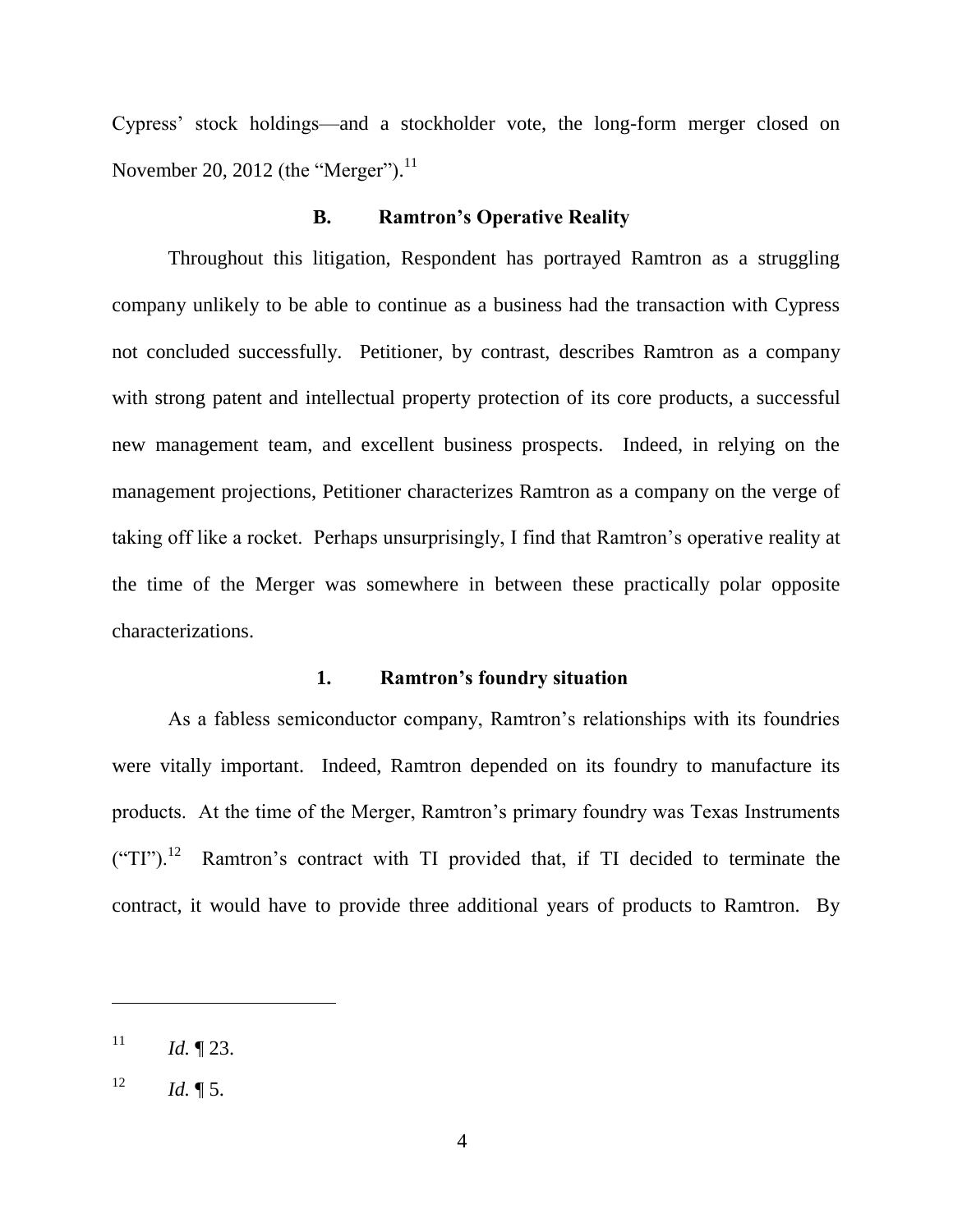Cypress' stock holdings—and a stockholder vote, the long-form merger closed on November 20, 2012 (the "Merger"). $^{11}$ 

#### **B. Ramtron's Operative Reality**

Throughout this litigation, Respondent has portrayed Ramtron as a struggling company unlikely to be able to continue as a business had the transaction with Cypress not concluded successfully. Petitioner, by contrast, describes Ramtron as a company with strong patent and intellectual property protection of its core products, a successful new management team, and excellent business prospects. Indeed, in relying on the management projections, Petitioner characterizes Ramtron as a company on the verge of taking off like a rocket. Perhaps unsurprisingly, I find that Ramtron's operative reality at the time of the Merger was somewhere in between these practically polar opposite characterizations.

### **1. Ramtron's foundry situation**

As a fabless semiconductor company, Ramtron's relationships with its foundries were vitally important. Indeed, Ramtron depended on its foundry to manufacture its products. At the time of the Merger, Ramtron's primary foundry was Texas Instruments  $("TI")$ .<sup>12</sup> Ramtron's contract with TI provided that, if TI decided to terminate the contract, it would have to provide three additional years of products to Ramtron. By

 $11$  *Id.* 123.

 $12$  *Id.*  $\sqrt{\phantom{a}}$  5.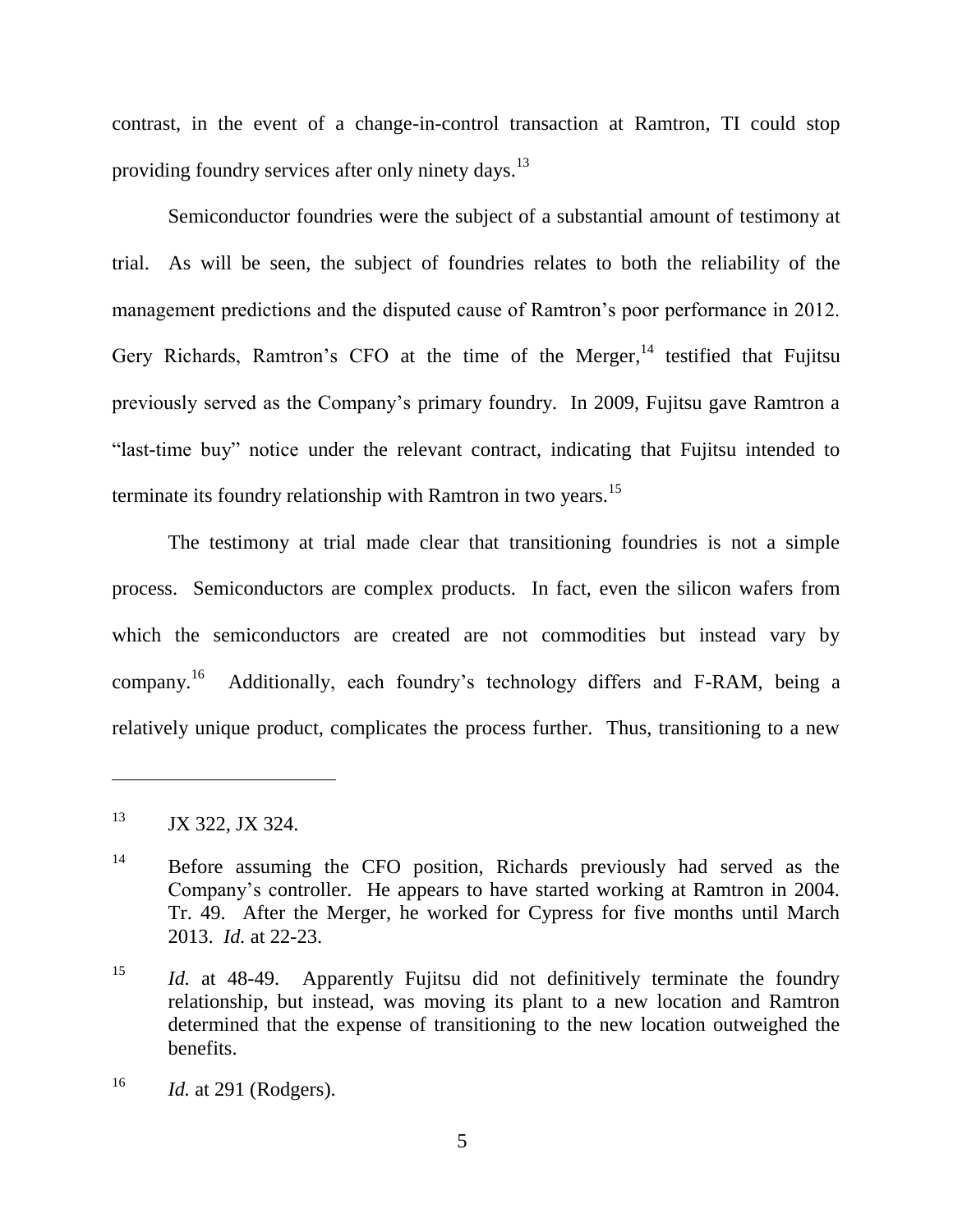contrast, in the event of a change-in-control transaction at Ramtron, TI could stop providing foundry services after only ninety days.<sup>13</sup>

Semiconductor foundries were the subject of a substantial amount of testimony at trial. As will be seen, the subject of foundries relates to both the reliability of the management predictions and the disputed cause of Ramtron's poor performance in 2012. Gery Richards, Ramtron's CFO at the time of the Merger,  $14$  testified that Fujitsu previously served as the Company's primary foundry. In 2009, Fujitsu gave Ramtron a "last-time buy" notice under the relevant contract, indicating that Fujitsu intended to terminate its foundry relationship with Ramtron in two years.<sup>15</sup>

The testimony at trial made clear that transitioning foundries is not a simple process. Semiconductors are complex products. In fact, even the silicon wafers from which the semiconductors are created are not commodities but instead vary by company.<sup>16</sup> Additionally, each foundry's technology differs and F-RAM, being a relatively unique product, complicates the process further. Thus, transitioning to a new

<sup>&</sup>lt;sup>13</sup> JX 322, JX 324.

<sup>&</sup>lt;sup>14</sup> Before assuming the CFO position, Richards previously had served as the Company's controller. He appears to have started working at Ramtron in 2004. Tr. 49. After the Merger, he worked for Cypress for five months until March 2013. *Id.* at 22-23.

<sup>&</sup>lt;sup>15</sup> *Id.* at 48-49. Apparently Fujitsu did not definitively terminate the foundry relationship, but instead, was moving its plant to a new location and Ramtron determined that the expense of transitioning to the new location outweighed the benefits.

<sup>16</sup> *Id.* at 291 (Rodgers).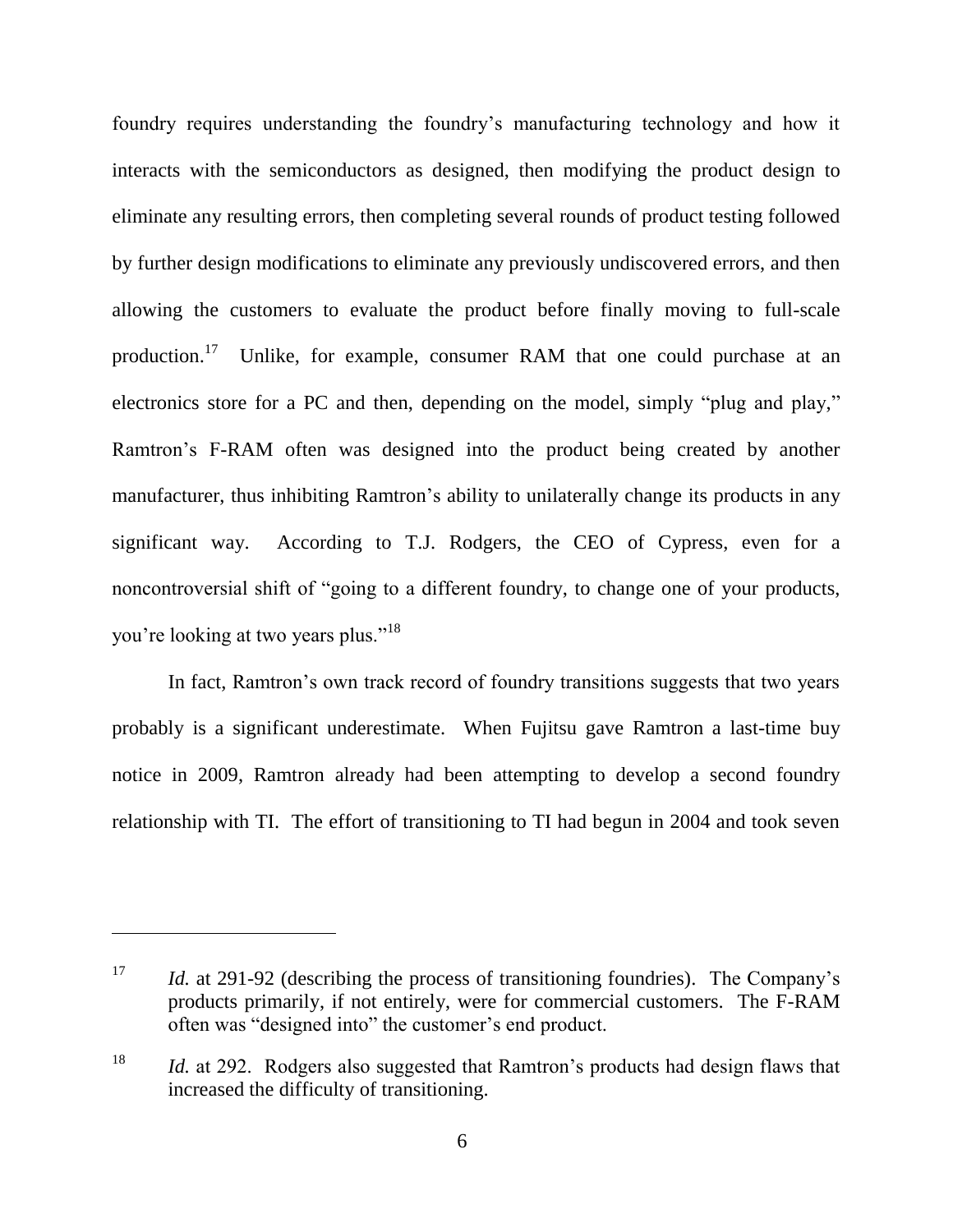foundry requires understanding the foundry's manufacturing technology and how it interacts with the semiconductors as designed, then modifying the product design to eliminate any resulting errors, then completing several rounds of product testing followed by further design modifications to eliminate any previously undiscovered errors, and then allowing the customers to evaluate the product before finally moving to full-scale production.<sup>17</sup> Unlike, for example, consumer RAM that one could purchase at an electronics store for a PC and then, depending on the model, simply "plug and play," Ramtron's F-RAM often was designed into the product being created by another manufacturer, thus inhibiting Ramtron's ability to unilaterally change its products in any significant way. According to T.J. Rodgers, the CEO of Cypress, even for a noncontroversial shift of "going to a different foundry, to change one of your products, you're looking at two years plus."<sup>18</sup>

In fact, Ramtron's own track record of foundry transitions suggests that two years probably is a significant underestimate. When Fujitsu gave Ramtron a last-time buy notice in 2009, Ramtron already had been attempting to develop a second foundry relationship with TI. The effort of transitioning to TI had begun in 2004 and took seven

<sup>&</sup>lt;sup>17</sup> *Id.* at 291-92 (describing the process of transitioning foundries). The Company's products primarily, if not entirely, were for commercial customers. The F-RAM often was "designed into" the customer's end product.

<sup>&</sup>lt;sup>18</sup> *Id.* at 292. Rodgers also suggested that Ramtron's products had design flaws that increased the difficulty of transitioning.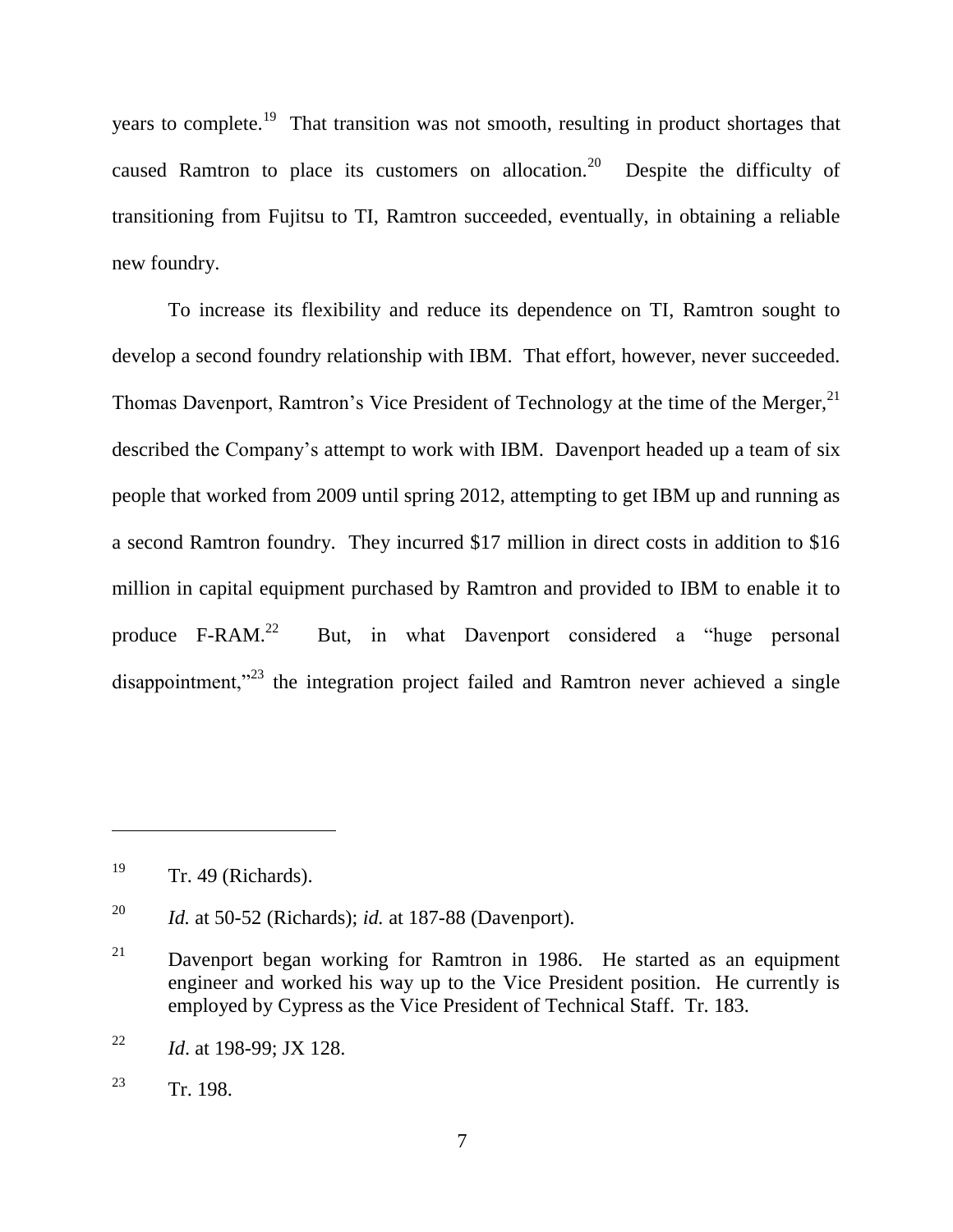years to complete.<sup>19</sup> That transition was not smooth, resulting in product shortages that caused Ramtron to place its customers on allocation.<sup>20</sup> Despite the difficulty of transitioning from Fujitsu to TI, Ramtron succeeded, eventually, in obtaining a reliable new foundry.

To increase its flexibility and reduce its dependence on TI, Ramtron sought to develop a second foundry relationship with IBM. That effort, however, never succeeded. Thomas Davenport, Ramtron's Vice President of Technology at the time of the Merger,  $2^1$ described the Company's attempt to work with IBM. Davenport headed up a team of six people that worked from 2009 until spring 2012, attempting to get IBM up and running as a second Ramtron foundry. They incurred \$17 million in direct costs in addition to \$16 million in capital equipment purchased by Ramtron and provided to IBM to enable it to produce  $F-RAM.<sup>22</sup>$ But, in what Davenport considered a "huge personal disappointment,"<sup>23</sup> the integration project failed and Ramtron never achieved a single

 $19$  Tr. 49 (Richards).

<sup>20</sup> *Id.* at 50-52 (Richards); *id.* at 187-88 (Davenport).

 $21$  Davenport began working for Ramtron in 1986. He started as an equipment engineer and worked his way up to the Vice President position. He currently is employed by Cypress as the Vice President of Technical Staff. Tr. 183.

<sup>22</sup> *Id*. at 198-99; JX 128.

<sup>&</sup>lt;sup>23</sup> Tr. 198.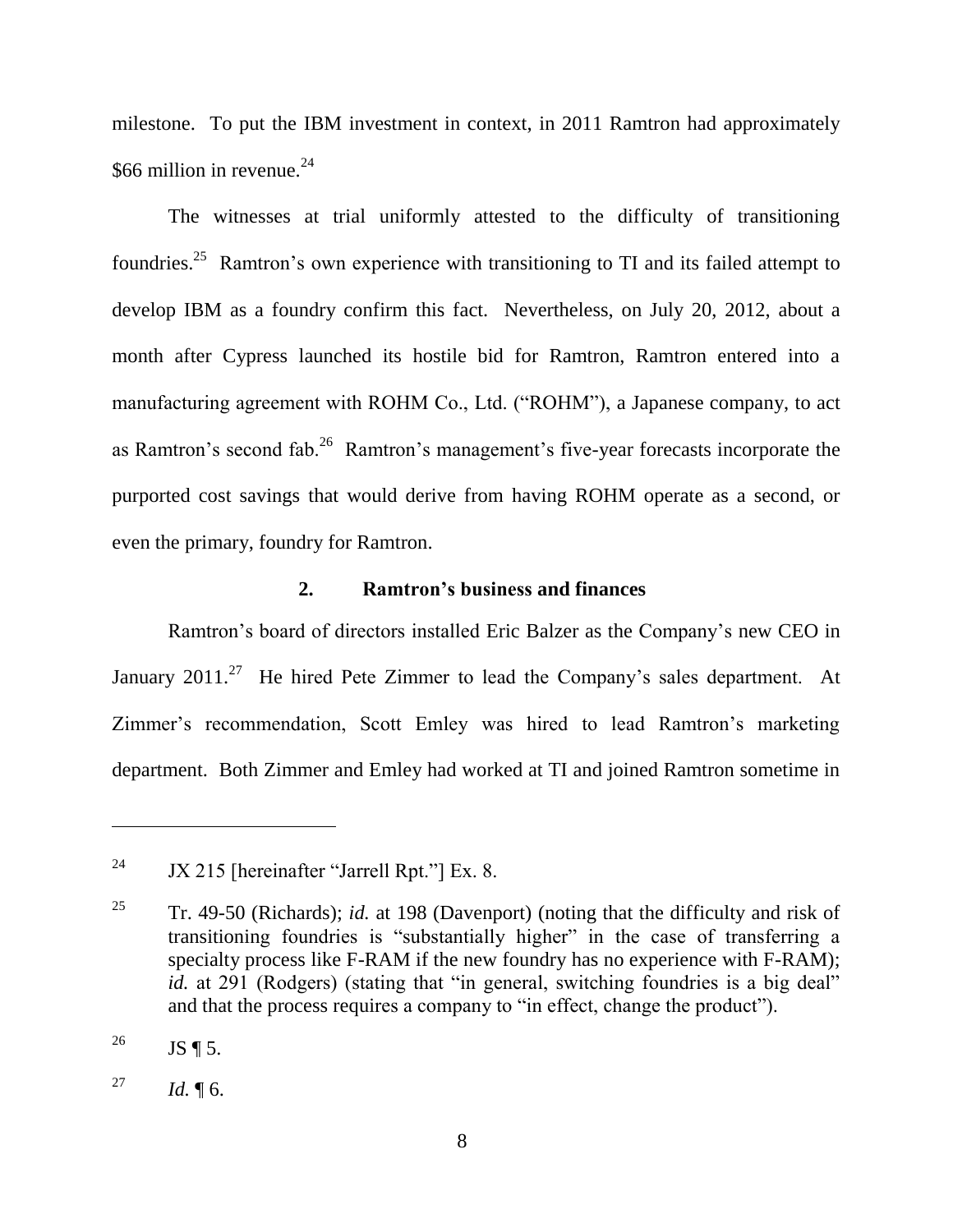milestone. To put the IBM investment in context, in 2011 Ramtron had approximately \$66 million in revenue. $24$ 

The witnesses at trial uniformly attested to the difficulty of transitioning foundries.<sup>25</sup> Ramtron's own experience with transitioning to TI and its failed attempt to develop IBM as a foundry confirm this fact. Nevertheless, on July 20, 2012, about a month after Cypress launched its hostile bid for Ramtron, Ramtron entered into a manufacturing agreement with ROHM Co., Ltd. ("ROHM"), a Japanese company, to act as Ramtron's second fab.<sup>26</sup> Ramtron's management's five-year forecasts incorporate the purported cost savings that would derive from having ROHM operate as a second, or even the primary, foundry for Ramtron.

#### **2. Ramtron's business and finances**

Ramtron's board of directors installed Eric Balzer as the Company's new CEO in January 2011.<sup>27</sup> He hired Pete Zimmer to lead the Company's sales department. At Zimmer's recommendation, Scott Emley was hired to lead Ramtron's marketing department. Both Zimmer and Emley had worked at TI and joined Ramtron sometime in

<sup>&</sup>lt;sup>24</sup> JX 215 [hereinafter "Jarrell Rpt."] Ex. 8.

<sup>25</sup> Tr. 49-50 (Richards); *id.* at 198 (Davenport) (noting that the difficulty and risk of transitioning foundries is "substantially higher" in the case of transferring a specialty process like F-RAM if the new foundry has no experience with F-RAM); *id.* at 291 (Rodgers) (stating that "in general, switching foundries is a big deal" and that the process requires a company to "in effect, change the product").

<sup>&</sup>lt;sup>26</sup> JS ¶ 5.

<sup>&</sup>lt;sup>27</sup> *Id.* ¶ 6.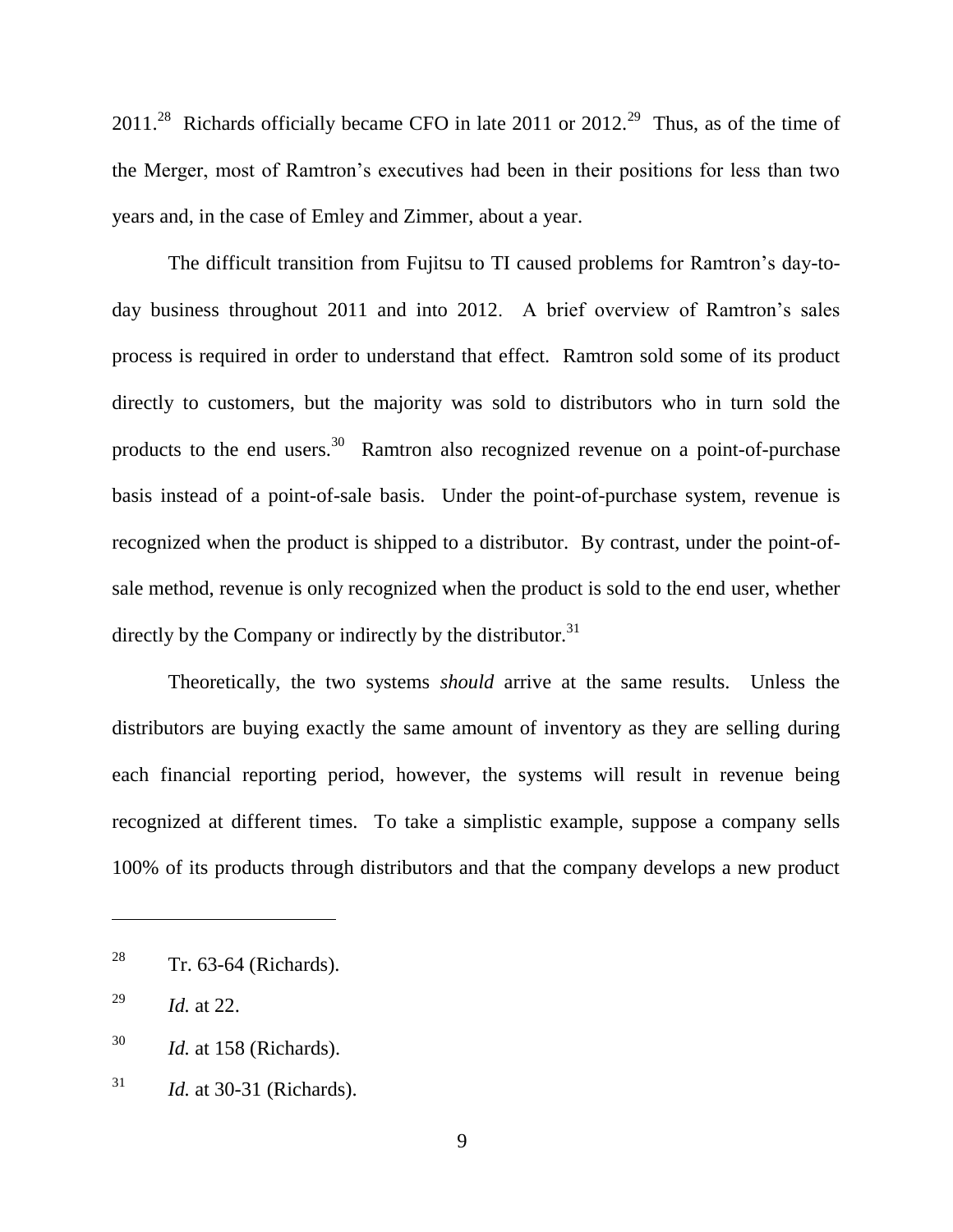2011.<sup>28</sup> Richards officially became CFO in late 2011 or 2012.<sup>29</sup> Thus, as of the time of the Merger, most of Ramtron's executives had been in their positions for less than two years and, in the case of Emley and Zimmer, about a year.

The difficult transition from Fujitsu to TI caused problems for Ramtron's day-today business throughout 2011 and into 2012. A brief overview of Ramtron's sales process is required in order to understand that effect. Ramtron sold some of its product directly to customers, but the majority was sold to distributors who in turn sold the products to the end users.<sup>30</sup> Ramtron also recognized revenue on a point-of-purchase basis instead of a point-of-sale basis. Under the point-of-purchase system, revenue is recognized when the product is shipped to a distributor. By contrast, under the point-ofsale method, revenue is only recognized when the product is sold to the end user, whether directly by the Company or indirectly by the distributor.<sup>31</sup>

Theoretically, the two systems *should* arrive at the same results. Unless the distributors are buying exactly the same amount of inventory as they are selling during each financial reporting period, however, the systems will result in revenue being recognized at different times. To take a simplistic example, suppose a company sells 100% of its products through distributors and that the company develops a new product

<sup>&</sup>lt;sup>28</sup> Tr. 63-64 (Richards).

<sup>29</sup> *Id.* at 22.

<sup>30</sup> *Id.* at 158 (Richards).

<sup>31</sup> *Id.* at 30-31 (Richards).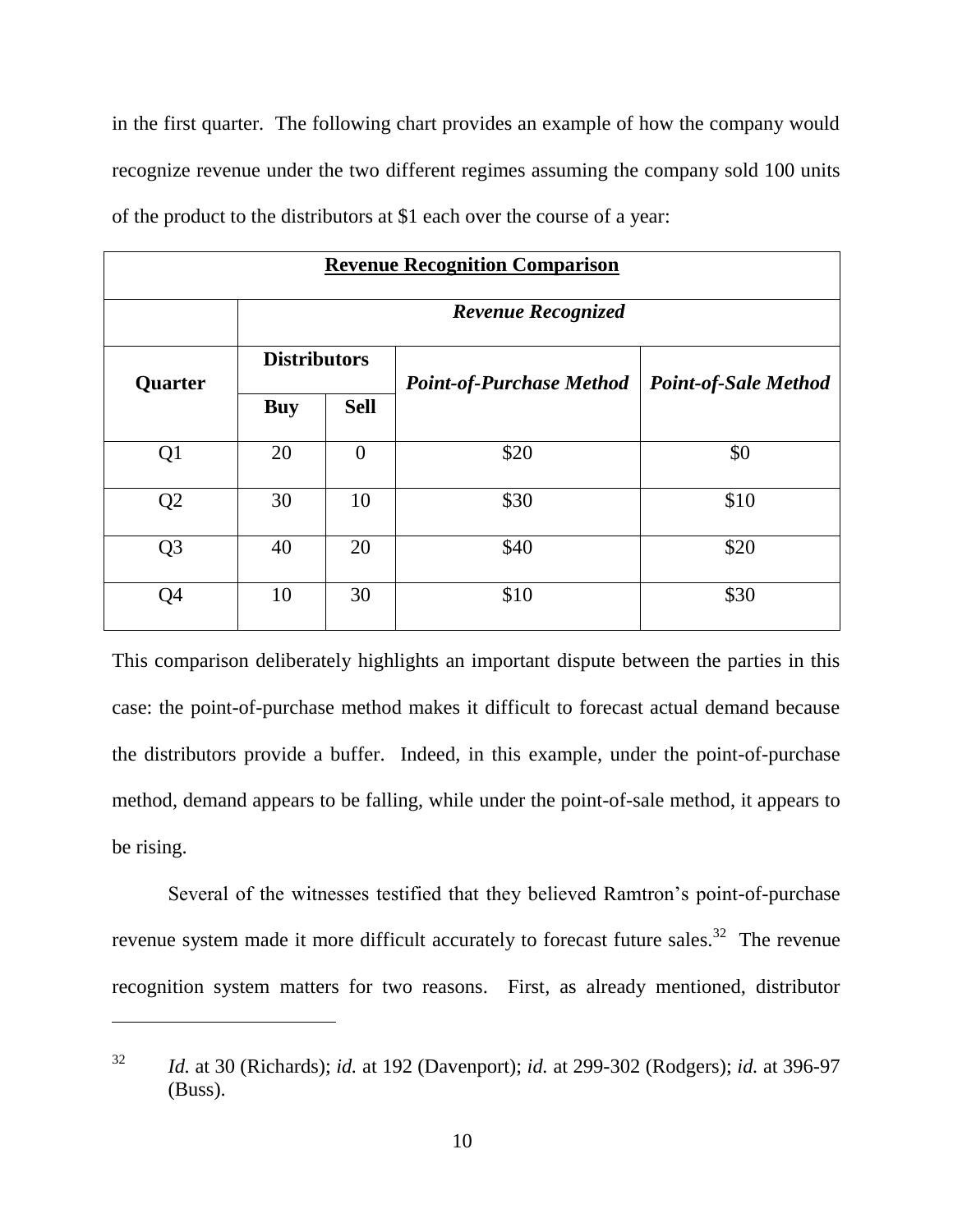in the first quarter. The following chart provides an example of how the company would recognize revenue under the two different regimes assuming the company sold 100 units of the product to the distributors at \$1 each over the course of a year:

| <b>Revenue Recognition Comparison</b> |                           |                |                                 |                             |  |  |  |  |  |
|---------------------------------------|---------------------------|----------------|---------------------------------|-----------------------------|--|--|--|--|--|
|                                       | <b>Revenue Recognized</b> |                |                                 |                             |  |  |  |  |  |
| Quarter                               | <b>Distributors</b>       |                | <b>Point-of-Purchase Method</b> | <b>Point-of-Sale Method</b> |  |  |  |  |  |
|                                       | <b>Buy</b>                | <b>Sell</b>    |                                 |                             |  |  |  |  |  |
| Q1                                    | 20                        | $\overline{0}$ | \$20                            | \$0                         |  |  |  |  |  |
| Q <sub>2</sub>                        | 30                        | 10             | \$30                            | \$10                        |  |  |  |  |  |
| Q <sub>3</sub>                        | 40                        | 20             | \$40                            | \$20                        |  |  |  |  |  |
| Q <sub>4</sub>                        | 10                        | 30             | \$10                            | \$30                        |  |  |  |  |  |

This comparison deliberately highlights an important dispute between the parties in this case: the point-of-purchase method makes it difficult to forecast actual demand because the distributors provide a buffer. Indeed, in this example, under the point-of-purchase method, demand appears to be falling, while under the point-of-sale method, it appears to be rising.

Several of the witnesses testified that they believed Ramtron's point-of-purchase revenue system made it more difficult accurately to forecast future sales.<sup>32</sup> The revenue recognition system matters for two reasons. First, as already mentioned, distributor

<sup>32</sup> *Id.* at 30 (Richards); *id.* at 192 (Davenport); *id.* at 299-302 (Rodgers); *id.* at 396-97 (Buss).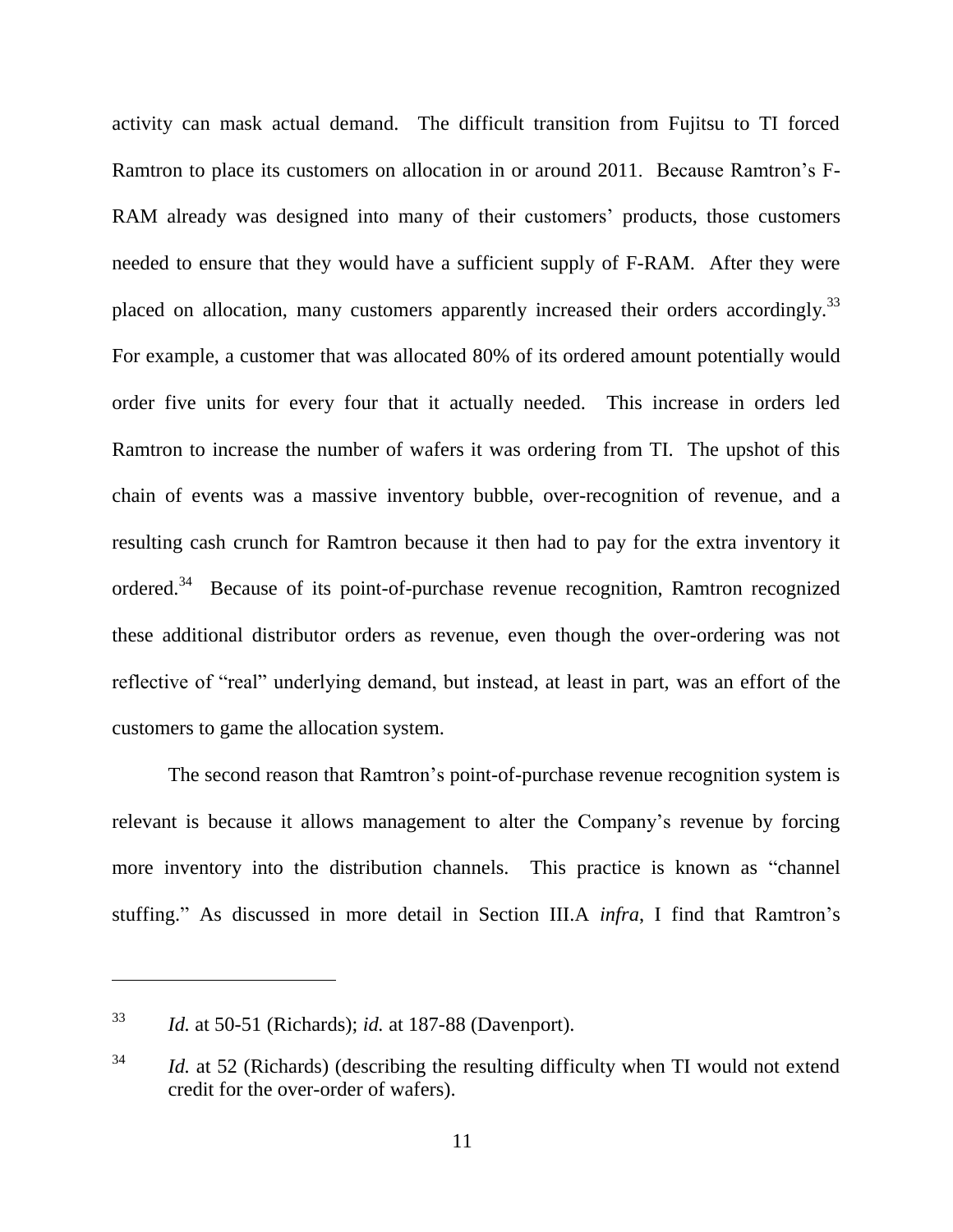activity can mask actual demand. The difficult transition from Fujitsu to TI forced Ramtron to place its customers on allocation in or around 2011. Because Ramtron's F-RAM already was designed into many of their customers' products, those customers needed to ensure that they would have a sufficient supply of F-RAM. After they were placed on allocation, many customers apparently increased their orders accordingly.<sup>33</sup> For example, a customer that was allocated 80% of its ordered amount potentially would order five units for every four that it actually needed. This increase in orders led Ramtron to increase the number of wafers it was ordering from TI. The upshot of this chain of events was a massive inventory bubble, over-recognition of revenue, and a resulting cash crunch for Ramtron because it then had to pay for the extra inventory it ordered.<sup>34</sup> Because of its point-of-purchase revenue recognition, Ramtron recognized these additional distributor orders as revenue, even though the over-ordering was not reflective of "real" underlying demand, but instead, at least in part, was an effort of the customers to game the allocation system.

The second reason that Ramtron's point-of-purchase revenue recognition system is relevant is because it allows management to alter the Company's revenue by forcing more inventory into the distribution channels. This practice is known as "channel" stuffing." As discussed in more detail in Section III.A *infra*, I find that Ramtron's

<sup>33</sup> *Id.* at 50-51 (Richards); *id.* at 187-88 (Davenport).

<sup>&</sup>lt;sup>34</sup> *Id.* at 52 (Richards) (describing the resulting difficulty when TI would not extend credit for the over-order of wafers).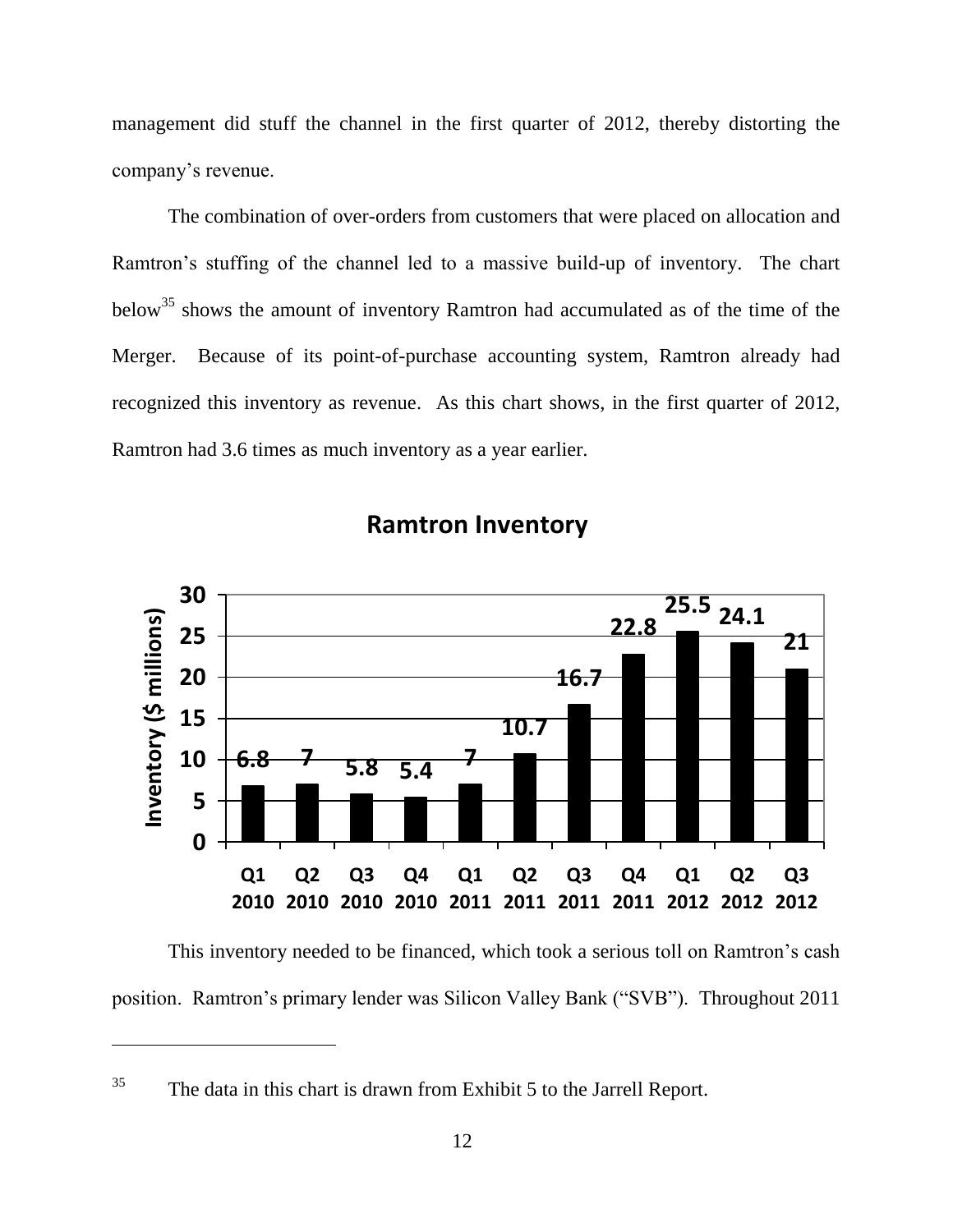management did stuff the channel in the first quarter of 2012, thereby distorting the company's revenue.

The combination of over-orders from customers that were placed on allocation and Ramtron's stuffing of the channel led to a massive build-up of inventory. The chart below<sup>35</sup> shows the amount of inventory Ramtron had accumulated as of the time of the Merger. Because of its point-of-purchase accounting system, Ramtron already had recognized this inventory as revenue. As this chart shows, in the first quarter of 2012, Ramtron had 3.6 times as much inventory as a year earlier.



# **Ramtron Inventory**

This inventory needed to be financed, which took a serious toll on Ramtron's cash position. Ramtron's primary lender was Silicon Valley Bank ("SVB"). Throughout 2011

 $35$  The data in this chart is drawn from Exhibit 5 to the Jarrell Report.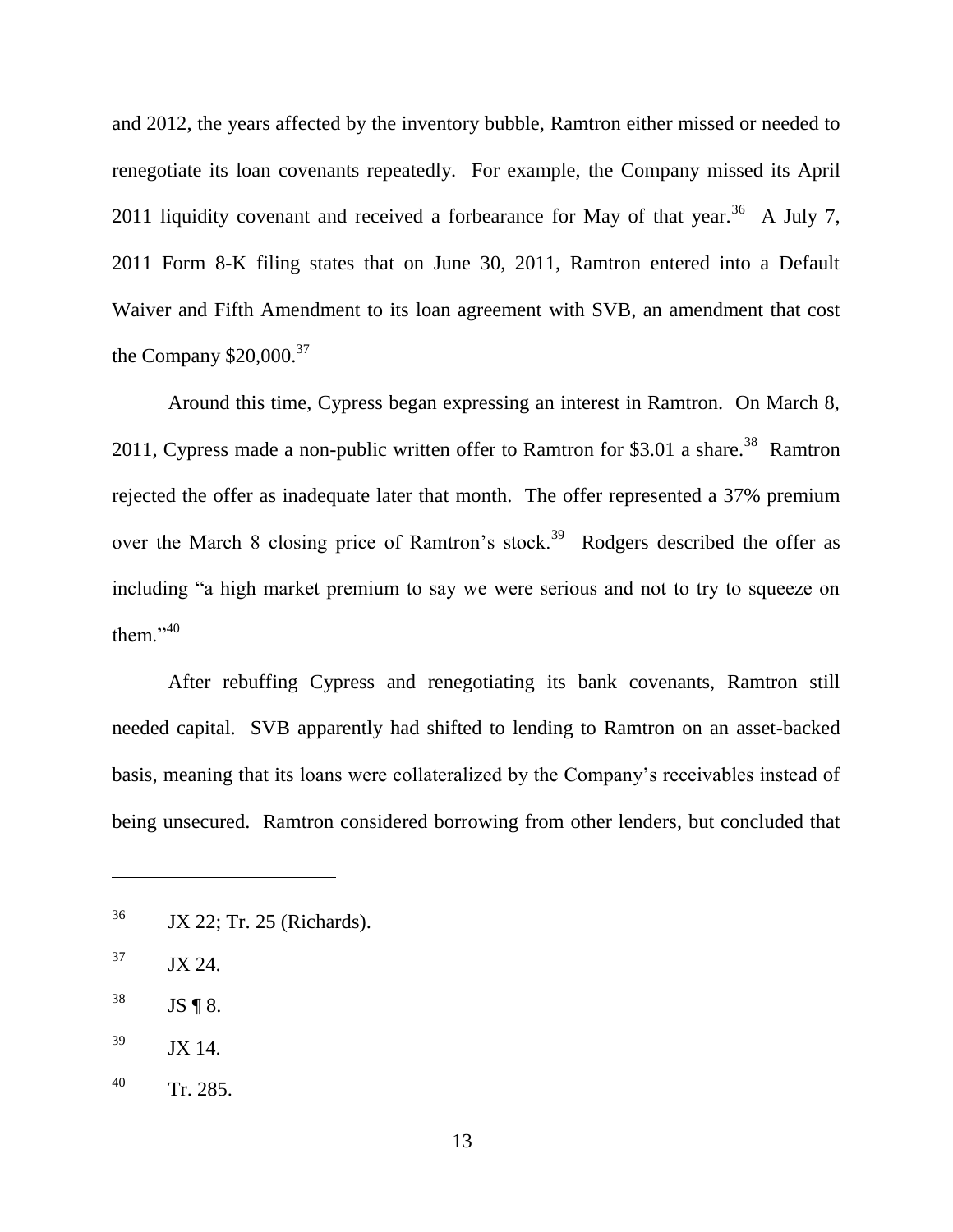and 2012, the years affected by the inventory bubble, Ramtron either missed or needed to renegotiate its loan covenants repeatedly. For example, the Company missed its April 2011 liquidity covenant and received a forbearance for May of that year.<sup>36</sup> A July 7, 2011 Form 8-K filing states that on June 30, 2011, Ramtron entered into a Default Waiver and Fifth Amendment to its loan agreement with SVB, an amendment that cost the Company  $$20,000.<sup>37</sup>$ 

Around this time, Cypress began expressing an interest in Ramtron. On March 8, 2011, Cypress made a non-public written offer to Ramtron for \$3.01 a share.<sup>38</sup> Ramtron rejected the offer as inadequate later that month. The offer represented a 37% premium over the March 8 closing price of Ramtron's stock.<sup>39</sup> Rodgers described the offer as including "a high market premium to say we were serious and not to try to squeeze on them." $40$ 

After rebuffing Cypress and renegotiating its bank covenants, Ramtron still needed capital. SVB apparently had shifted to lending to Ramtron on an asset-backed basis, meaning that its loans were collateralized by the Company's receivables instead of being unsecured. Ramtron considered borrowing from other lenders, but concluded that

<sup>36</sup> JX 22; Tr. 25 (Richards).

 $37$  JX 24.

 $38$  JS ¶ 8.

 $^{39}$  JX 14.

 $140$  Tr. 285.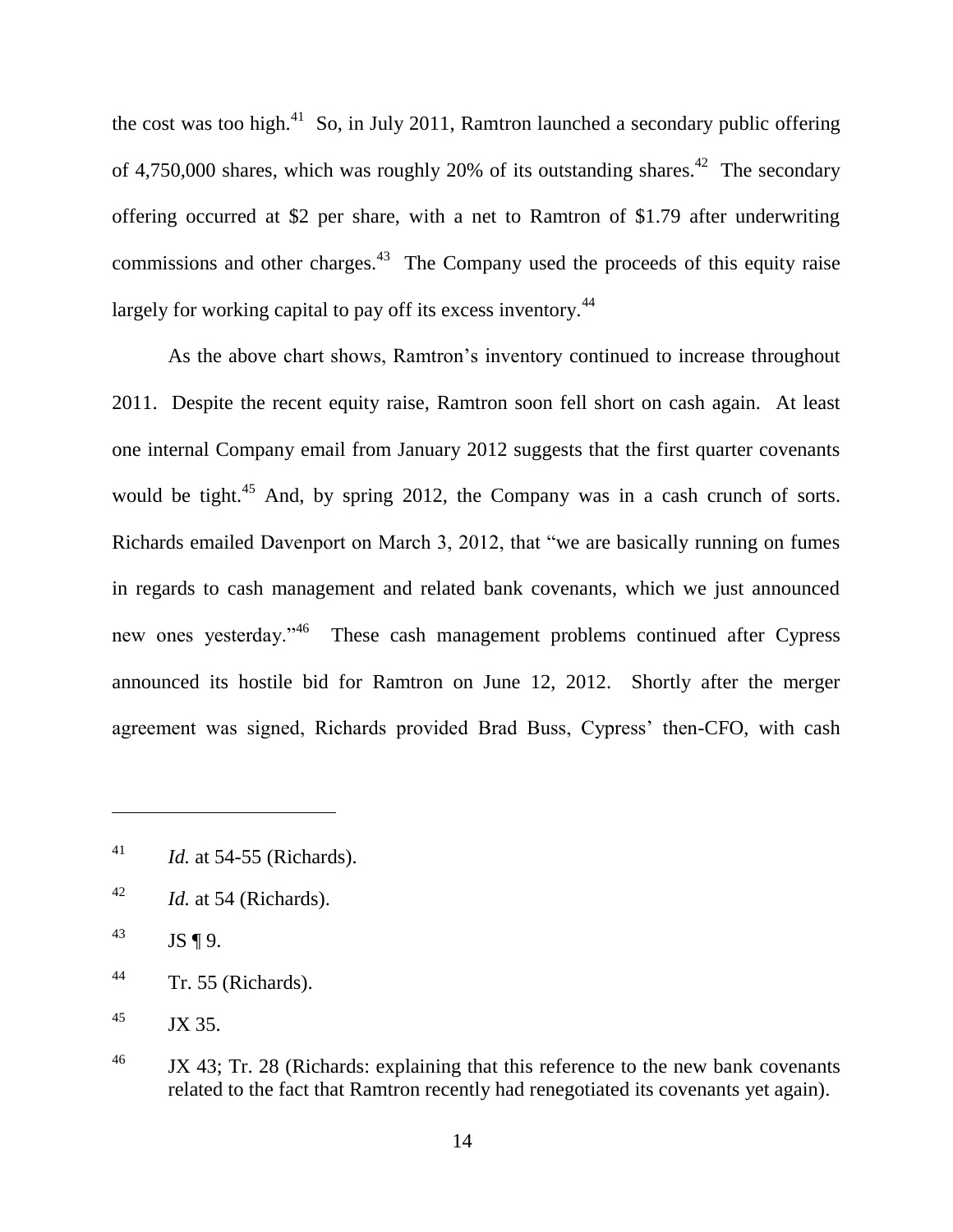the cost was too high.<sup>41</sup> So, in July 2011, Ramtron launched a secondary public offering of 4,750,000 shares, which was roughly 20% of its outstanding shares.<sup>42</sup> The secondary offering occurred at \$2 per share, with a net to Ramtron of \$1.79 after underwriting commissions and other charges. $43$  The Company used the proceeds of this equity raise largely for working capital to pay off its excess inventory.<sup>44</sup>

As the above chart shows, Ramtron's inventory continued to increase throughout 2011. Despite the recent equity raise, Ramtron soon fell short on cash again. At least one internal Company email from January 2012 suggests that the first quarter covenants would be tight.<sup>45</sup> And, by spring 2012, the Company was in a cash crunch of sorts. Richards emailed Davenport on March 3, 2012, that "we are basically running on fumes" in regards to cash management and related bank covenants, which we just announced new ones yesterday."<sup>46</sup> These cash management problems continued after Cypress announced its hostile bid for Ramtron on June 12, 2012. Shortly after the merger agreement was signed, Richards provided Brad Buss, Cypress' then-CFO, with cash

<sup>41</sup> *Id.* at 54-55 (Richards).

<sup>42</sup> *Id.* at 54 (Richards).

 $^{43}$  JS ¶ 9.

 $44$  Tr. 55 (Richards).

 $^{45}$  JX 35.

<sup>&</sup>lt;sup>46</sup> JX 43; Tr. 28 (Richards: explaining that this reference to the new bank covenants related to the fact that Ramtron recently had renegotiated its covenants yet again).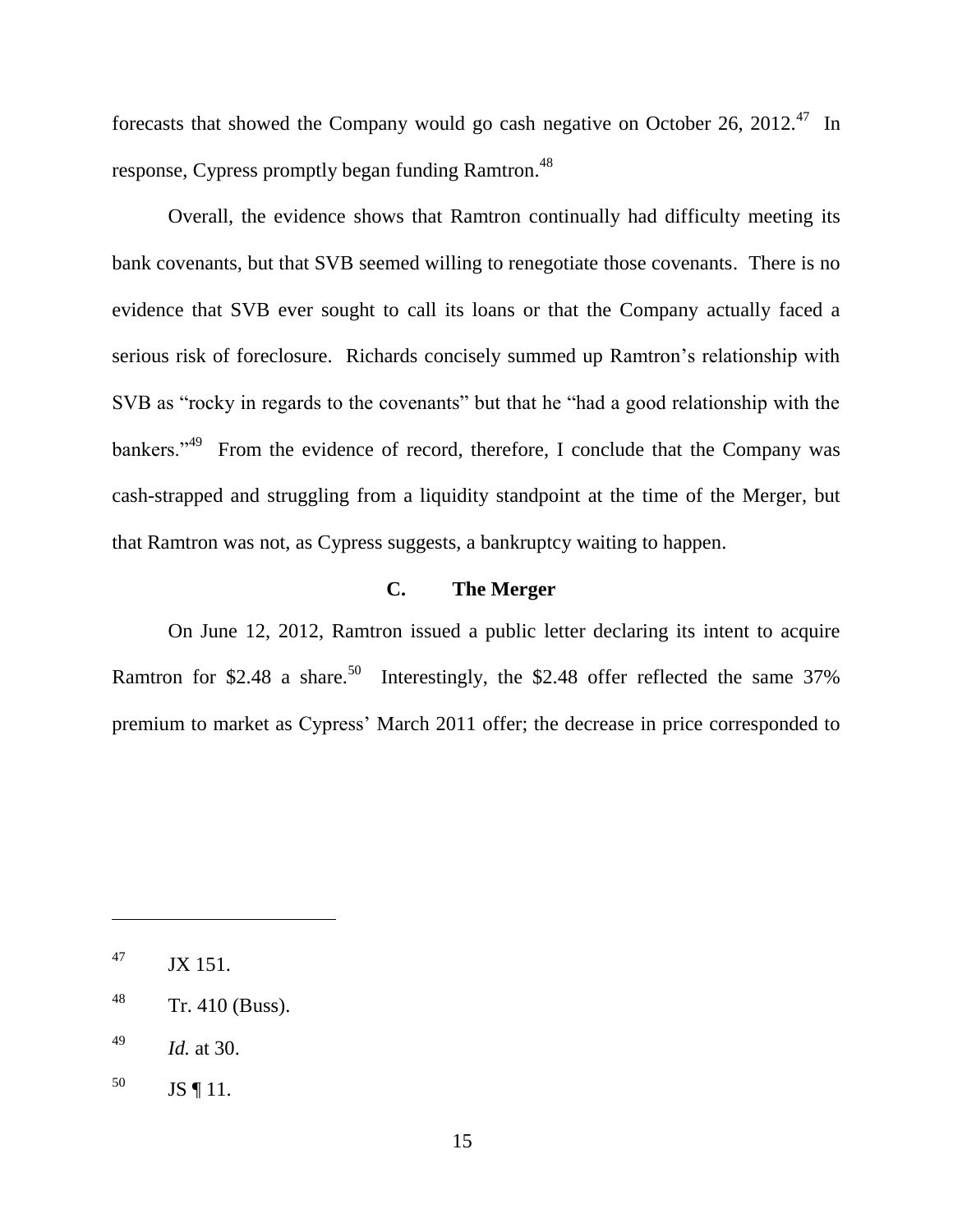forecasts that showed the Company would go cash negative on October 26, 2012.<sup>47</sup> In response, Cypress promptly began funding Ramtron.<sup>48</sup>

Overall, the evidence shows that Ramtron continually had difficulty meeting its bank covenants, but that SVB seemed willing to renegotiate those covenants. There is no evidence that SVB ever sought to call its loans or that the Company actually faced a serious risk of foreclosure. Richards concisely summed up Ramtron's relationship with SVB as "rocky in regards to the covenants" but that he "had a good relationship with the bankers."<sup>49</sup> From the evidence of record, therefore, I conclude that the Company was cash-strapped and struggling from a liquidity standpoint at the time of the Merger, but that Ramtron was not, as Cypress suggests, a bankruptcy waiting to happen.

# **C. The Merger**

On June 12, 2012, Ramtron issued a public letter declaring its intent to acquire Ramtron for \$2.48 a share.<sup>50</sup> Interestingly, the \$2.48 offer reflected the same 37% premium to market as Cypress' March 2011 offer; the decrease in price corresponded to

 $^{47}$  JX 151.

 $48$  Tr. 410 (Buss).

<sup>49</sup> *Id.* at 30.

 $^{50}$  JS ¶ 11.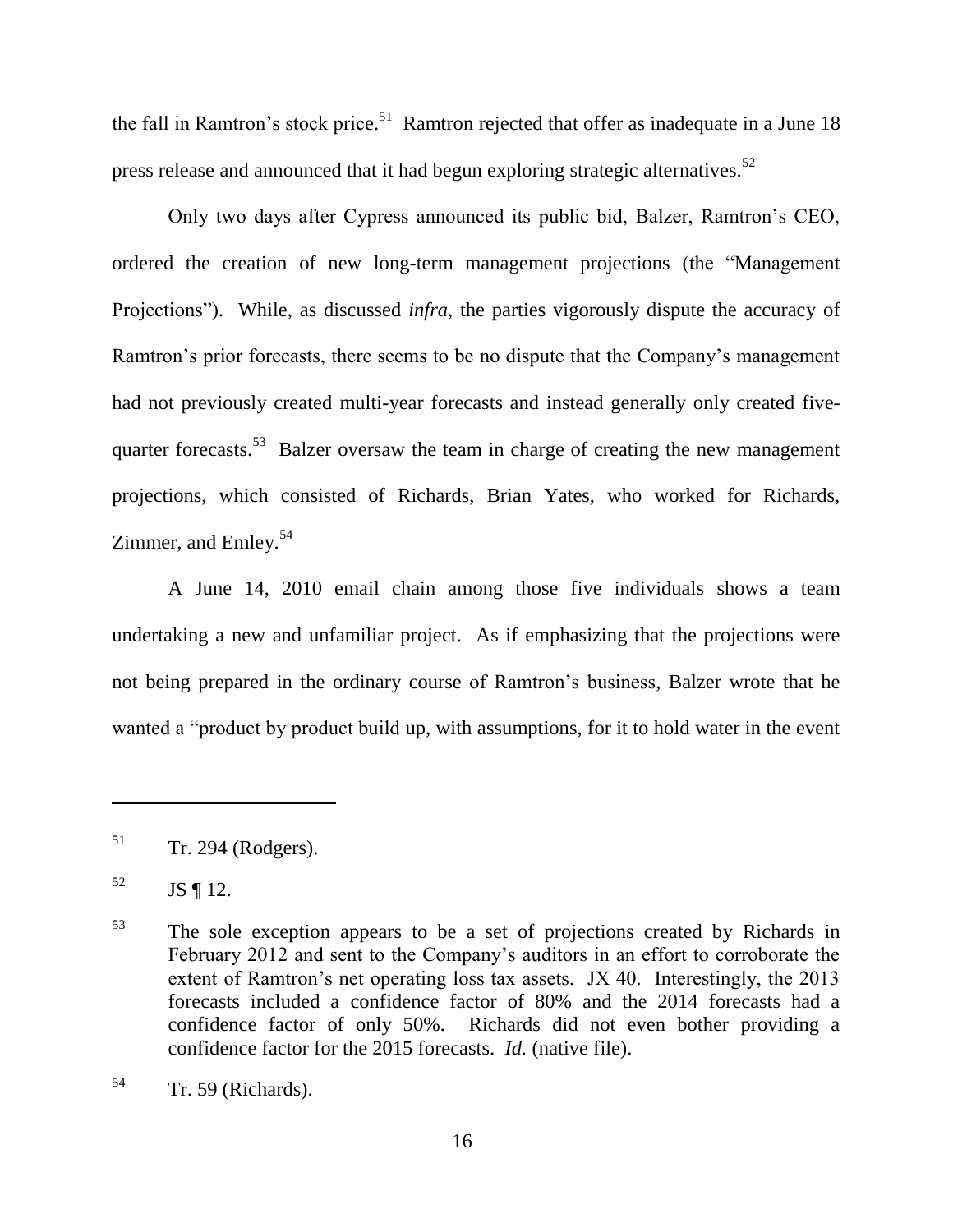the fall in Ramtron's stock price.<sup>51</sup> Ramtron rejected that offer as inadequate in a June 18 press release and announced that it had begun exploring strategic alternatives.<sup>52</sup>

Only two days after Cypress announced its public bid, Balzer, Ramtron's CEO, ordered the creation of new long-term management projections (the "Management" Projections"). While, as discussed *infra*, the parties vigorously dispute the accuracy of Ramtron's prior forecasts, there seems to be no dispute that the Company's management had not previously created multi-year forecasts and instead generally only created fivequarter forecasts.<sup>53</sup> Balzer oversaw the team in charge of creating the new management projections, which consisted of Richards, Brian Yates, who worked for Richards, Zimmer, and Emley.<sup>54</sup>

A June 14, 2010 email chain among those five individuals shows a team undertaking a new and unfamiliar project. As if emphasizing that the projections were not being prepared in the ordinary course of Ramtron's business, Balzer wrote that he wanted a "product by product build up, with assumptions, for it to hold water in the event

 $51$  Tr. 294 (Rodgers).

 $^{52}$  JS ¶ 12.

<sup>53</sup> The sole exception appears to be a set of projections created by Richards in February 2012 and sent to the Company's auditors in an effort to corroborate the extent of Ramtron's net operating loss tax assets. JX 40. Interestingly, the 2013 forecasts included a confidence factor of 80% and the 2014 forecasts had a confidence factor of only 50%. Richards did not even bother providing a confidence factor for the 2015 forecasts. *Id.* (native file).

 $54$  Tr. 59 (Richards).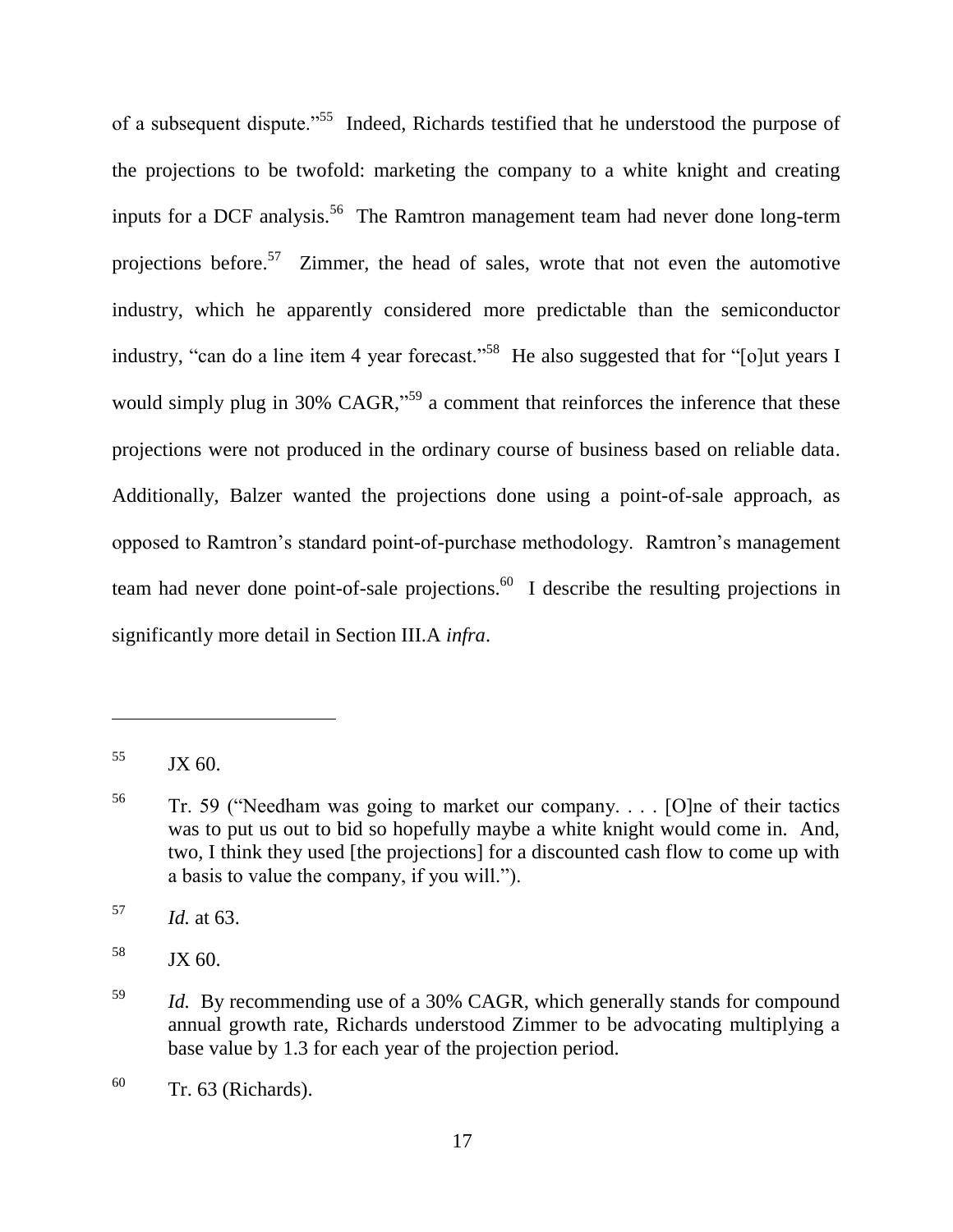of a subsequent dispute."<sup>55</sup> Indeed, Richards testified that he understood the purpose of the projections to be twofold: marketing the company to a white knight and creating inputs for a DCF analysis.<sup>56</sup> The Ramtron management team had never done long-term projections before.<sup>57</sup> Zimmer, the head of sales, wrote that not even the automotive industry, which he apparently considered more predictable than the semiconductor industry, "can do a line item 4 year forecast."<sup>58</sup> He also suggested that for "[o]ut years I would simply plug in 30% CAGR,<sup> $59$ </sup> a comment that reinforces the inference that these projections were not produced in the ordinary course of business based on reliable data. Additionally, Balzer wanted the projections done using a point-of-sale approach, as opposed to Ramtron's standard point-of-purchase methodology. Ramtron's management team had never done point-of-sale projections.  $60$  I describe the resulting projections in significantly more detail in Section III.A *infra*.

 $55$  JX 60.

 $56$  Tr. 59 ("Needham was going to market our company. . . . [O]ne of their tactics was to put us out to bid so hopefully maybe a white knight would come in. And, two, I think they used [the projections] for a discounted cash flow to come up with a basis to value the company, if you will.").

<sup>57</sup> *Id.* at 63.

 $58$  JX 60.

<sup>59</sup> *Id.* By recommending use of a 30% CAGR, which generally stands for compound annual growth rate, Richards understood Zimmer to be advocating multiplying a base value by 1.3 for each year of the projection period.

 $60$  Tr. 63 (Richards).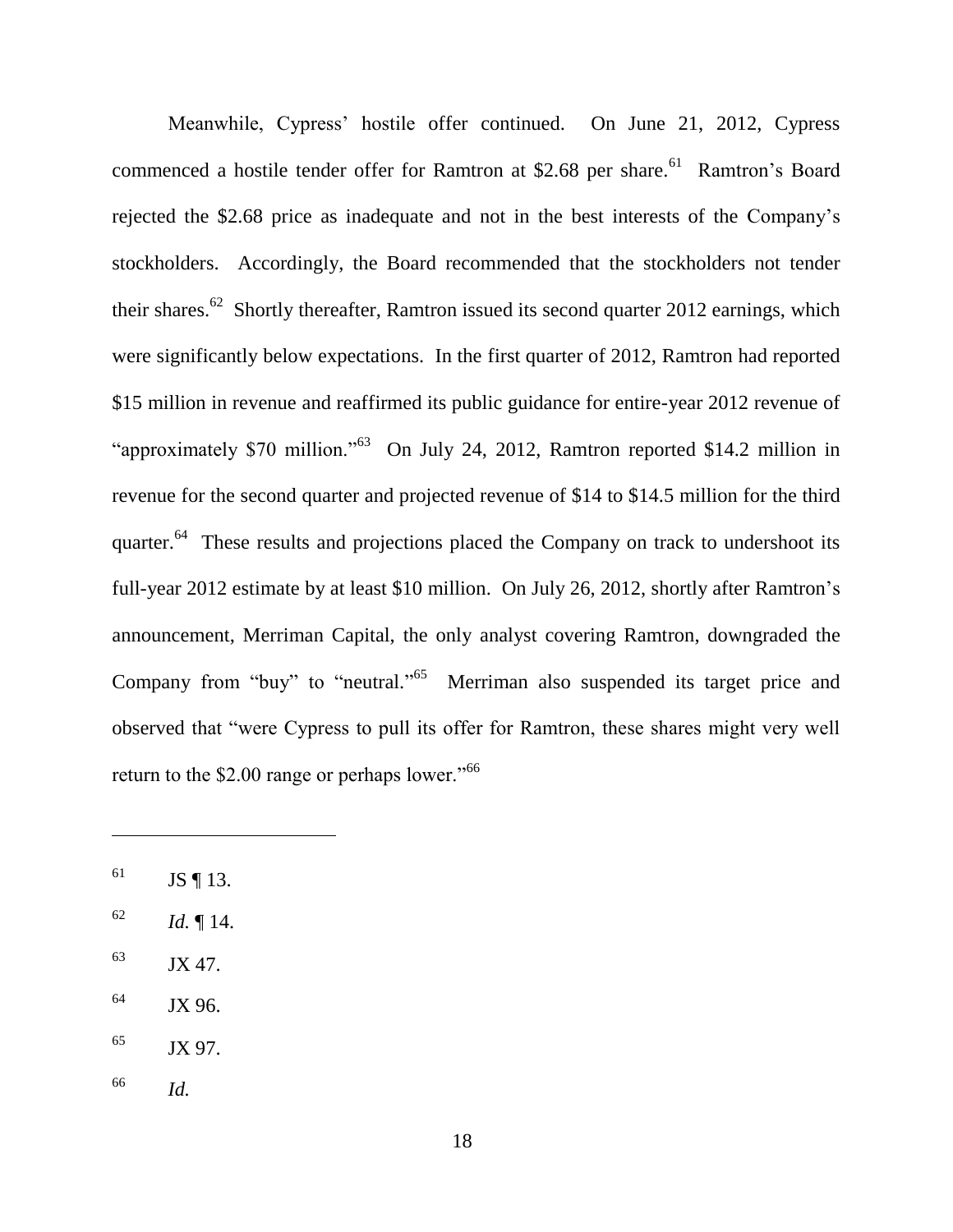Meanwhile, Cypress' hostile offer continued. On June 21, 2012, Cypress commenced a hostile tender offer for Ramtron at \$2.68 per share.<sup>61</sup> Ramtron's Board rejected the \$2.68 price as inadequate and not in the best interests of the Company's stockholders. Accordingly, the Board recommended that the stockholders not tender their shares.<sup>62</sup> Shortly thereafter, Ramtron issued its second quarter 2012 earnings, which were significantly below expectations. In the first quarter of 2012, Ramtron had reported \$15 million in revenue and reaffirmed its public guidance for entire-year 2012 revenue of "approximately \$70 million."<sup>63</sup> On July 24, 2012, Ramtron reported \$14.2 million in revenue for the second quarter and projected revenue of \$14 to \$14.5 million for the third quarter.<sup>64</sup> These results and projections placed the Company on track to undershoot its full-year 2012 estimate by at least \$10 million. On July 26, 2012, shortly after Ramtron's announcement, Merriman Capital, the only analyst covering Ramtron, downgraded the Company from "buy" to "neutral."<sup>65</sup> Merriman also suspended its target price and observed that "were Cypress to pull its offer for Ramtron, these shares might very well return to the  $$2.00$  range or perhaps lower.<sup> $,66$ </sup>

- $^{62}$  *Id.* 14.
- $^{63}$  JX 47.
- <sup>64</sup> JX 96.
- $^{65}$  JX 97.
- <sup>66</sup> *Id.*

 $^{61}$  JS ¶ 13.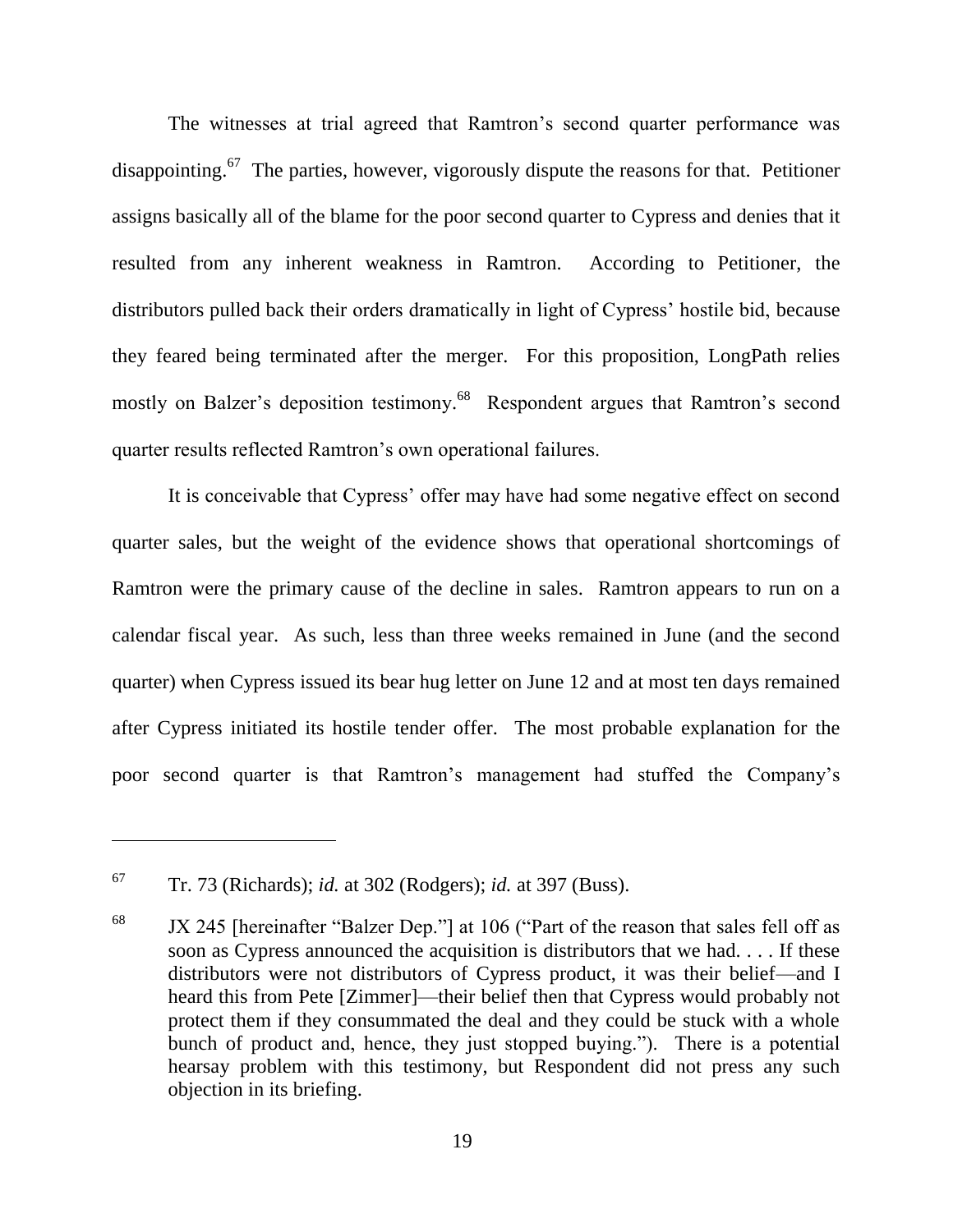The witnesses at trial agreed that Ramtron's second quarter performance was disappointing.<sup>67</sup> The parties, however, vigorously dispute the reasons for that. Petitioner assigns basically all of the blame for the poor second quarter to Cypress and denies that it resulted from any inherent weakness in Ramtron. According to Petitioner, the distributors pulled back their orders dramatically in light of Cypress' hostile bid, because they feared being terminated after the merger. For this proposition, LongPath relies mostly on Balzer's deposition testimony.<sup>68</sup> Respondent argues that Ramtron's second quarter results reflected Ramtron's own operational failures.

It is conceivable that Cypress' offer may have had some negative effect on second quarter sales, but the weight of the evidence shows that operational shortcomings of Ramtron were the primary cause of the decline in sales. Ramtron appears to run on a calendar fiscal year. As such, less than three weeks remained in June (and the second quarter) when Cypress issued its bear hug letter on June 12 and at most ten days remained after Cypress initiated its hostile tender offer. The most probable explanation for the poor second quarter is that Ramtron's management had stuffed the Company's

<sup>67</sup> Tr. 73 (Richards); *id.* at 302 (Rodgers); *id.* at 397 (Buss).

 $68$  JX 245 [hereinafter "Balzer Dep."] at 106 ("Part of the reason that sales fell off as soon as Cypress announced the acquisition is distributors that we had. . . . If these distributors were not distributors of Cypress product, it was their belief—and I heard this from Pete [Zimmer]—their belief then that Cypress would probably not protect them if they consummated the deal and they could be stuck with a whole bunch of product and, hence, they just stopped buying."). There is a potential hearsay problem with this testimony, but Respondent did not press any such objection in its briefing.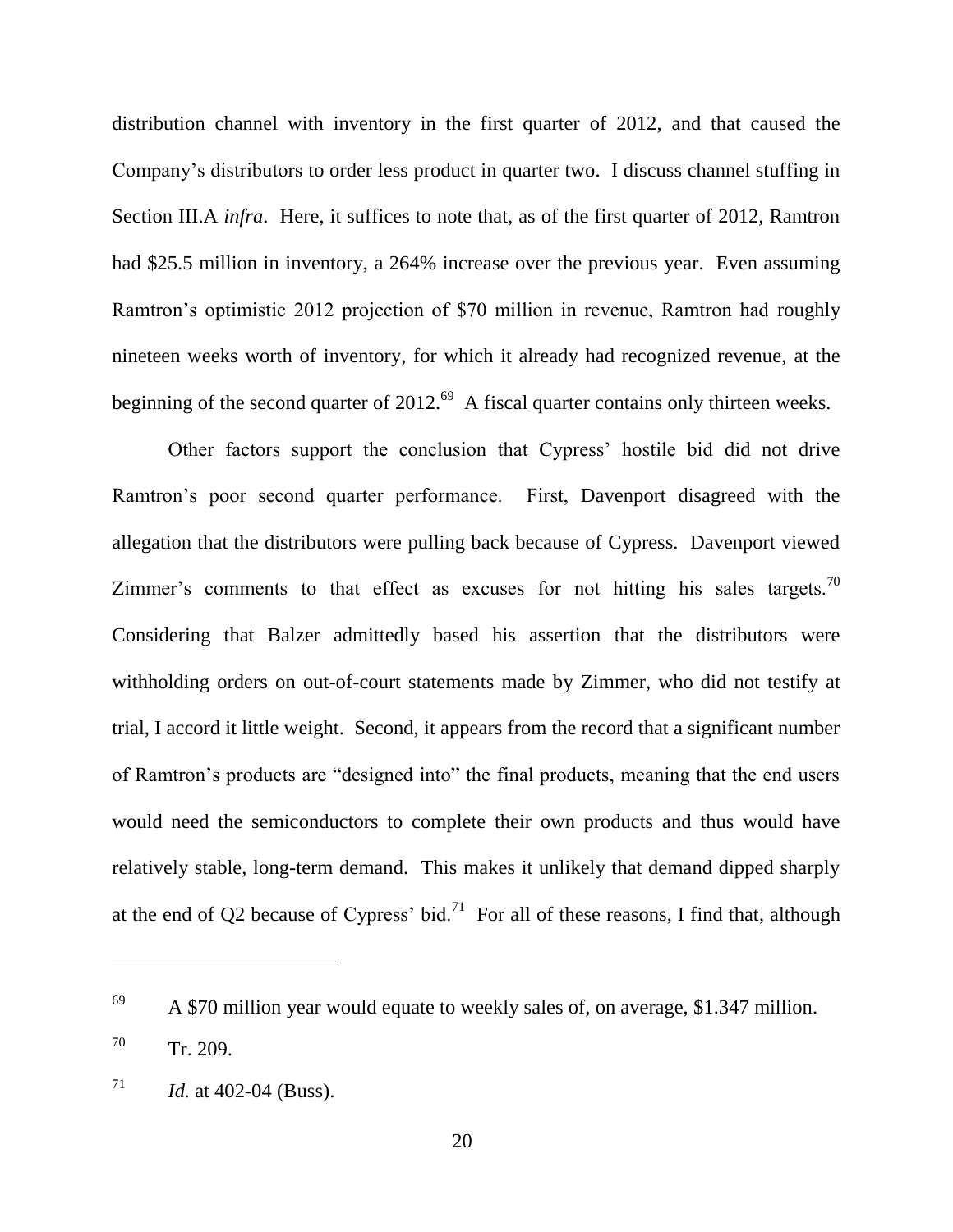distribution channel with inventory in the first quarter of 2012, and that caused the Company's distributors to order less product in quarter two. I discuss channel stuffing in Section III.A *infra*. Here, it suffices to note that, as of the first quarter of 2012, Ramtron had \$25.5 million in inventory, a 264% increase over the previous year. Even assuming Ramtron's optimistic 2012 projection of \$70 million in revenue, Ramtron had roughly nineteen weeks worth of inventory, for which it already had recognized revenue, at the beginning of the second quarter of  $2012.^{69}$  A fiscal quarter contains only thirteen weeks.

Other factors support the conclusion that Cypress' hostile bid did not drive Ramtron's poor second quarter performance. First, Davenport disagreed with the allegation that the distributors were pulling back because of Cypress. Davenport viewed Zimmer's comments to that effect as excuses for not hitting his sales targets.<sup>70</sup> Considering that Balzer admittedly based his assertion that the distributors were withholding orders on out-of-court statements made by Zimmer, who did not testify at trial, I accord it little weight. Second, it appears from the record that a significant number of Ramtron's products are "designed into" the final products, meaning that the end users would need the semiconductors to complete their own products and thus would have relatively stable, long-term demand. This makes it unlikely that demand dipped sharply at the end of Q2 because of Cypress' bid.<sup>71</sup> For all of these reasons, I find that, although

 $69$  A \$70 million year would equate to weekly sales of, on average, \$1.347 million.

<sup>70</sup> Tr. 209.

 $71$  *Id.* at 402-04 (Buss).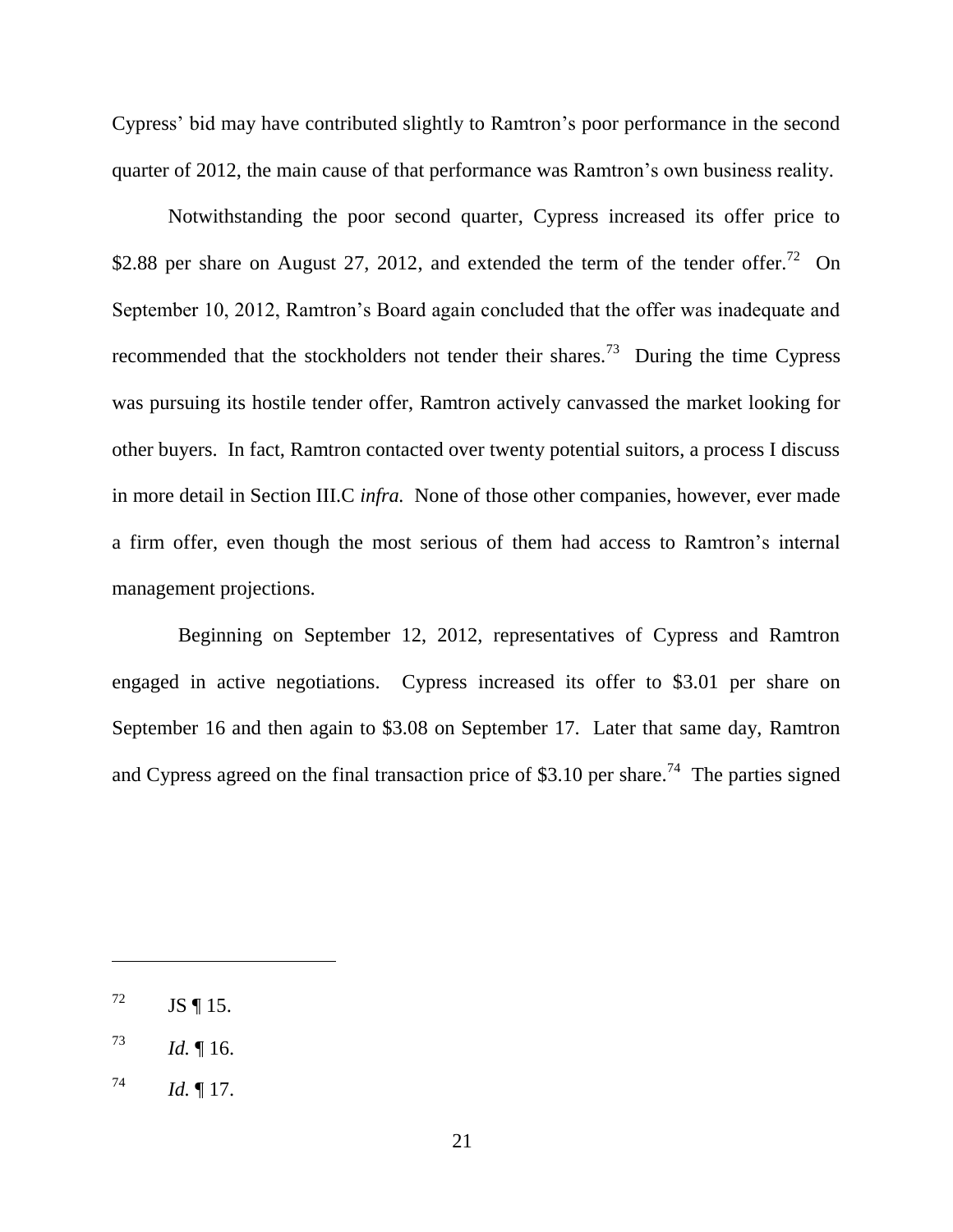Cypress' bid may have contributed slightly to Ramtron's poor performance in the second quarter of 2012, the main cause of that performance was Ramtron's own business reality.

Notwithstanding the poor second quarter, Cypress increased its offer price to \$2.88 per share on August 27, 2012, and extended the term of the tender offer.<sup>72</sup> On September 10, 2012, Ramtron's Board again concluded that the offer was inadequate and recommended that the stockholders not tender their shares.<sup>73</sup> During the time Cypress was pursuing its hostile tender offer, Ramtron actively canvassed the market looking for other buyers. In fact, Ramtron contacted over twenty potential suitors, a process I discuss in more detail in Section III.C *infra.* None of those other companies, however, ever made a firm offer, even though the most serious of them had access to Ramtron's internal management projections.

 Beginning on September 12, 2012, representatives of Cypress and Ramtron engaged in active negotiations. Cypress increased its offer to \$3.01 per share on September 16 and then again to \$3.08 on September 17. Later that same day, Ramtron and Cypress agreed on the final transaction price of \$3.10 per share.<sup>74</sup> The parties signed

 $^{72}$  JS ¶ 15.

 $^{73}$  *Id.* 16.

 $^{74}$  *Id.* 17.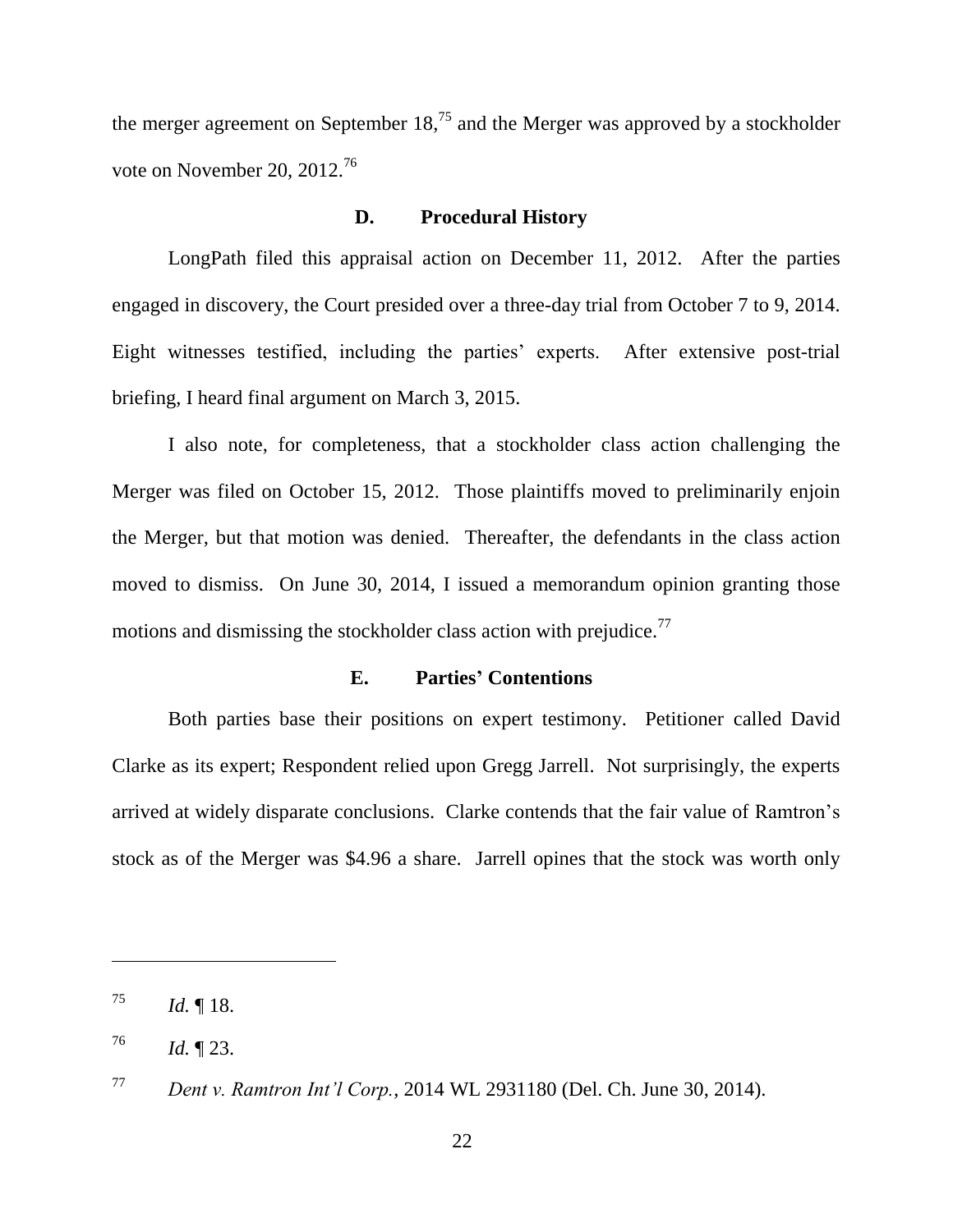the merger agreement on September  $18<sup>75</sup>$  and the Merger was approved by a stockholder vote on November 20, 2012.<sup>76</sup>

### **D. Procedural History**

LongPath filed this appraisal action on December 11, 2012. After the parties engaged in discovery, the Court presided over a three-day trial from October 7 to 9, 2014. Eight witnesses testified, including the parties' experts. After extensive post-trial briefing, I heard final argument on March 3, 2015.

I also note, for completeness, that a stockholder class action challenging the Merger was filed on October 15, 2012. Those plaintiffs moved to preliminarily enjoin the Merger, but that motion was denied. Thereafter, the defendants in the class action moved to dismiss. On June 30, 2014, I issued a memorandum opinion granting those motions and dismissing the stockholder class action with prejudice.<sup>77</sup>

### **E. Parties' Contentions**

Both parties base their positions on expert testimony. Petitioner called David Clarke as its expert; Respondent relied upon Gregg Jarrell. Not surprisingly, the experts arrived at widely disparate conclusions. Clarke contends that the fair value of Ramtron's stock as of the Merger was \$4.96 a share. Jarrell opines that the stock was worth only

 $^{75}$  *Id.* 18.

 $1d. \P 23.$ 

<sup>77</sup> *Dent v. Ramtron Int'l Corp.*, 2014 WL 2931180 (Del. Ch. June 30, 2014).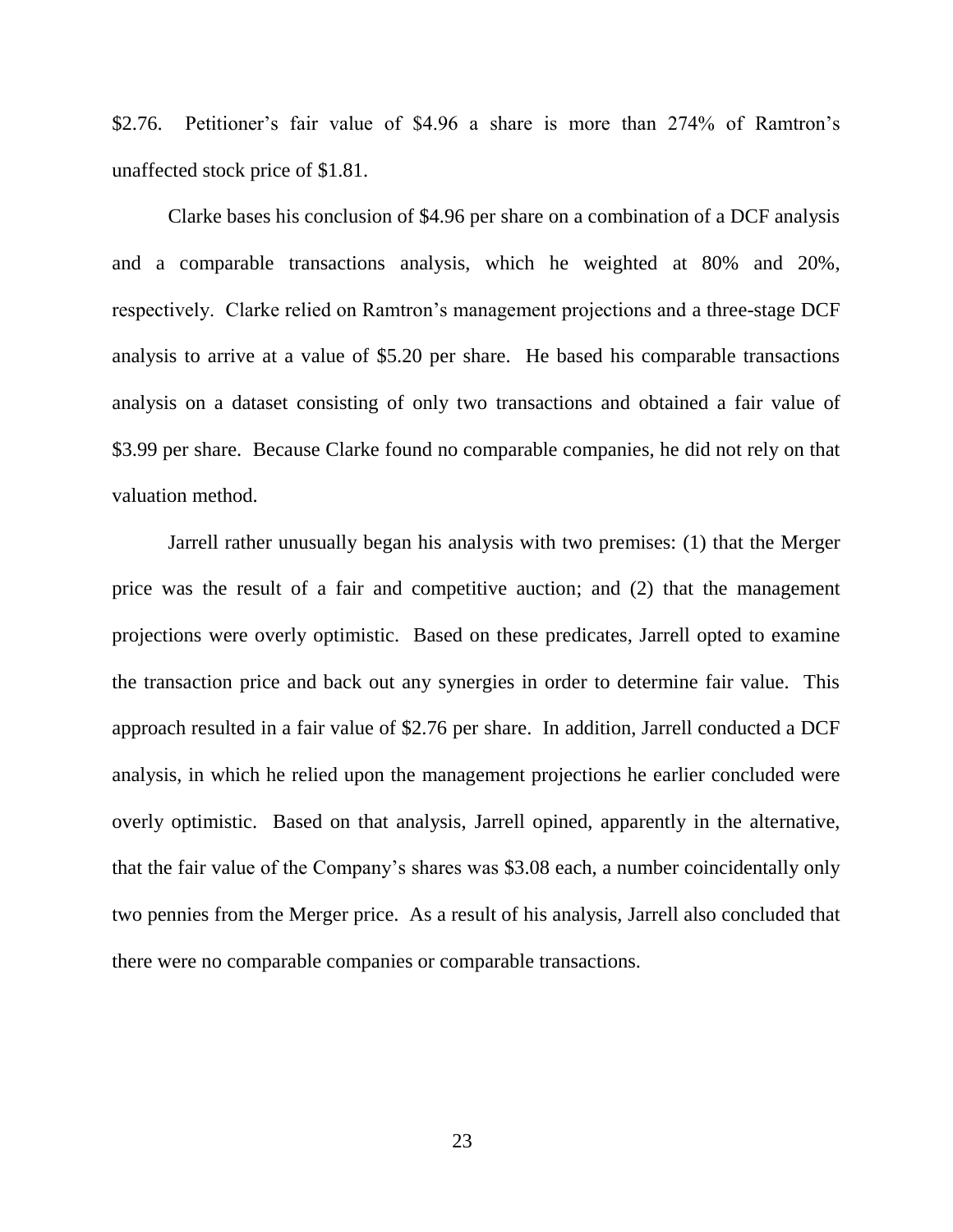\$2.76. Petitioner's fair value of \$4.96 a share is more than 274% of Ramtron's unaffected stock price of \$1.81.

Clarke bases his conclusion of \$4.96 per share on a combination of a DCF analysis and a comparable transactions analysis, which he weighted at 80% and 20%, respectively. Clarke relied on Ramtron's management projections and a three-stage DCF analysis to arrive at a value of \$5.20 per share. He based his comparable transactions analysis on a dataset consisting of only two transactions and obtained a fair value of \$3.99 per share. Because Clarke found no comparable companies, he did not rely on that valuation method.

Jarrell rather unusually began his analysis with two premises: (1) that the Merger price was the result of a fair and competitive auction; and (2) that the management projections were overly optimistic. Based on these predicates, Jarrell opted to examine the transaction price and back out any synergies in order to determine fair value. This approach resulted in a fair value of \$2.76 per share. In addition, Jarrell conducted a DCF analysis, in which he relied upon the management projections he earlier concluded were overly optimistic. Based on that analysis, Jarrell opined, apparently in the alternative, that the fair value of the Company's shares was \$3.08 each, a number coincidentally only two pennies from the Merger price. As a result of his analysis, Jarrell also concluded that there were no comparable companies or comparable transactions.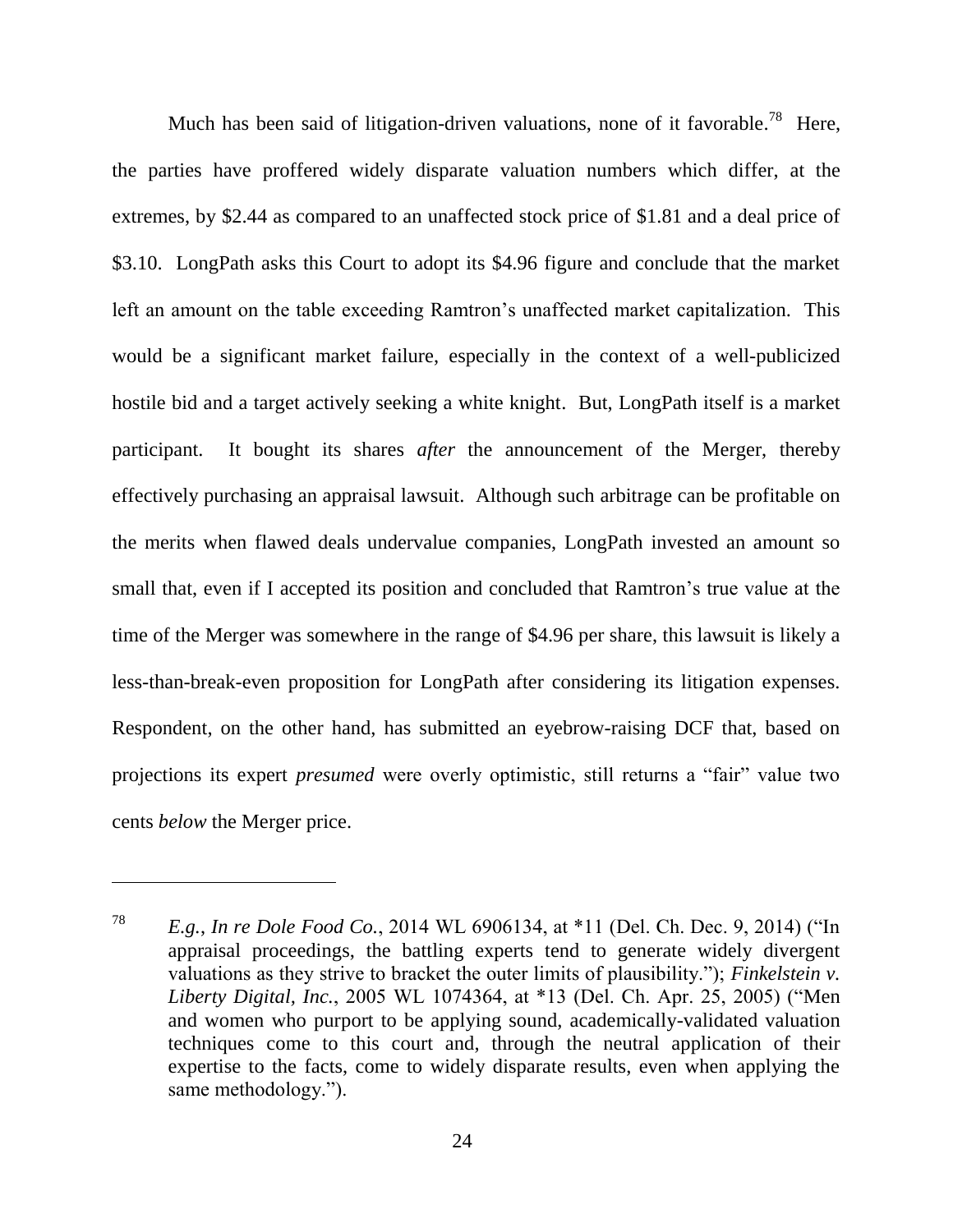Much has been said of litigation-driven valuations, none of it favorable.<sup>78</sup> Here, the parties have proffered widely disparate valuation numbers which differ, at the extremes, by \$2.44 as compared to an unaffected stock price of \$1.81 and a deal price of \$3.10. LongPath asks this Court to adopt its \$4.96 figure and conclude that the market left an amount on the table exceeding Ramtron's unaffected market capitalization. This would be a significant market failure, especially in the context of a well-publicized hostile bid and a target actively seeking a white knight. But, LongPath itself is a market participant. It bought its shares *after* the announcement of the Merger, thereby effectively purchasing an appraisal lawsuit. Although such arbitrage can be profitable on the merits when flawed deals undervalue companies, LongPath invested an amount so small that, even if I accepted its position and concluded that Ramtron's true value at the time of the Merger was somewhere in the range of \$4.96 per share, this lawsuit is likely a less-than-break-even proposition for LongPath after considering its litigation expenses. Respondent, on the other hand, has submitted an eyebrow-raising DCF that, based on projections its expert *presumed* were overly optimistic, still returns a "fair" value two cents *below* the Merger price.

<sup>&</sup>lt;sup>78</sup> *E.g., In re Dole Food Co.*, 2014 WL 6906134, at \*11 (Del. Ch. Dec. 9, 2014) ("In appraisal proceedings, the battling experts tend to generate widely divergent valuations as they strive to bracket the outer limits of plausibility."); *Finkelstein v. Liberty Digital, Inc.*, 2005 WL 1074364, at \*13 (Del. Ch. Apr. 25, 2005) ("Men and women who purport to be applying sound, academically-validated valuation techniques come to this court and, through the neutral application of their expertise to the facts, come to widely disparate results, even when applying the same methodology.").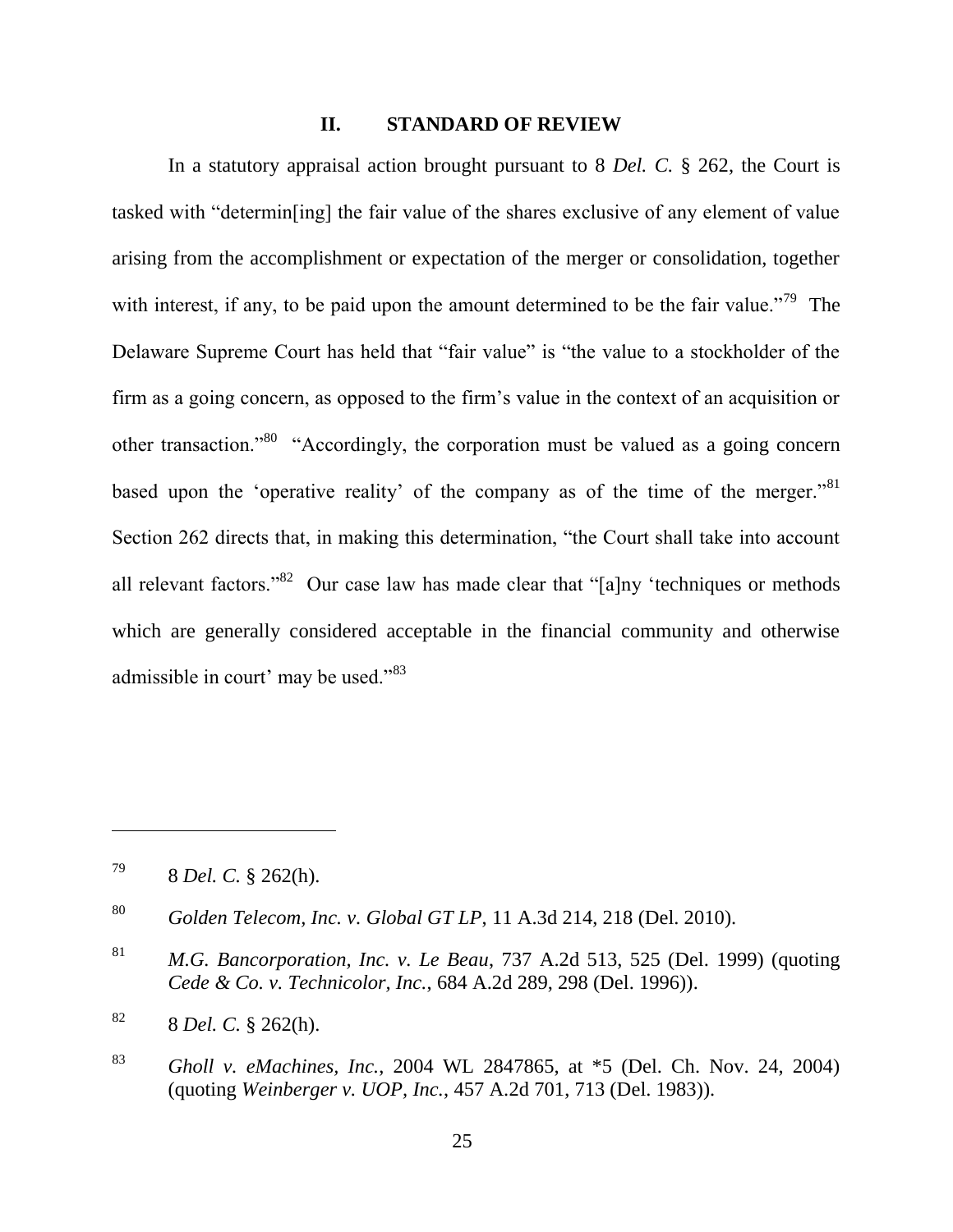#### **II. STANDARD OF REVIEW**

In a statutory appraisal action brought pursuant to 8 *Del. C.* § 262, the Court is tasked with "determin<sup>[ing]</sup> the fair value of the shares exclusive of any element of value arising from the accomplishment or expectation of the merger or consolidation, together with interest, if any, to be paid upon the amount determined to be the fair value.<sup>79</sup> The Delaware Supreme Court has held that "fair value" is "the value to a stockholder of the firm as a going concern, as opposed to the firm's value in the context of an acquisition or other transaction.<sup>80</sup> "Accordingly, the corporation must be valued as a going concern based upon the 'operative reality' of the company as of the time of the merger.<sup>81</sup> Section 262 directs that, in making this determination, "the Court shall take into account all relevant factors."<sup>82</sup> Our case law has made clear that "[a]ny 'techniques or methods which are generally considered acceptable in the financial community and otherwise admissible in court' may be used. $^{983}$ 

<sup>79</sup> 8 *Del. C.* § 262(h).

<sup>80</sup> *Golden Telecom, Inc. v. Global GT LP*, 11 A.3d 214, 218 (Del. 2010).

<sup>81</sup> *M.G. Bancorporation, Inc. v. Le Beau*, 737 A.2d 513, 525 (Del. 1999) (quoting *Cede & Co. v. Technicolor, Inc.*, 684 A.2d 289, 298 (Del. 1996)).

<sup>82</sup> 8 *Del. C.* § 262(h).

<sup>83</sup> *Gholl v. eMachines, Inc.*, 2004 WL 2847865, at \*5 (Del. Ch. Nov. 24, 2004) (quoting *Weinberger v. UOP, Inc.*, 457 A.2d 701, 713 (Del. 1983)).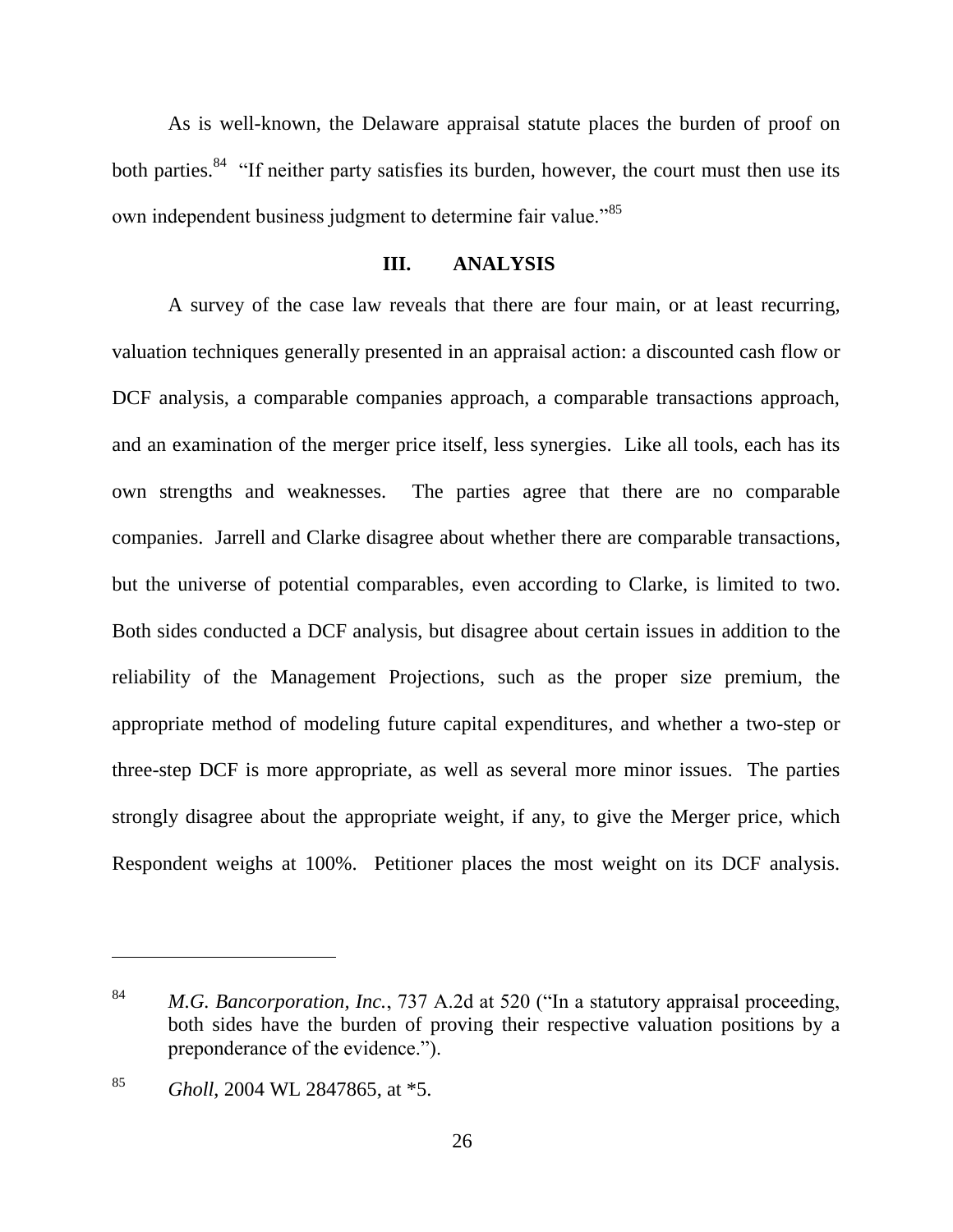As is well-known, the Delaware appraisal statute places the burden of proof on both parties.<sup>84</sup> "If neither party satisfies its burden, however, the court must then use its own independent business judgment to determine fair value.<sup>85</sup>

### **III. ANALYSIS**

A survey of the case law reveals that there are four main, or at least recurring, valuation techniques generally presented in an appraisal action: a discounted cash flow or DCF analysis, a comparable companies approach, a comparable transactions approach, and an examination of the merger price itself, less synergies. Like all tools, each has its own strengths and weaknesses. The parties agree that there are no comparable companies. Jarrell and Clarke disagree about whether there are comparable transactions, but the universe of potential comparables, even according to Clarke, is limited to two. Both sides conducted a DCF analysis, but disagree about certain issues in addition to the reliability of the Management Projections, such as the proper size premium, the appropriate method of modeling future capital expenditures, and whether a two-step or three-step DCF is more appropriate, as well as several more minor issues. The parties strongly disagree about the appropriate weight, if any, to give the Merger price, which Respondent weighs at 100%. Petitioner places the most weight on its DCF analysis.

<sup>84</sup> *M.G. Bancorporation, Inc.*, 737 A.2d at 520 ("In a statutory appraisal proceeding, both sides have the burden of proving their respective valuation positions by a preponderance of the evidence.").

<sup>85</sup> *Gholl*, 2004 WL 2847865, at \*5.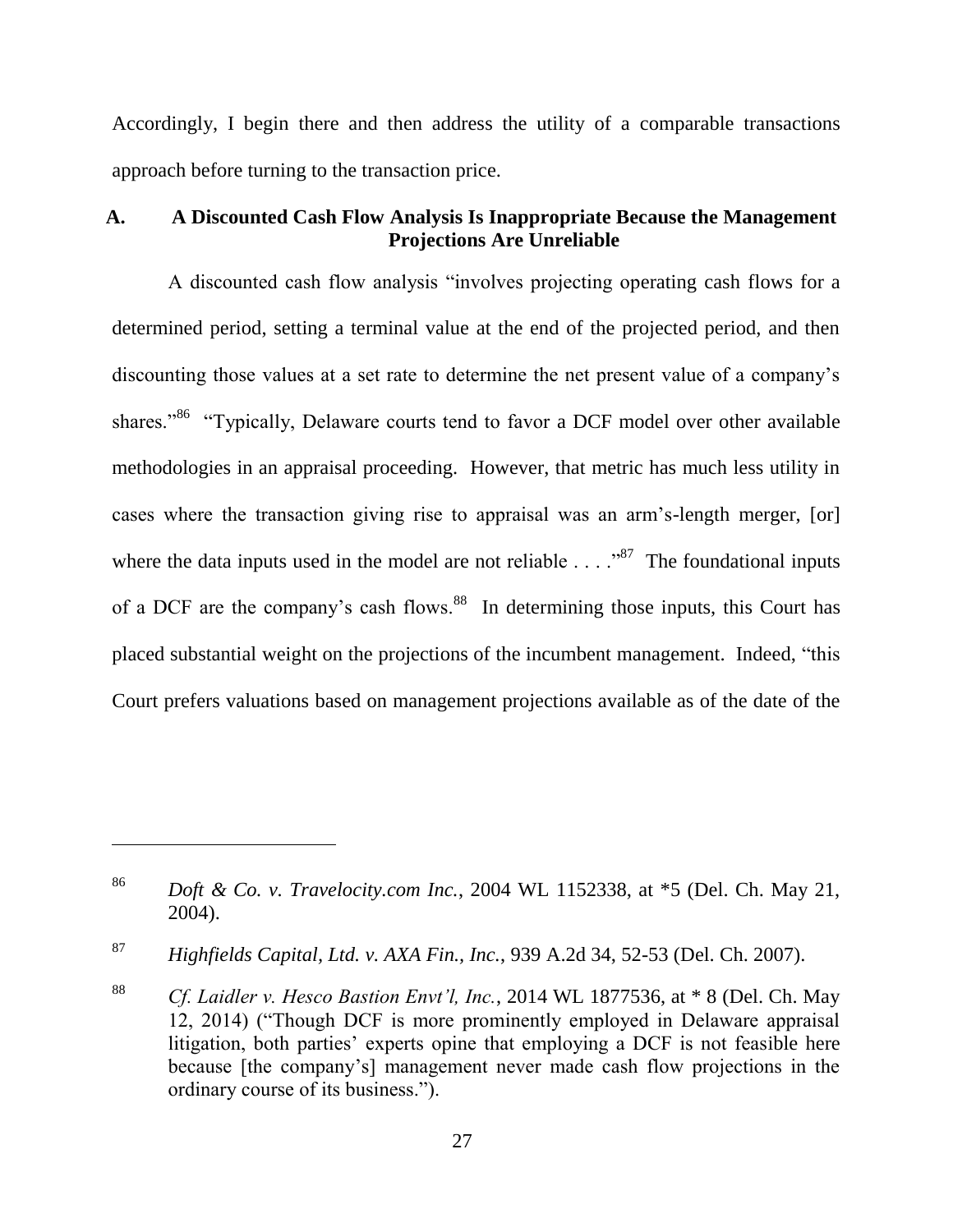Accordingly, I begin there and then address the utility of a comparable transactions approach before turning to the transaction price.

### **A. A Discounted Cash Flow Analysis Is Inappropriate Because the Management Projections Are Unreliable**

A discounted cash flow analysis "involves projecting operating cash flows for a determined period, setting a terminal value at the end of the projected period, and then discounting those values at a set rate to determine the net present value of a company's shares."<sup>86</sup> "Typically, Delaware courts tend to favor a DCF model over other available methodologies in an appraisal proceeding. However, that metric has much less utility in cases where the transaction giving rise to appraisal was an arm's-length merger, [or] where the data inputs used in the model are not reliable  $\ldots$   $\frac{87}{87}$  The foundational inputs of a DCF are the company's cash flows.<sup>88</sup> In determining those inputs, this Court has placed substantial weight on the projections of the incumbent management. Indeed, "this Court prefers valuations based on management projections available as of the date of the

<sup>86</sup> *Doft & Co. v. Travelocity.com Inc.*, 2004 WL 1152338, at \*5 (Del. Ch. May 21, 2004).

<sup>87</sup> *Highfields Capital, Ltd. v. AXA Fin., Inc.*, 939 A.2d 34, 52-53 (Del. Ch. 2007).

<sup>88</sup> *Cf. Laidler v. Hesco Bastion Envt'l, Inc.*, 2014 WL 1877536, at \* 8 (Del. Ch. May 12, 2014) ("Though DCF is more prominently employed in Delaware appraisal litigation, both parties' experts opine that employing a DCF is not feasible here because [the company's] management never made cash flow projections in the ordinary course of its business.").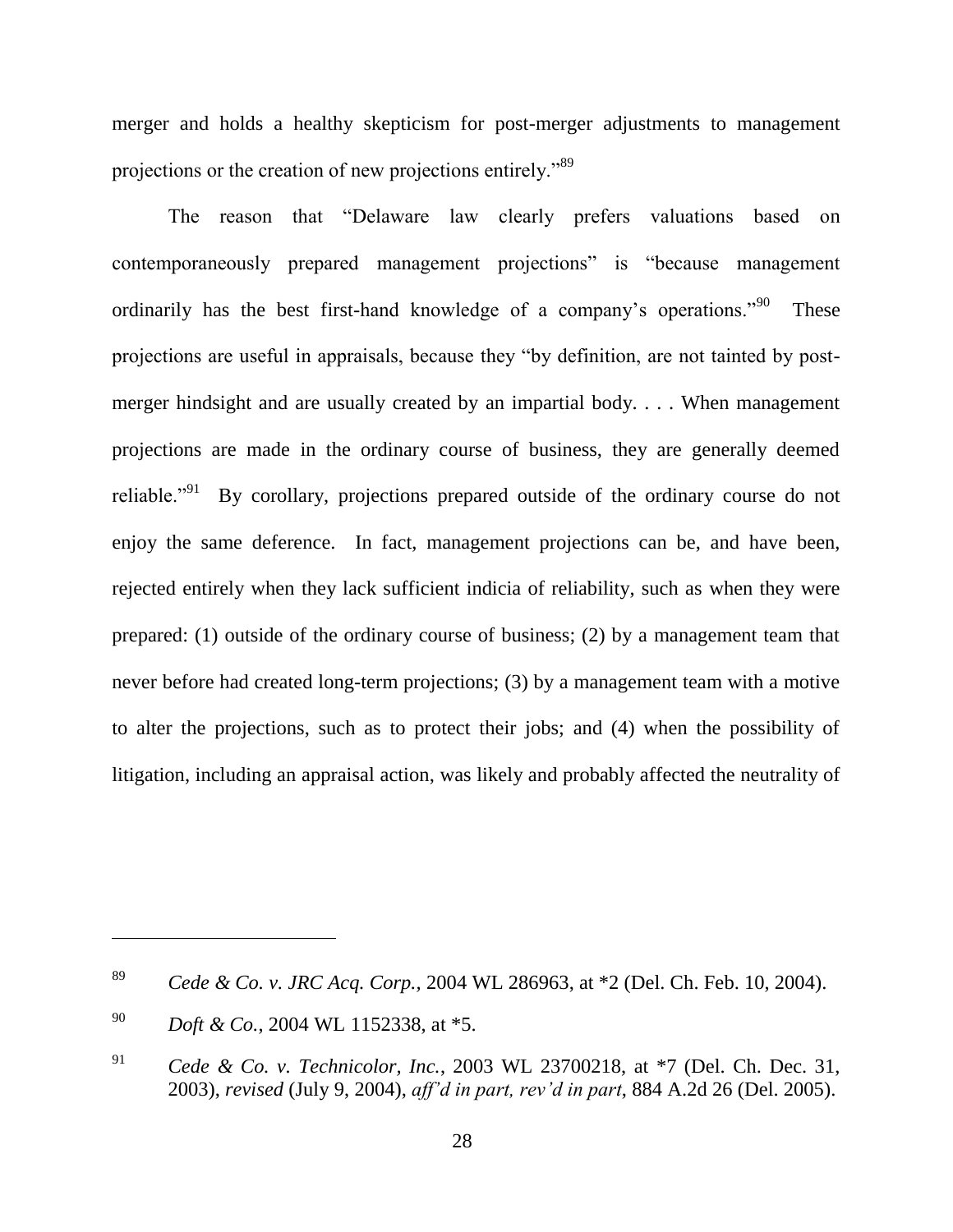merger and holds a healthy skepticism for post-merger adjustments to management projections or the creation of new projections entirely."<sup>89</sup>

The reason that "Delaware law clearly prefers valuations based on contemporaneously prepared management projections" is "because management ordinarily has the best first-hand knowledge of a company's operations.<sup> $90$ </sup> These projections are useful in appraisals, because they "by definition, are not tainted by postmerger hindsight and are usually created by an impartial body. . . . When management projections are made in the ordinary course of business, they are generally deemed reliable."<sup>91</sup> By corollary, projections prepared outside of the ordinary course do not enjoy the same deference. In fact, management projections can be, and have been, rejected entirely when they lack sufficient indicia of reliability, such as when they were prepared: (1) outside of the ordinary course of business; (2) by a management team that never before had created long-term projections; (3) by a management team with a motive to alter the projections, such as to protect their jobs; and (4) when the possibility of litigation, including an appraisal action, was likely and probably affected the neutrality of

<sup>89</sup> *Cede & Co. v. JRC Acq. Corp.,* 2004 WL 286963, at \*2 (Del. Ch. Feb. 10, 2004).

<sup>90</sup> *Doft & Co.*, 2004 WL 1152338, at \*5.

<sup>91</sup> *Cede & Co. v. Technicolor, Inc.*, 2003 WL 23700218, at \*7 (Del. Ch. Dec. 31, 2003), *revised* (July 9, 2004), *aff'd in part, rev'd in part*, 884 A.2d 26 (Del. 2005).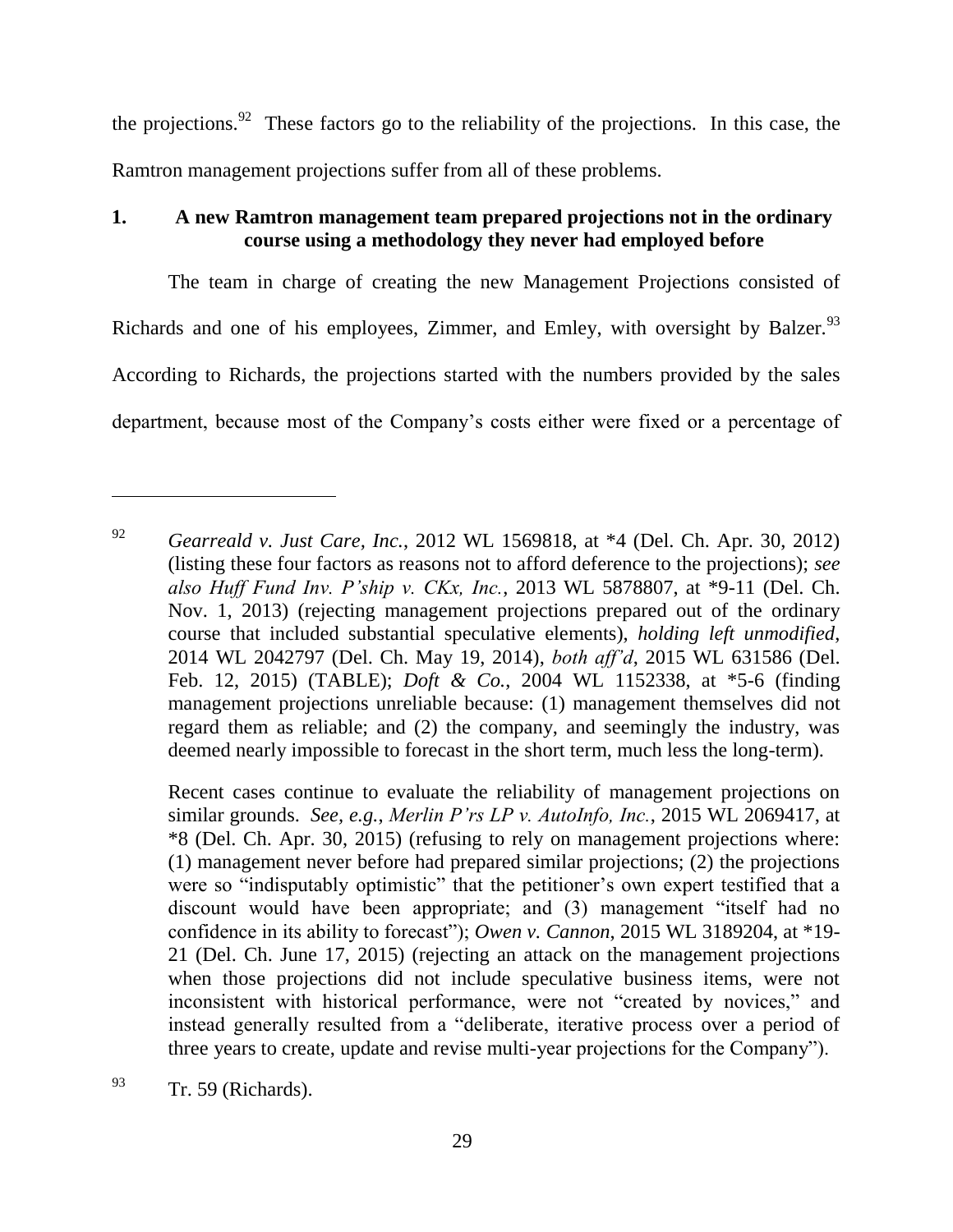the projections.<sup>92</sup> These factors go to the reliability of the projections. In this case, the Ramtron management projections suffer from all of these problems.

# **1. A new Ramtron management team prepared projections not in the ordinary course using a methodology they never had employed before**

The team in charge of creating the new Management Projections consisted of Richards and one of his employees, Zimmer, and Emley, with oversight by Balzer. $93$ According to Richards, the projections started with the numbers provided by the sales department, because most of the Company's costs either were fixed or a percentage of

Recent cases continue to evaluate the reliability of management projections on similar grounds. *See, e.g.*, *Merlin P'rs LP v. AutoInfo, Inc.*, 2015 WL 2069417, at \*8 (Del. Ch. Apr. 30, 2015) (refusing to rely on management projections where: (1) management never before had prepared similar projections; (2) the projections were so "indisputably optimistic" that the petitioner's own expert testified that a discount would have been appropriate; and (3) management "itself had no confidence in its ability to forecast"); *Owen v. Cannon*, 2015 WL 3189204, at \*19-21 (Del. Ch. June 17, 2015) (rejecting an attack on the management projections when those projections did not include speculative business items, were not inconsistent with historical performance, were not "created by novices," and instead generally resulted from a "deliberate, iterative process over a period of three years to create, update and revise multi-year projections for the Company").

<sup>92</sup> *Gearreald v. Just Care, Inc.*, 2012 WL 1569818, at \*4 (Del. Ch. Apr. 30, 2012) (listing these four factors as reasons not to afford deference to the projections); *see also Huff Fund Inv. P'ship v. CKx, Inc.*, 2013 WL 5878807, at \*9-11 (Del. Ch. Nov. 1, 2013) (rejecting management projections prepared out of the ordinary course that included substantial speculative elements), *holding left unmodified*, 2014 WL 2042797 (Del. Ch. May 19, 2014), *both aff'd*, 2015 WL 631586 (Del. Feb. 12, 2015) (TABLE); *Doft & Co.*, 2004 WL 1152338, at \*5-6 (finding management projections unreliable because: (1) management themselves did not regard them as reliable; and (2) the company, and seemingly the industry, was deemed nearly impossible to forecast in the short term, much less the long-term).

 $\frac{93}{r}$  Tr. 59 (Richards).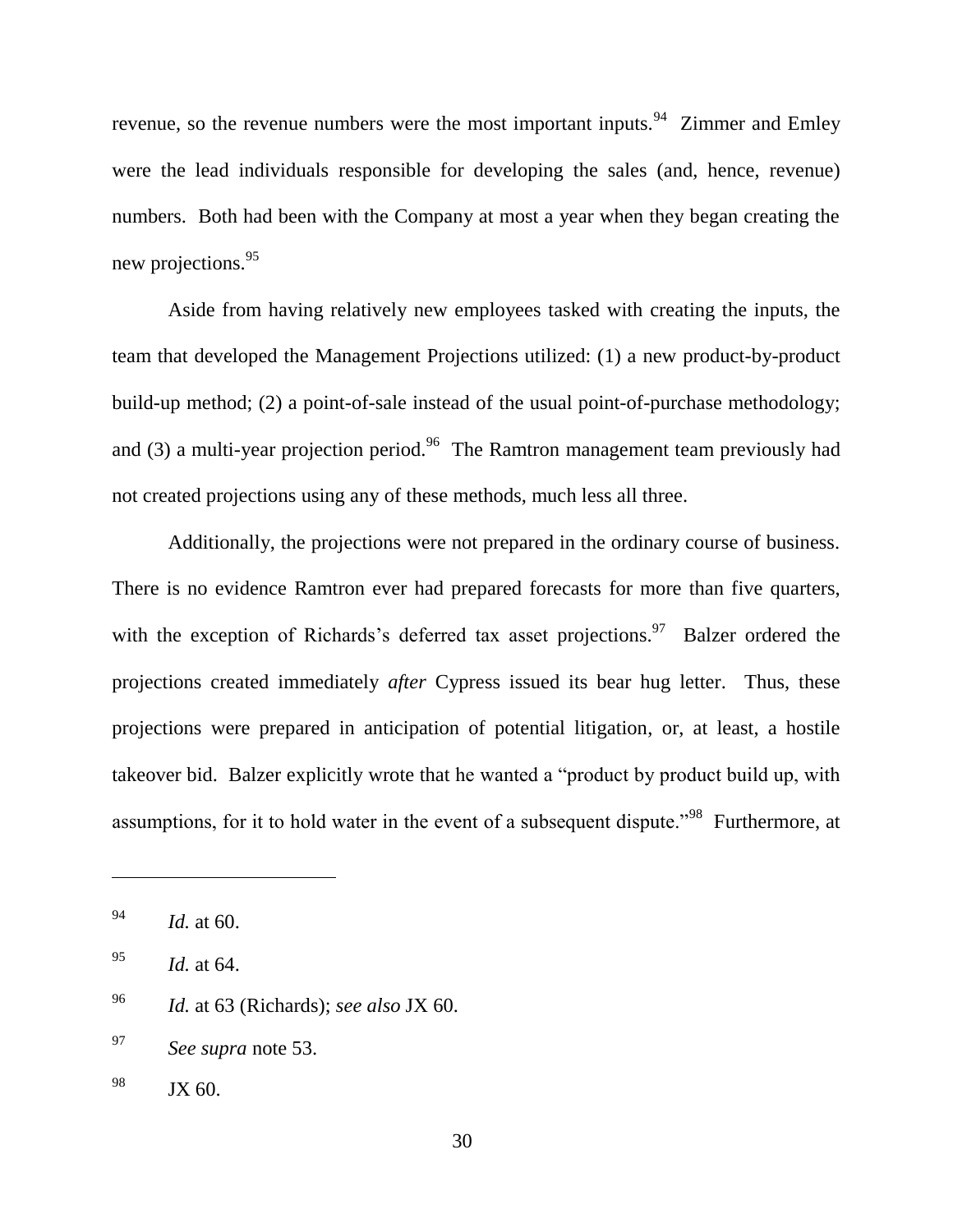revenue, so the revenue numbers were the most important inputs.<sup>94</sup> Zimmer and Emley were the lead individuals responsible for developing the sales (and, hence, revenue) numbers. Both had been with the Company at most a year when they began creating the new projections.<sup>95</sup>

Aside from having relatively new employees tasked with creating the inputs, the team that developed the Management Projections utilized: (1) a new product-by-product build-up method; (2) a point-of-sale instead of the usual point-of-purchase methodology; and (3) a multi-year projection period.<sup>96</sup> The Ramtron management team previously had not created projections using any of these methods, much less all three.

Additionally, the projections were not prepared in the ordinary course of business. There is no evidence Ramtron ever had prepared forecasts for more than five quarters, with the exception of Richards's deferred tax asset projections.<sup>97</sup> Balzer ordered the projections created immediately *after* Cypress issued its bear hug letter. Thus, these projections were prepared in anticipation of potential litigation, or, at least, a hostile takeover bid. Balzer explicitly wrote that he wanted a "product by product build up, with assumptions, for it to hold water in the event of a subsequent dispute."<sup>98</sup> Furthermore, at

<sup>94</sup> *Id.* at 60.

<sup>95</sup> *Id.* at 64.

<sup>96</sup> *Id.* at 63 (Richards); *see also* JX 60.

<sup>97</sup> *See supra* note 53.

 $98$  JX 60.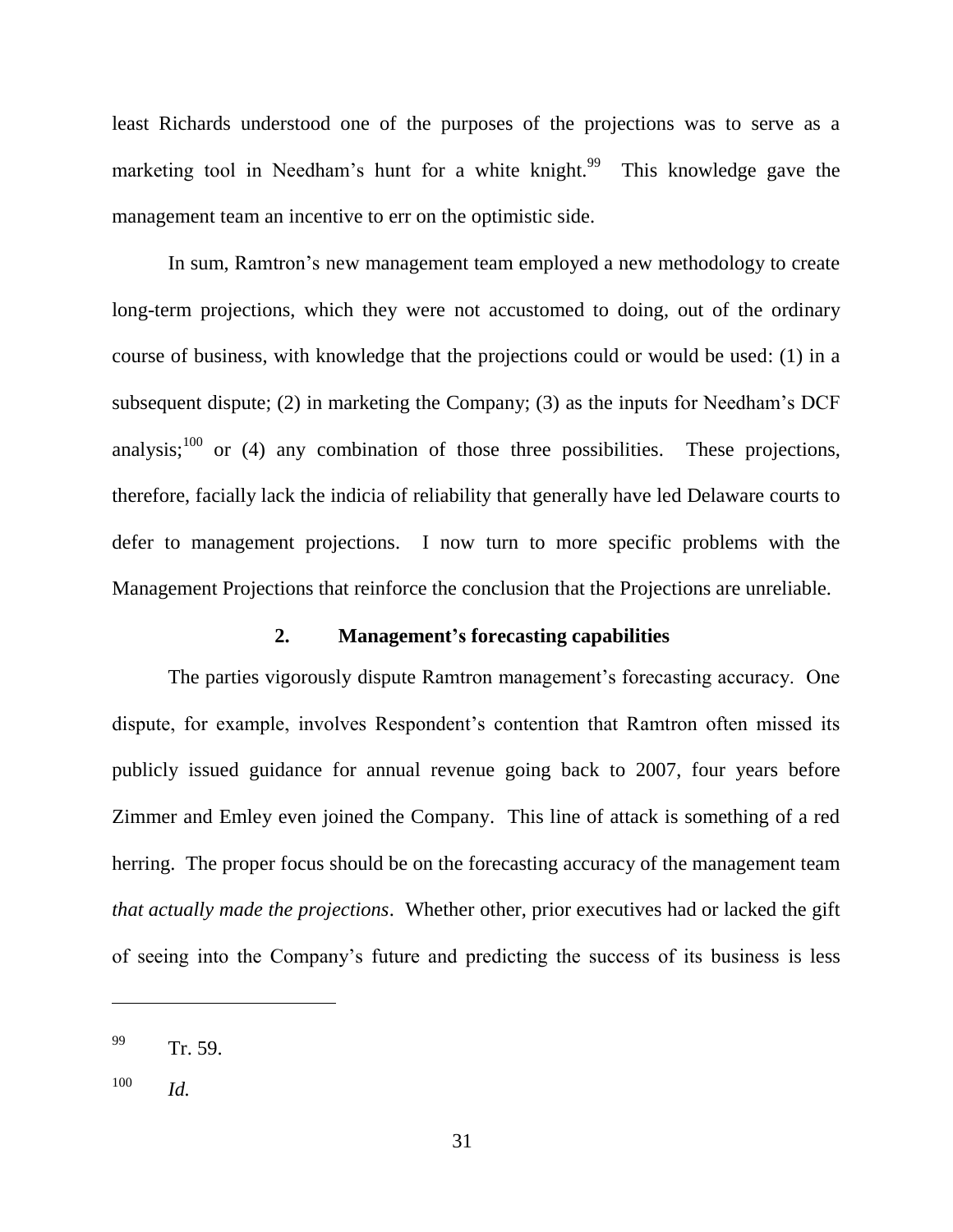least Richards understood one of the purposes of the projections was to serve as a marketing tool in Needham's hunt for a white knight.<sup>99</sup> This knowledge gave the management team an incentive to err on the optimistic side.

In sum, Ramtron's new management team employed a new methodology to create long-term projections, which they were not accustomed to doing, out of the ordinary course of business, with knowledge that the projections could or would be used: (1) in a subsequent dispute; (2) in marketing the Company; (3) as the inputs for Needham's DCF analysis;<sup>100</sup> or (4) any combination of those three possibilities. These projections, therefore, facially lack the indicia of reliability that generally have led Delaware courts to defer to management projections. I now turn to more specific problems with the Management Projections that reinforce the conclusion that the Projections are unreliable.

### **2. Management's forecasting capabilities**

The parties vigorously dispute Ramtron management's forecasting accuracy. One dispute, for example, involves Respondent's contention that Ramtron often missed its publicly issued guidance for annual revenue going back to 2007, four years before Zimmer and Emley even joined the Company. This line of attack is something of a red herring. The proper focus should be on the forecasting accuracy of the management team *that actually made the projections*. Whether other, prior executives had or lacked the gift of seeing into the Company's future and predicting the success of its business is less

 $^{99}$  Tr. 59.

<sup>100</sup> *Id.*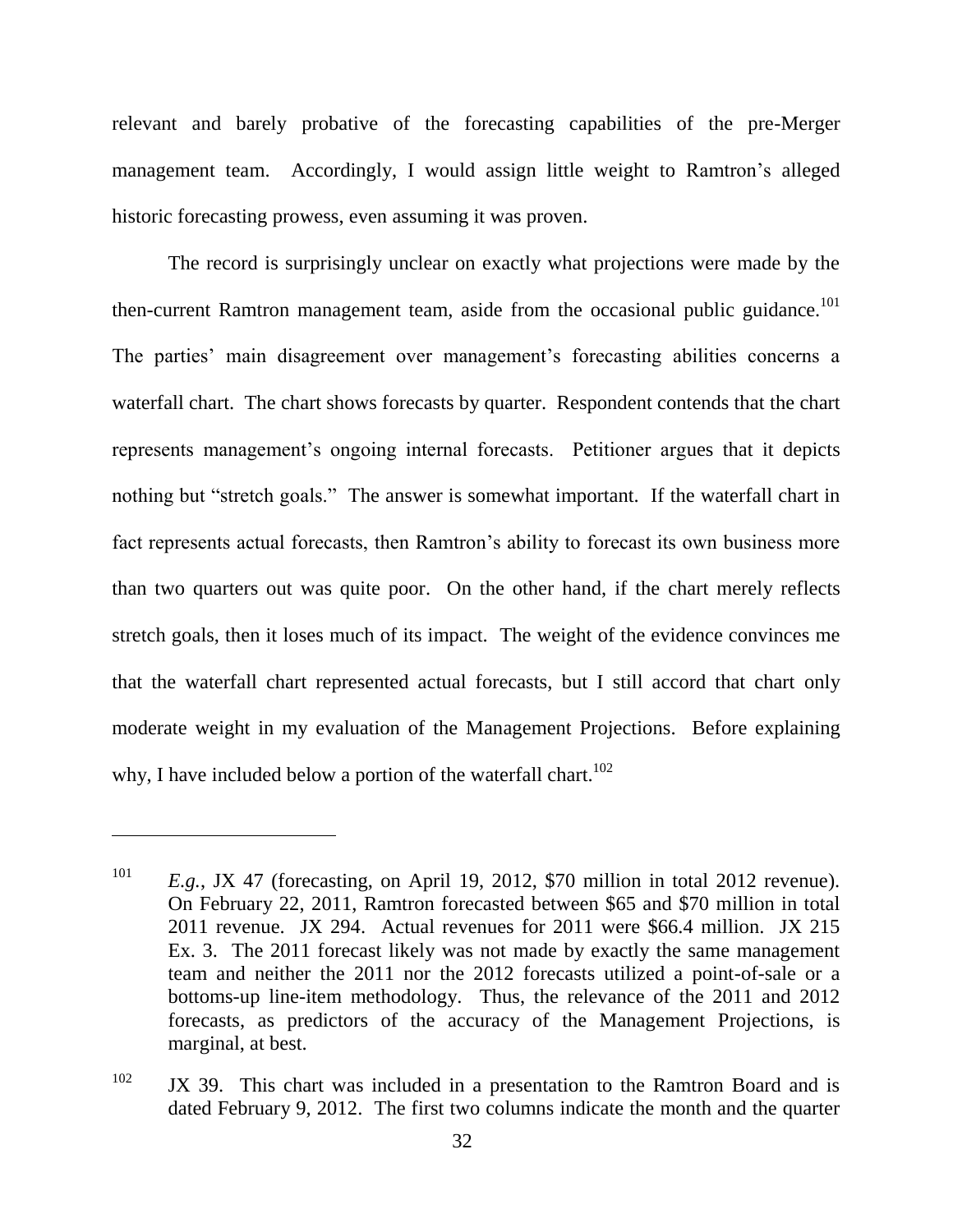relevant and barely probative of the forecasting capabilities of the pre-Merger management team. Accordingly, I would assign little weight to Ramtron's alleged historic forecasting prowess, even assuming it was proven.

The record is surprisingly unclear on exactly what projections were made by the then-current Ramtron management team, aside from the occasional public guidance.<sup>101</sup> The parties' main disagreement over management's forecasting abilities concerns a waterfall chart. The chart shows forecasts by quarter. Respondent contends that the chart represents management's ongoing internal forecasts. Petitioner argues that it depicts nothing but "stretch goals." The answer is somewhat important. If the waterfall chart in fact represents actual forecasts, then Ramtron's ability to forecast its own business more than two quarters out was quite poor. On the other hand, if the chart merely reflects stretch goals, then it loses much of its impact. The weight of the evidence convinces me that the waterfall chart represented actual forecasts, but I still accord that chart only moderate weight in my evaluation of the Management Projections. Before explaining why, I have included below a portion of the waterfall chart.<sup>102</sup>

<sup>&</sup>lt;sup>101</sup> *E.g.*, JX 47 (forecasting, on April 19, 2012, \$70 million in total 2012 revenue). On February 22, 2011, Ramtron forecasted between \$65 and \$70 million in total 2011 revenue. JX 294. Actual revenues for 2011 were \$66.4 million. JX 215 Ex. 3. The 2011 forecast likely was not made by exactly the same management team and neither the 2011 nor the 2012 forecasts utilized a point-of-sale or a bottoms-up line-item methodology. Thus, the relevance of the 2011 and 2012 forecasts, as predictors of the accuracy of the Management Projections, is marginal, at best.

 $102$  JX 39. This chart was included in a presentation to the Ramtron Board and is dated February 9, 2012. The first two columns indicate the month and the quarter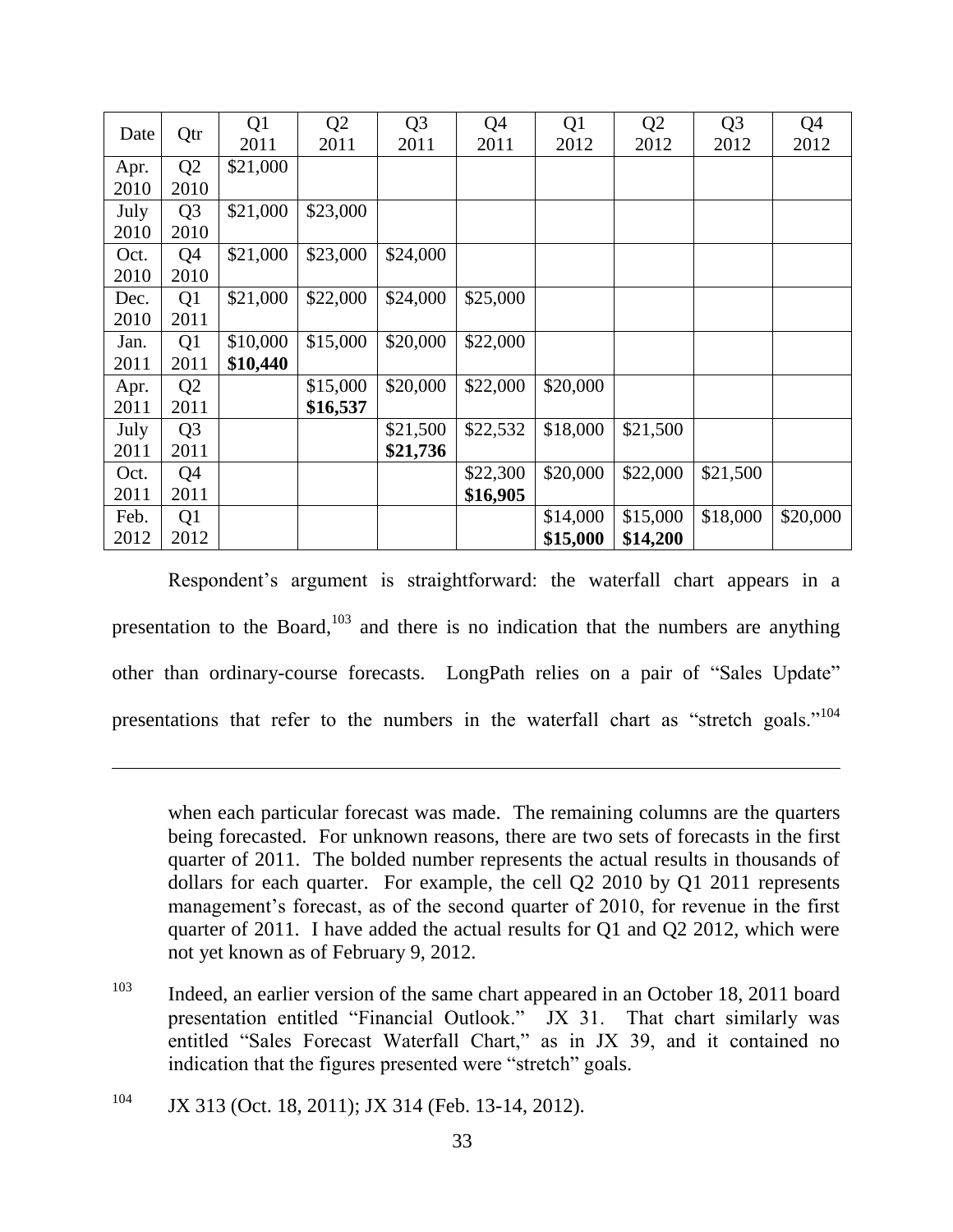| Qtr<br>Date | Q1             | Q <sub>2</sub> | Q <sub>3</sub> | Q <sub>4</sub> | Q1       | Q <sub>2</sub> | Q <sub>3</sub> | Q <sub>4</sub> |          |
|-------------|----------------|----------------|----------------|----------------|----------|----------------|----------------|----------------|----------|
|             | 2011           | 2011           | 2011           | 2011           | 2012     | 2012           | 2012           | 2012           |          |
| Apr.        | Q <sub>2</sub> | \$21,000       |                |                |          |                |                |                |          |
| 2010        | 2010           |                |                |                |          |                |                |                |          |
| July        | Q <sub>3</sub> | \$21,000       | \$23,000       |                |          |                |                |                |          |
| 2010        | 2010           |                |                |                |          |                |                |                |          |
| Oct.        | Q4             | \$21,000       | \$23,000       | \$24,000       |          |                |                |                |          |
| 2010        | 2010           |                |                |                |          |                |                |                |          |
| Dec.        | Q1             | \$21,000       | \$22,000       | \$24,000       | \$25,000 |                |                |                |          |
| 2010        | 2011           |                |                |                |          |                |                |                |          |
| Jan.        | Q1             | \$10,000       | \$15,000       | \$20,000       | \$22,000 |                |                |                |          |
| 2011        | 2011           | \$10,440       |                |                |          |                |                |                |          |
| Apr.        | Q <sub>2</sub> |                | \$15,000       | \$20,000       | \$22,000 | \$20,000       |                |                |          |
| 2011        | 2011           |                | \$16,537       |                |          |                |                |                |          |
| July        | Q <sub>3</sub> |                |                | \$21,500       | \$22,532 | \$18,000       | \$21,500       |                |          |
| 2011        | 2011           |                |                | \$21,736       |          |                |                |                |          |
| Oct.        | Q4             |                |                |                | \$22,300 | \$20,000       | \$22,000       | \$21,500       |          |
| 2011        | 2011           |                |                |                | \$16,905 |                |                |                |          |
| Feb.        | Q <sub>1</sub> |                |                |                |          | \$14,000       | \$15,000       | \$18,000       | \$20,000 |
| 2012        | 2012           |                |                |                |          | \$15,000       | \$14,200       |                |          |

Respondent's argument is straightforward: the waterfall chart appears in a presentation to the Board, $103$  and there is no indication that the numbers are anything other than ordinary-course forecasts. LongPath relies on a pair of "Sales Update" presentations that refer to the numbers in the waterfall chart as "stretch goals."<sup>104</sup>

when each particular forecast was made. The remaining columns are the quarters being forecasted. For unknown reasons, there are two sets of forecasts in the first quarter of 2011. The bolded number represents the actual results in thousands of dollars for each quarter. For example, the cell Q2 2010 by Q1 2011 represents management's forecast, as of the second quarter of 2010, for revenue in the first quarter of 2011. I have added the actual results for Q1 and Q2 2012, which were not yet known as of February 9, 2012.

- <sup>103</sup> Indeed, an earlier version of the same chart appeared in an October 18, 2011 board presentation entitled "Financial Outlook." JX 31. That chart similarly was entitled "Sales Forecast Waterfall Chart," as in JX 39, and it contained no indication that the figures presented were "stretch" goals.
- <sup>104</sup> JX 313 (Oct. 18, 2011); JX 314 (Feb. 13-14, 2012).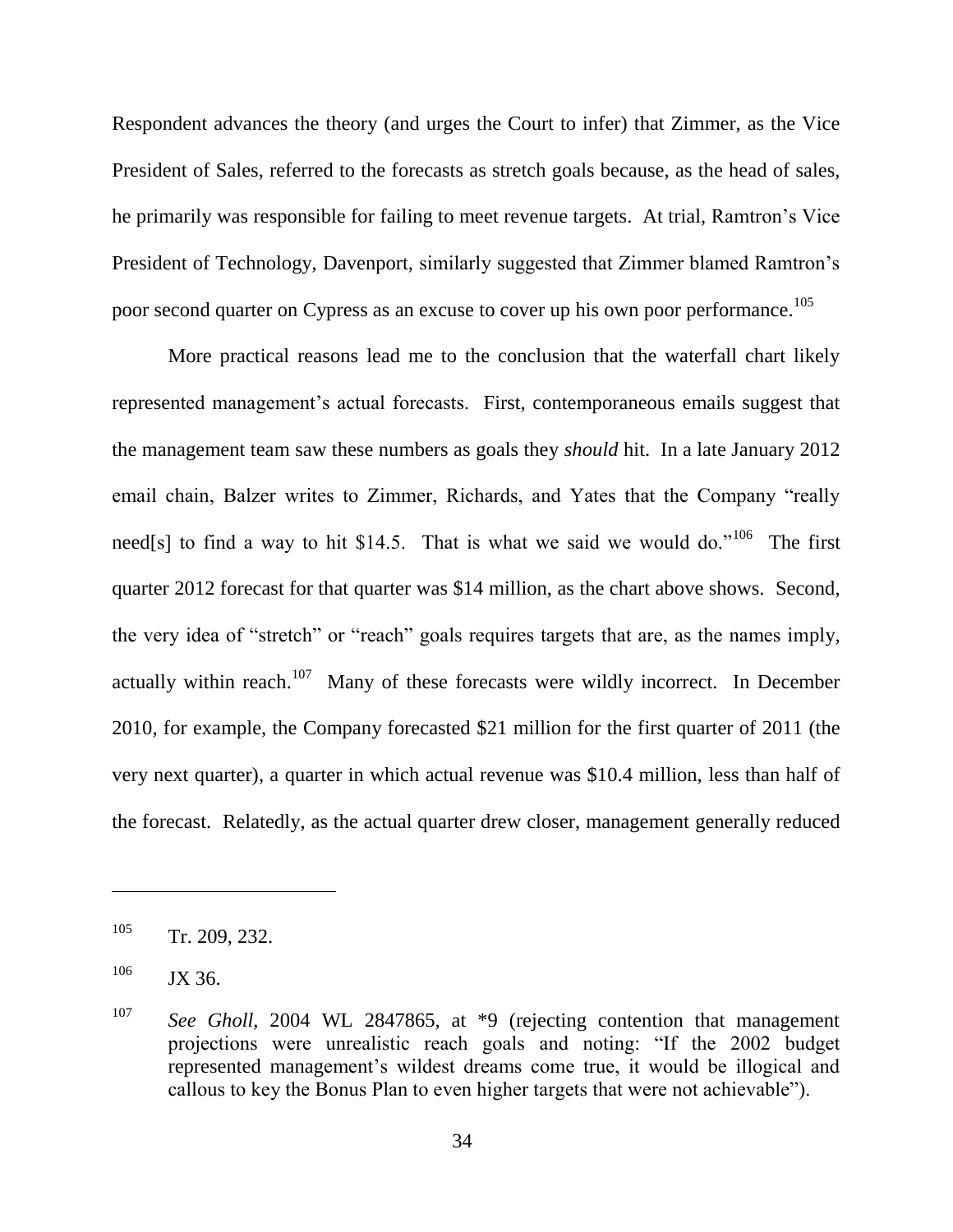Respondent advances the theory (and urges the Court to infer) that Zimmer, as the Vice President of Sales, referred to the forecasts as stretch goals because, as the head of sales, he primarily was responsible for failing to meet revenue targets. At trial, Ramtron's Vice President of Technology, Davenport, similarly suggested that Zimmer blamed Ramtron's poor second quarter on Cypress as an excuse to cover up his own poor performance.<sup>105</sup>

More practical reasons lead me to the conclusion that the waterfall chart likely represented management's actual forecasts. First, contemporaneous emails suggest that the management team saw these numbers as goals they *should* hit. In a late January 2012 email chain, Balzer writes to Zimmer, Richards, and Yates that the Company "really need[s] to find a way to hit \$14.5. That is what we said we would do."<sup>106</sup> The first quarter 2012 forecast for that quarter was \$14 million, as the chart above shows. Second, the very idea of "stretch" or "reach" goals requires targets that are, as the names imply, actually within reach.<sup>107</sup> Many of these forecasts were wildly incorrect. In December 2010, for example, the Company forecasted \$21 million for the first quarter of 2011 (the very next quarter), a quarter in which actual revenue was \$10.4 million, less than half of the forecast. Relatedly, as the actual quarter drew closer, management generally reduced

<sup>105</sup> Tr. 209, 232.

 $106$  JX 36.

<sup>107</sup> *See Gholl*, 2004 WL 2847865, at \*9 (rejecting contention that management projections were unrealistic reach goals and noting: "If the 2002 budget represented management's wildest dreams come true, it would be illogical and callous to key the Bonus Plan to even higher targets that were not achievable").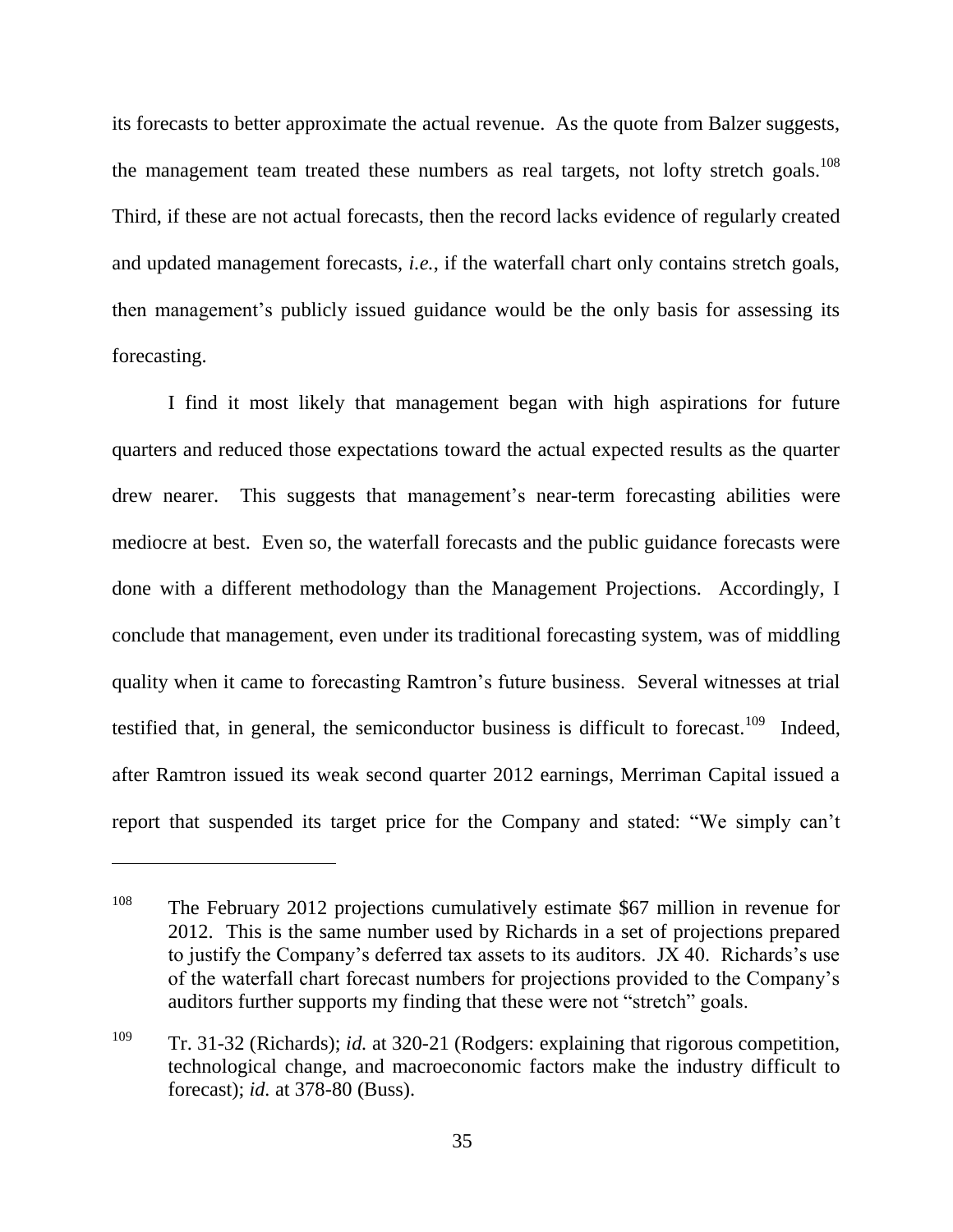its forecasts to better approximate the actual revenue. As the quote from Balzer suggests, the management team treated these numbers as real targets, not lofty stretch goals.<sup>108</sup> Third, if these are not actual forecasts, then the record lacks evidence of regularly created and updated management forecasts, *i.e.*, if the waterfall chart only contains stretch goals, then management's publicly issued guidance would be the only basis for assessing its forecasting.

I find it most likely that management began with high aspirations for future quarters and reduced those expectations toward the actual expected results as the quarter drew nearer. This suggests that management's near-term forecasting abilities were mediocre at best. Even so, the waterfall forecasts and the public guidance forecasts were done with a different methodology than the Management Projections. Accordingly, I conclude that management, even under its traditional forecasting system, was of middling quality when it came to forecasting Ramtron's future business. Several witnesses at trial testified that, in general, the semiconductor business is difficult to forecast.<sup>109</sup> Indeed, after Ramtron issued its weak second quarter 2012 earnings, Merriman Capital issued a report that suspended its target price for the Company and stated: "We simply can't

<sup>&</sup>lt;sup>108</sup> The February 2012 projections cumulatively estimate \$67 million in revenue for 2012. This is the same number used by Richards in a set of projections prepared to justify the Company's deferred tax assets to its auditors. JX 40. Richards's use of the waterfall chart forecast numbers for projections provided to the Company's auditors further supports my finding that these were not "stretch" goals.

<sup>109</sup> Tr. 31-32 (Richards); *id.* at 320-21 (Rodgers: explaining that rigorous competition, technological change, and macroeconomic factors make the industry difficult to forecast); *id.* at 378-80 (Buss).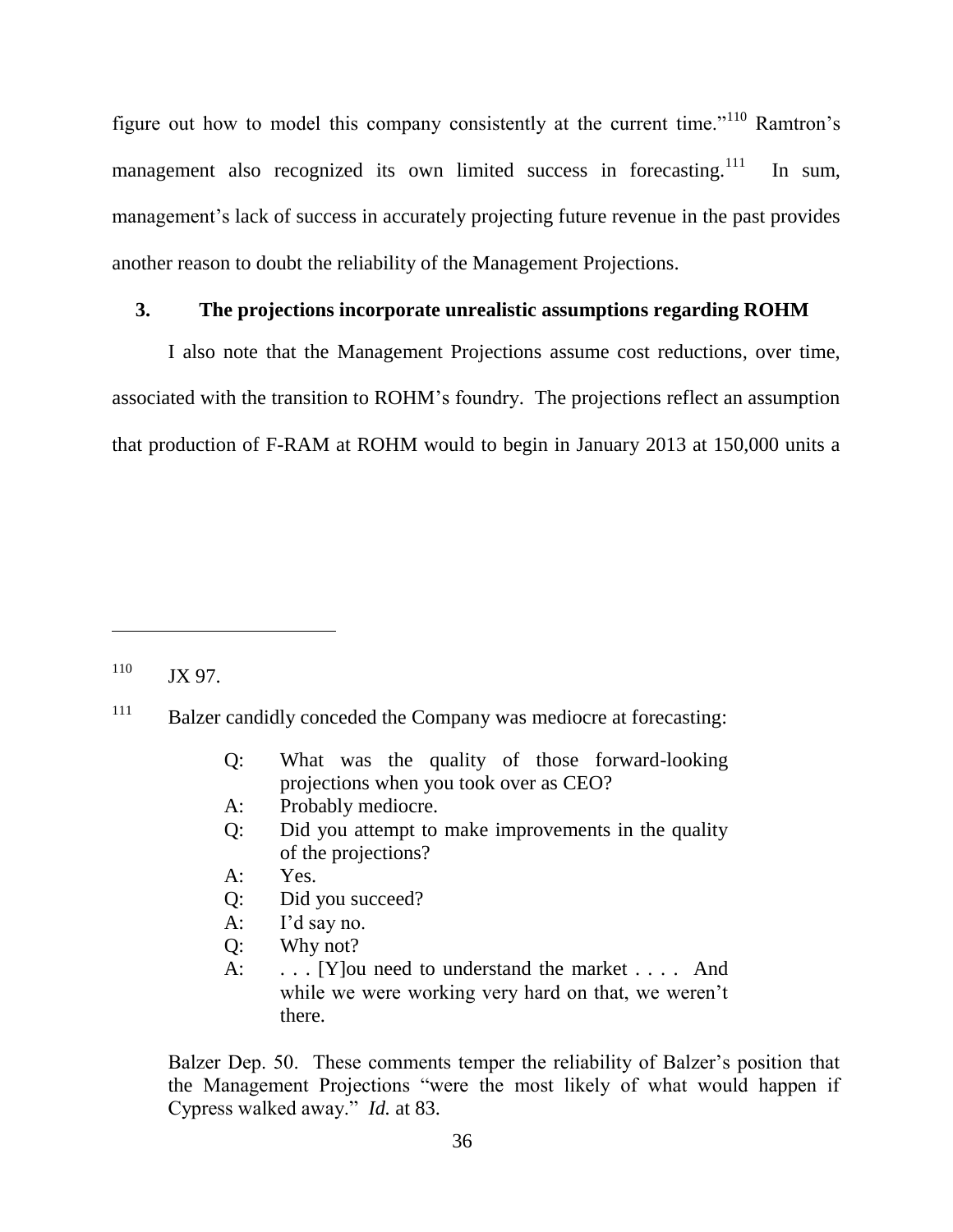figure out how to model this company consistently at the current time."<sup>110</sup> Ramtron's management also recognized its own limited success in forecasting.<sup>111</sup> In sum, management's lack of success in accurately projecting future revenue in the past provides another reason to doubt the reliability of the Management Projections.

## **3. The projections incorporate unrealistic assumptions regarding ROHM**

I also note that the Management Projections assume cost reductions, over time, associated with the transition to ROHM's foundry. The projections reflect an assumption that production of F-RAM at ROHM would to begin in January 2013 at 150,000 units a

- Q: What was the quality of those forward-looking projections when you took over as CEO?
- A: Probably mediocre.
- Q: Did you attempt to make improvements in the quality of the projections?
- A: Yes.
- Q: Did you succeed?
- A: I'd say no.
- Q: Why not?
- A: . . . [Y]ou need to understand the market . . . . And while we were working very hard on that, we weren't there.

Balzer Dep. 50. These comments temper the reliability of Balzer's position that the Management Projections "were the most likely of what would happen if Cypress walked away.‖ *Id.* at 83.

 $110$  JX 97.

<sup>&</sup>lt;sup>111</sup> Balzer candidly conceded the Company was mediocre at forecasting: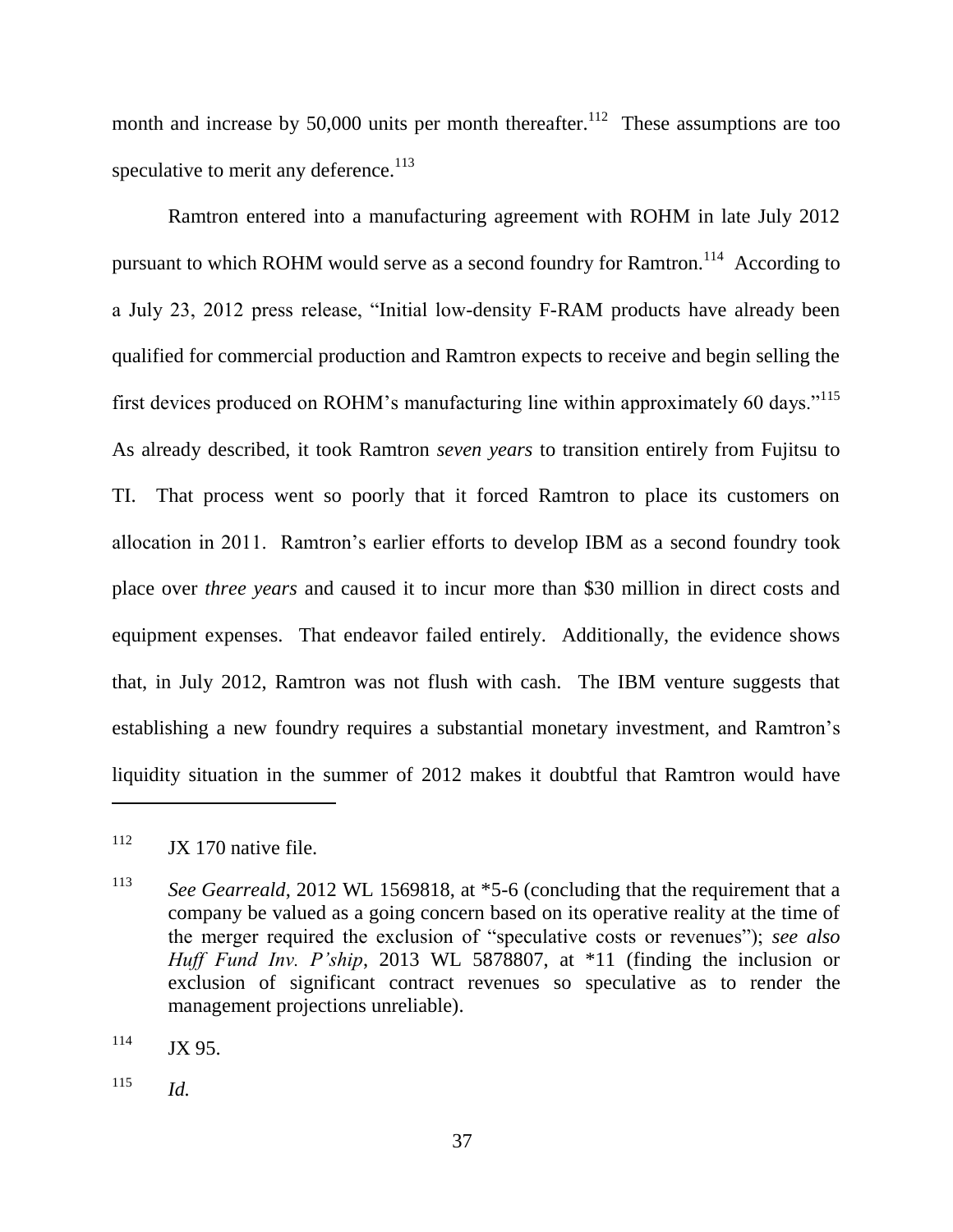month and increase by 50,000 units per month thereafter.<sup>112</sup> These assumptions are too speculative to merit any deference. $113$ 

Ramtron entered into a manufacturing agreement with ROHM in late July 2012 pursuant to which ROHM would serve as a second foundry for Ramtron.<sup>114</sup> According to a July 23, 2012 press release, "Initial low-density F-RAM products have already been qualified for commercial production and Ramtron expects to receive and begin selling the first devices produced on ROHM's manufacturing line within approximately 60 days."<sup>115</sup> As already described, it took Ramtron *seven years* to transition entirely from Fujitsu to TI. That process went so poorly that it forced Ramtron to place its customers on allocation in 2011. Ramtron's earlier efforts to develop IBM as a second foundry took place over *three years* and caused it to incur more than \$30 million in direct costs and equipment expenses. That endeavor failed entirely. Additionally, the evidence shows that, in July 2012, Ramtron was not flush with cash. The IBM venture suggests that establishing a new foundry requires a substantial monetary investment, and Ramtron's liquidity situation in the summer of 2012 makes it doubtful that Ramtron would have

 $112$  JX 170 native file.

<sup>&</sup>lt;sup>113</sup> *See Gearreald*, 2012 WL 1569818, at \*5-6 (concluding that the requirement that a company be valued as a going concern based on its operative reality at the time of the merger required the exclusion of "speculative costs or revenues"); *see also Huff Fund Inv. P'ship*, 2013 WL 5878807, at \*11 (finding the inclusion or exclusion of significant contract revenues so speculative as to render the management projections unreliable).

 $114$  JX 95.

<sup>115</sup> *Id.*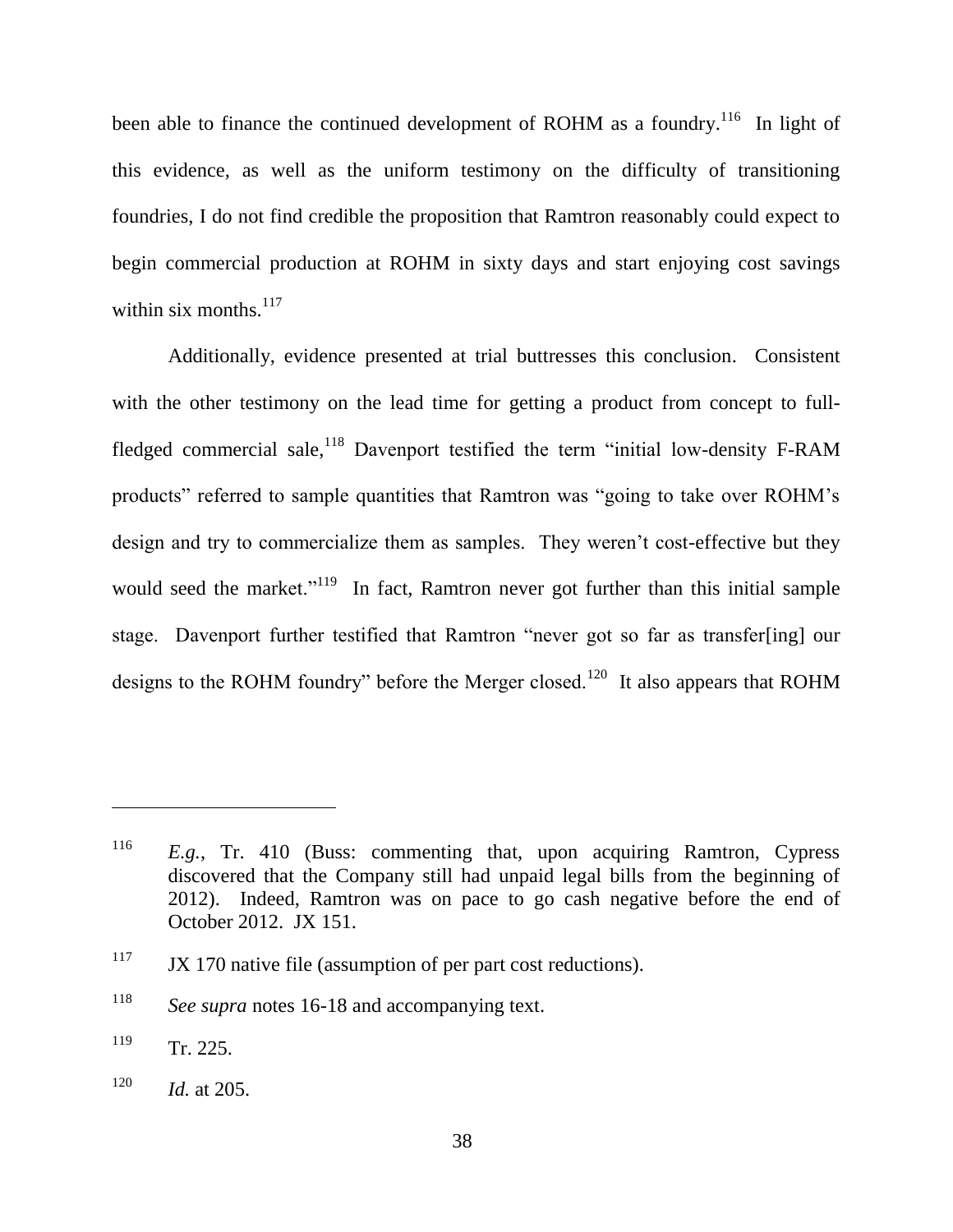been able to finance the continued development of ROHM as a foundry.<sup>116</sup> In light of this evidence, as well as the uniform testimony on the difficulty of transitioning foundries, I do not find credible the proposition that Ramtron reasonably could expect to begin commercial production at ROHM in sixty days and start enjoying cost savings within six months. $117$ 

Additionally, evidence presented at trial buttresses this conclusion. Consistent with the other testimony on the lead time for getting a product from concept to fullfledged commercial sale, $^{118}$  Davenport testified the term "initial low-density F-RAM products" referred to sample quantities that Ramtron was "going to take over ROHM's design and try to commercialize them as samples. They weren't cost-effective but they would seed the market."<sup>119</sup> In fact, Ramtron never got further than this initial sample stage. Davenport further testified that Ramtron "never got so far as transfer[ing] our designs to the ROHM foundry" before the Merger closed.<sup>120</sup> It also appears that ROHM

<sup>116</sup> *E.g.*, Tr. 410 (Buss: commenting that, upon acquiring Ramtron, Cypress discovered that the Company still had unpaid legal bills from the beginning of 2012). Indeed, Ramtron was on pace to go cash negative before the end of October 2012. JX 151.

 $117$  JX 170 native file (assumption of per part cost reductions).

<sup>118</sup> *See supra* notes 16-18 and accompanying text.

 $119$  Tr. 225.

<sup>120</sup> *Id.* at 205.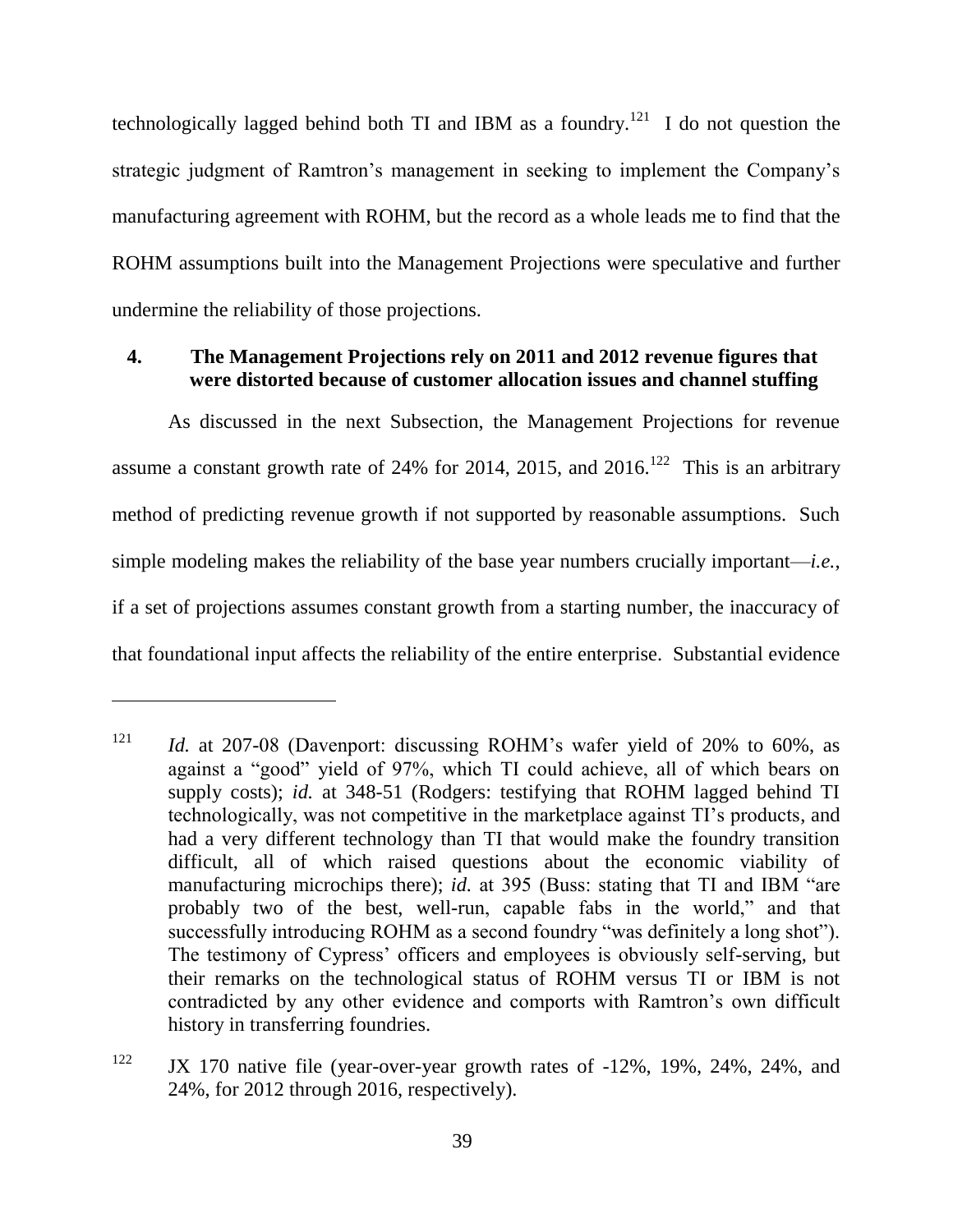technologically lagged behind both TI and IBM as a foundry.<sup>121</sup> I do not question the strategic judgment of Ramtron's management in seeking to implement the Company's manufacturing agreement with ROHM, but the record as a whole leads me to find that the ROHM assumptions built into the Management Projections were speculative and further undermine the reliability of those projections.

# **4. The Management Projections rely on 2011 and 2012 revenue figures that were distorted because of customer allocation issues and channel stuffing**

As discussed in the next Subsection, the Management Projections for revenue assume a constant growth rate of 24% for 2014, 2015, and 2016.<sup>122</sup> This is an arbitrary method of predicting revenue growth if not supported by reasonable assumptions. Such simple modeling makes the reliability of the base year numbers crucially important—*i.e.*, if a set of projections assumes constant growth from a starting number, the inaccuracy of that foundational input affects the reliability of the entire enterprise. Substantial evidence

<sup>&</sup>lt;sup>121</sup> *Id.* at 207-08 (Davenport: discussing ROHM's wafer yield of 20% to 60%, as against a "good" yield of 97%, which TI could achieve, all of which bears on supply costs); *id.* at 348-51 (Rodgers: testifying that ROHM lagged behind TI technologically, was not competitive in the marketplace against TI's products, and had a very different technology than TI that would make the foundry transition difficult, all of which raised questions about the economic viability of manufacturing microchips there); *id.* at 395 (Buss: stating that TI and IBM "are probably two of the best, well-run, capable fabs in the world," and that successfully introducing ROHM as a second foundry "was definitely a long shot"). The testimony of Cypress' officers and employees is obviously self-serving, but their remarks on the technological status of ROHM versus TI or IBM is not contradicted by any other evidence and comports with Ramtron's own difficult history in transferring foundries.

<sup>&</sup>lt;sup>122</sup> JX 170 native file (year-over-year growth rates of -12%, 19%, 24%, 24%, and 24%, for 2012 through 2016, respectively).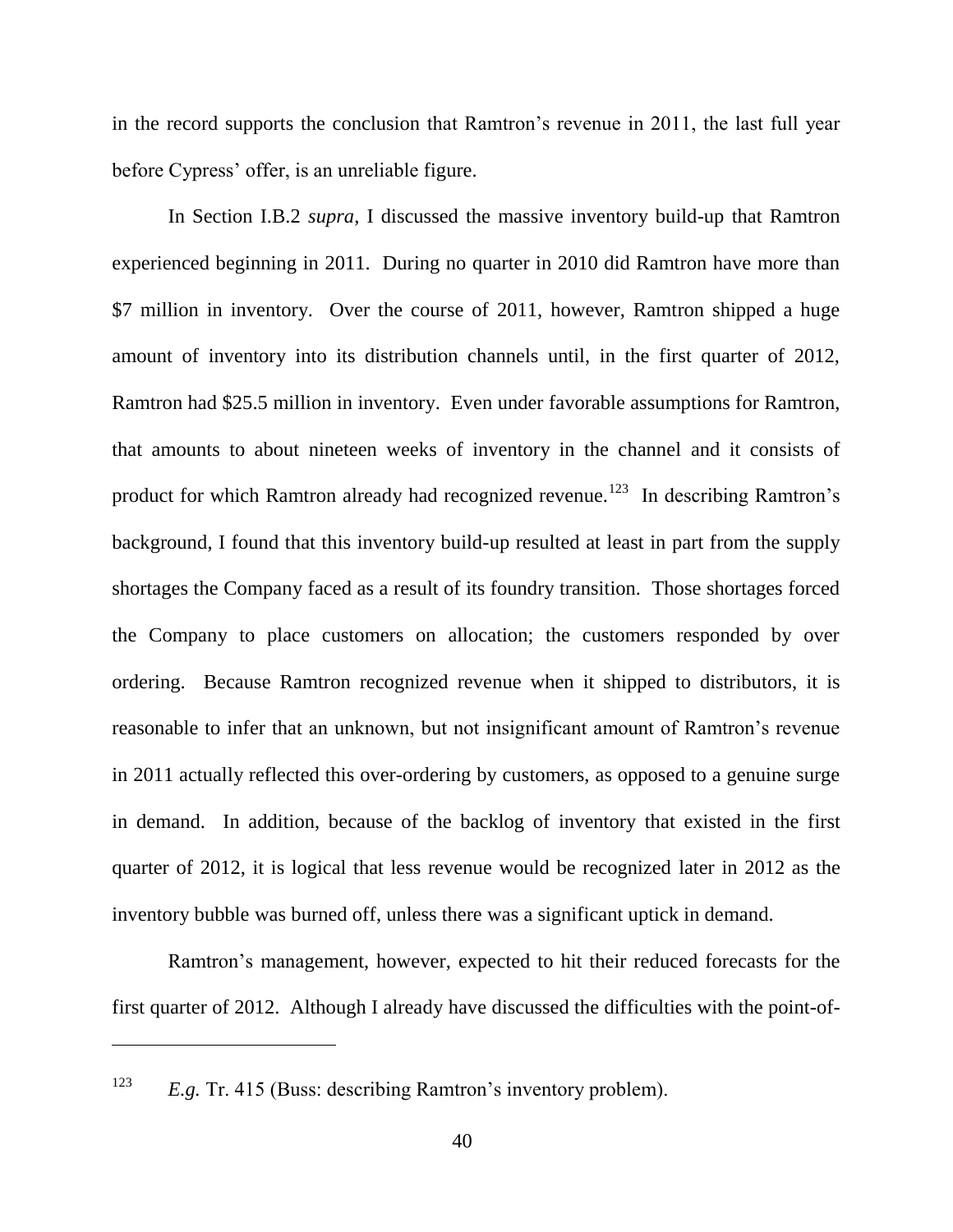in the record supports the conclusion that Ramtron's revenue in 2011, the last full year before Cypress' offer, is an unreliable figure.

In Section I.B.2 *supra*, I discussed the massive inventory build-up that Ramtron experienced beginning in 2011. During no quarter in 2010 did Ramtron have more than \$7 million in inventory. Over the course of 2011, however, Ramtron shipped a huge amount of inventory into its distribution channels until, in the first quarter of 2012, Ramtron had \$25.5 million in inventory. Even under favorable assumptions for Ramtron, that amounts to about nineteen weeks of inventory in the channel and it consists of product for which Ramtron already had recognized revenue.<sup>123</sup> In describing Ramtron's background, I found that this inventory build-up resulted at least in part from the supply shortages the Company faced as a result of its foundry transition. Those shortages forced the Company to place customers on allocation; the customers responded by over ordering. Because Ramtron recognized revenue when it shipped to distributors, it is reasonable to infer that an unknown, but not insignificant amount of Ramtron's revenue in 2011 actually reflected this over-ordering by customers, as opposed to a genuine surge in demand. In addition, because of the backlog of inventory that existed in the first quarter of 2012, it is logical that less revenue would be recognized later in 2012 as the inventory bubble was burned off, unless there was a significant uptick in demand.

Ramtron's management, however, expected to hit their reduced forecasts for the first quarter of 2012. Although I already have discussed the difficulties with the point-of-

<sup>123</sup> *E.g.* Tr. 415 (Buss: describing Ramtron's inventory problem).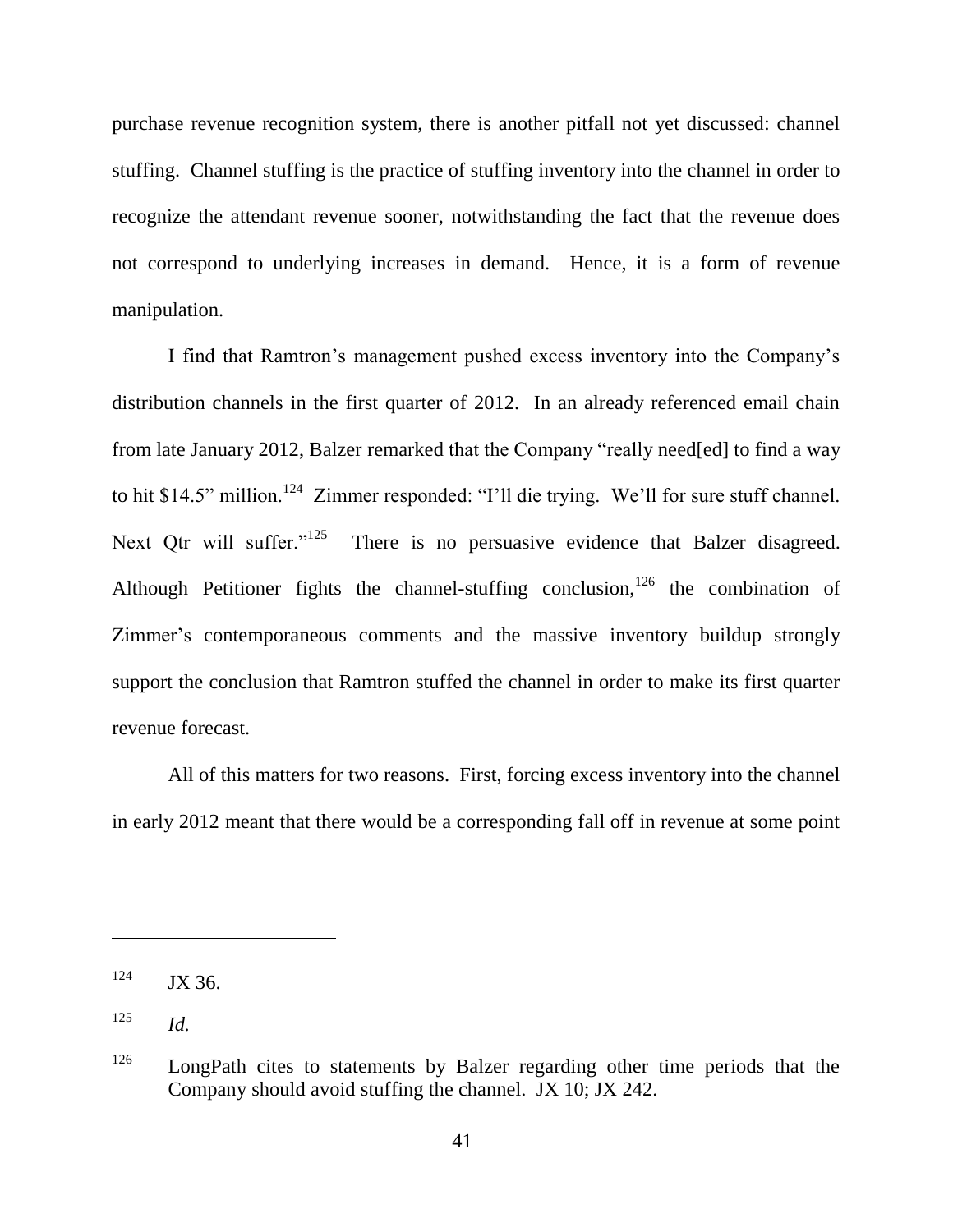purchase revenue recognition system, there is another pitfall not yet discussed: channel stuffing. Channel stuffing is the practice of stuffing inventory into the channel in order to recognize the attendant revenue sooner, notwithstanding the fact that the revenue does not correspond to underlying increases in demand. Hence, it is a form of revenue manipulation.

I find that Ramtron's management pushed excess inventory into the Company's distribution channels in the first quarter of 2012. In an already referenced email chain from late January 2012, Balzer remarked that the Company "really need[ed] to find a way to hit \$14.5" million.<sup>124</sup> Zimmer responded: "I'll die trying. We'll for sure stuff channel. Next Qtr will suffer. $n^{125}$  There is no persuasive evidence that Balzer disagreed. Although Petitioner fights the channel-stuffing conclusion,  $126$  the combination of Zimmer's contemporaneous comments and the massive inventory buildup strongly support the conclusion that Ramtron stuffed the channel in order to make its first quarter revenue forecast.

All of this matters for two reasons. First, forcing excess inventory into the channel in early 2012 meant that there would be a corresponding fall off in revenue at some point

 $124$  JX 36.

<sup>125</sup> *Id.*

 $126$  LongPath cites to statements by Balzer regarding other time periods that the Company should avoid stuffing the channel. JX 10; JX 242.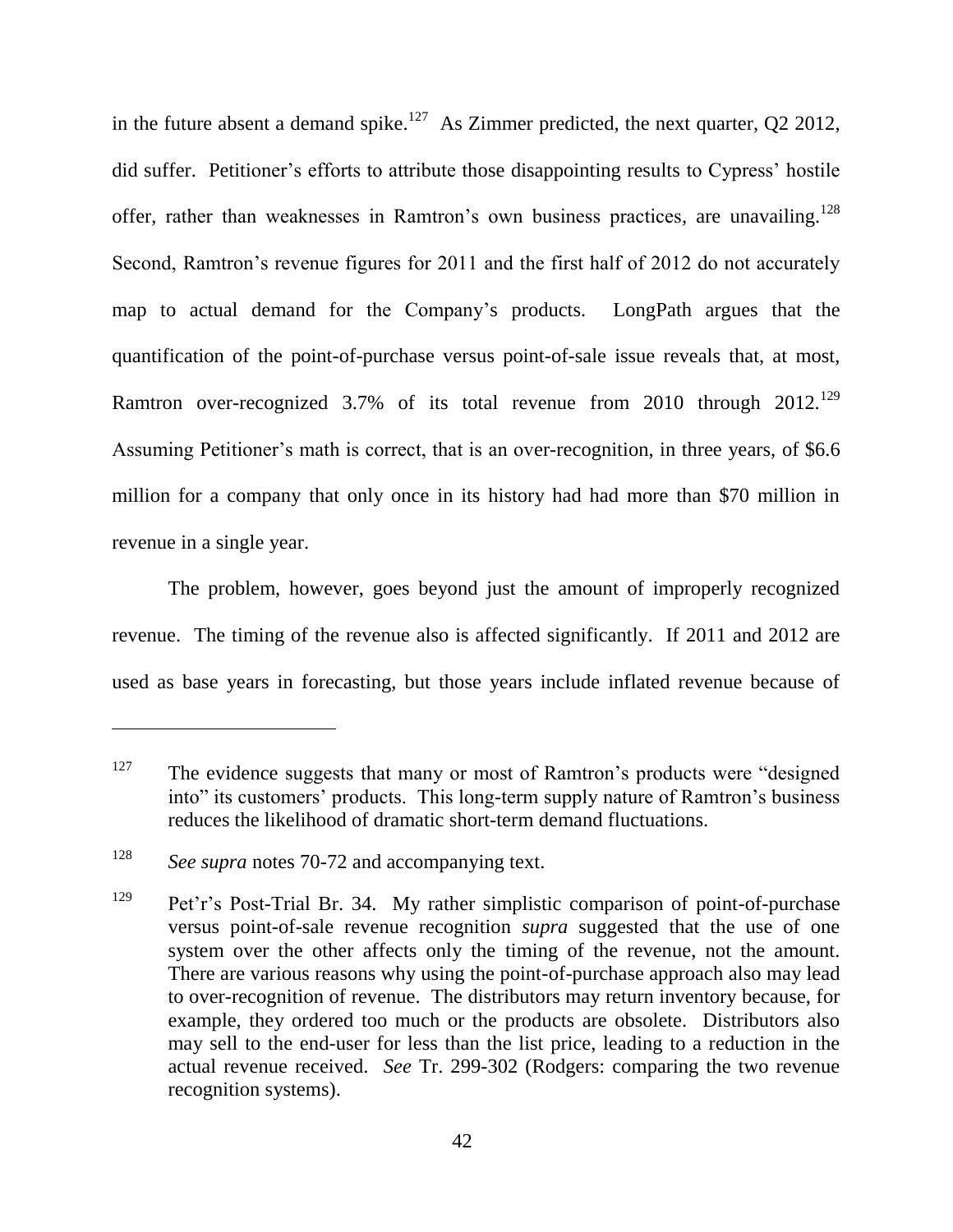in the future absent a demand spike.<sup>127</sup> As Zimmer predicted, the next quarter, Q2 2012, did suffer. Petitioner's efforts to attribute those disappointing results to Cypress' hostile offer, rather than weaknesses in Ramtron's own business practices, are unavailing.<sup>128</sup> Second, Ramtron's revenue figures for 2011 and the first half of 2012 do not accurately map to actual demand for the Company's products. LongPath argues that the quantification of the point-of-purchase versus point-of-sale issue reveals that, at most, Ramtron over-recognized 3.7% of its total revenue from 2010 through  $2012$ <sup>129</sup> Assuming Petitioner's math is correct, that is an over-recognition, in three years, of \$6.6 million for a company that only once in its history had had more than \$70 million in revenue in a single year.

The problem, however, goes beyond just the amount of improperly recognized revenue. The timing of the revenue also is affected significantly. If 2011 and 2012 are used as base years in forecasting, but those years include inflated revenue because of

<sup>&</sup>lt;sup>127</sup> The evidence suggests that many or most of Ramtron's products were "designed" into" its customers' products. This long-term supply nature of Ramtron's business reduces the likelihood of dramatic short-term demand fluctuations.

<sup>128</sup> *See supra* notes 70-72 and accompanying text.

<sup>129</sup> Pet'r's Post-Trial Br. 34. My rather simplistic comparison of point-of-purchase versus point-of-sale revenue recognition *supra* suggested that the use of one system over the other affects only the timing of the revenue, not the amount. There are various reasons why using the point-of-purchase approach also may lead to over-recognition of revenue. The distributors may return inventory because, for example, they ordered too much or the products are obsolete. Distributors also may sell to the end-user for less than the list price, leading to a reduction in the actual revenue received. *See* Tr. 299-302 (Rodgers: comparing the two revenue recognition systems).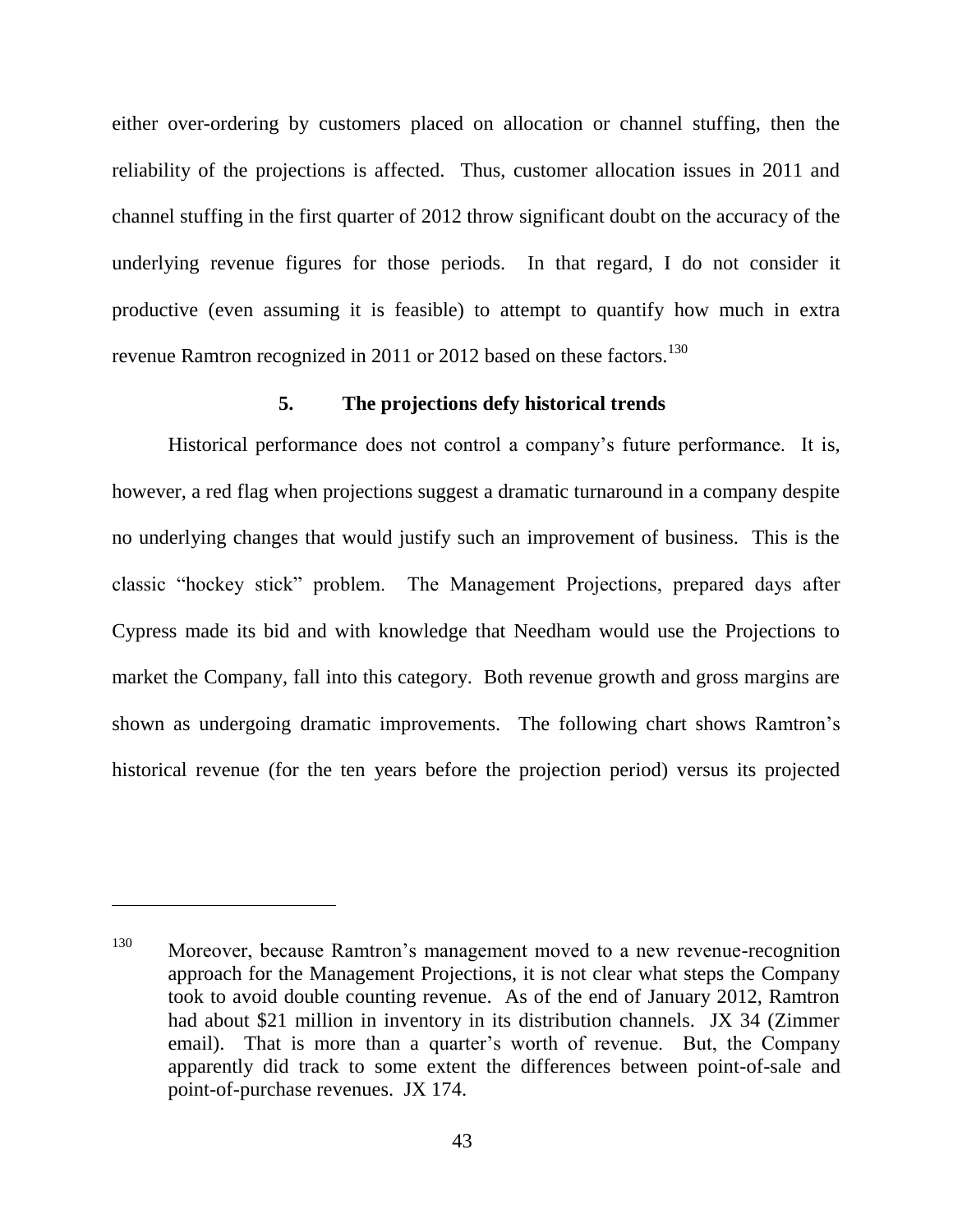either over-ordering by customers placed on allocation or channel stuffing, then the reliability of the projections is affected. Thus, customer allocation issues in 2011 and channel stuffing in the first quarter of 2012 throw significant doubt on the accuracy of the underlying revenue figures for those periods. In that regard, I do not consider it productive (even assuming it is feasible) to attempt to quantify how much in extra revenue Ramtron recognized in 2011 or 2012 based on these factors.<sup>130</sup>

# **5. The projections defy historical trends**

Historical performance does not control a company's future performance. It is, however, a red flag when projections suggest a dramatic turnaround in a company despite no underlying changes that would justify such an improvement of business. This is the classic "hockey stick" problem. The Management Projections, prepared days after Cypress made its bid and with knowledge that Needham would use the Projections to market the Company, fall into this category. Both revenue growth and gross margins are shown as undergoing dramatic improvements. The following chart shows Ramtron's historical revenue (for the ten years before the projection period) versus its projected

<sup>130</sup> Moreover, because Ramtron's management moved to a new revenue-recognition approach for the Management Projections, it is not clear what steps the Company took to avoid double counting revenue. As of the end of January 2012, Ramtron had about \$21 million in inventory in its distribution channels. JX 34 (Zimmer email). That is more than a quarter's worth of revenue. But, the Company apparently did track to some extent the differences between point-of-sale and point-of-purchase revenues. JX 174.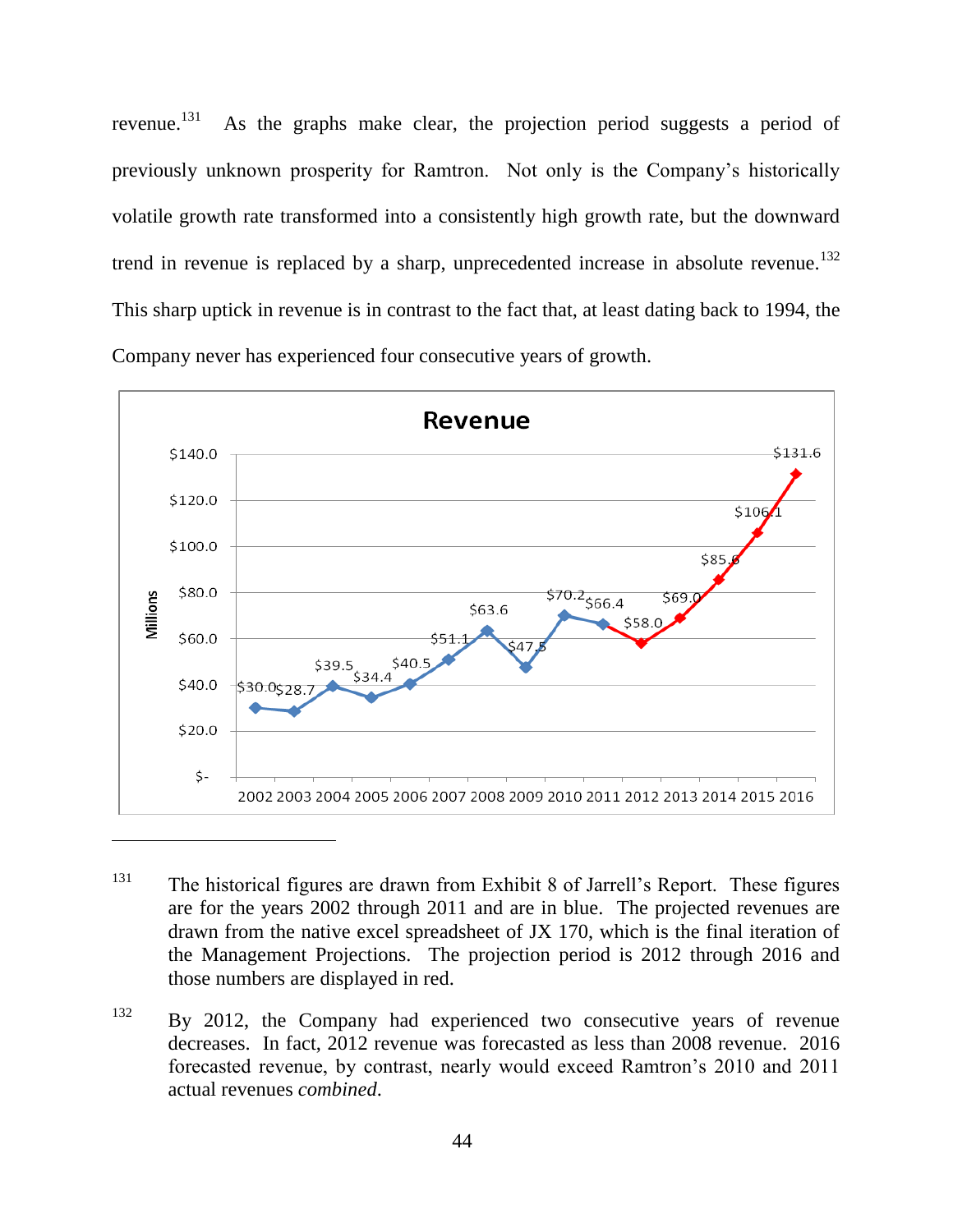revenue. 131 As the graphs make clear, the projection period suggests a period of previously unknown prosperity for Ramtron. Not only is the Company's historically volatile growth rate transformed into a consistently high growth rate, but the downward trend in revenue is replaced by a sharp, unprecedented increase in absolute revenue.<sup>132</sup> This sharp uptick in revenue is in contrast to the fact that, at least dating back to 1994, the Company never has experienced four consecutive years of growth.



- <sup>131</sup> The historical figures are drawn from Exhibit 8 of Jarrell's Report. These figures are for the years 2002 through 2011 and are in blue. The projected revenues are drawn from the native excel spreadsheet of JX 170, which is the final iteration of the Management Projections. The projection period is 2012 through 2016 and those numbers are displayed in red.
- <sup>132</sup> By 2012, the Company had experienced two consecutive years of revenue decreases. In fact, 2012 revenue was forecasted as less than 2008 revenue. 2016 forecasted revenue, by contrast, nearly would exceed Ramtron's 2010 and 2011 actual revenues *combined*.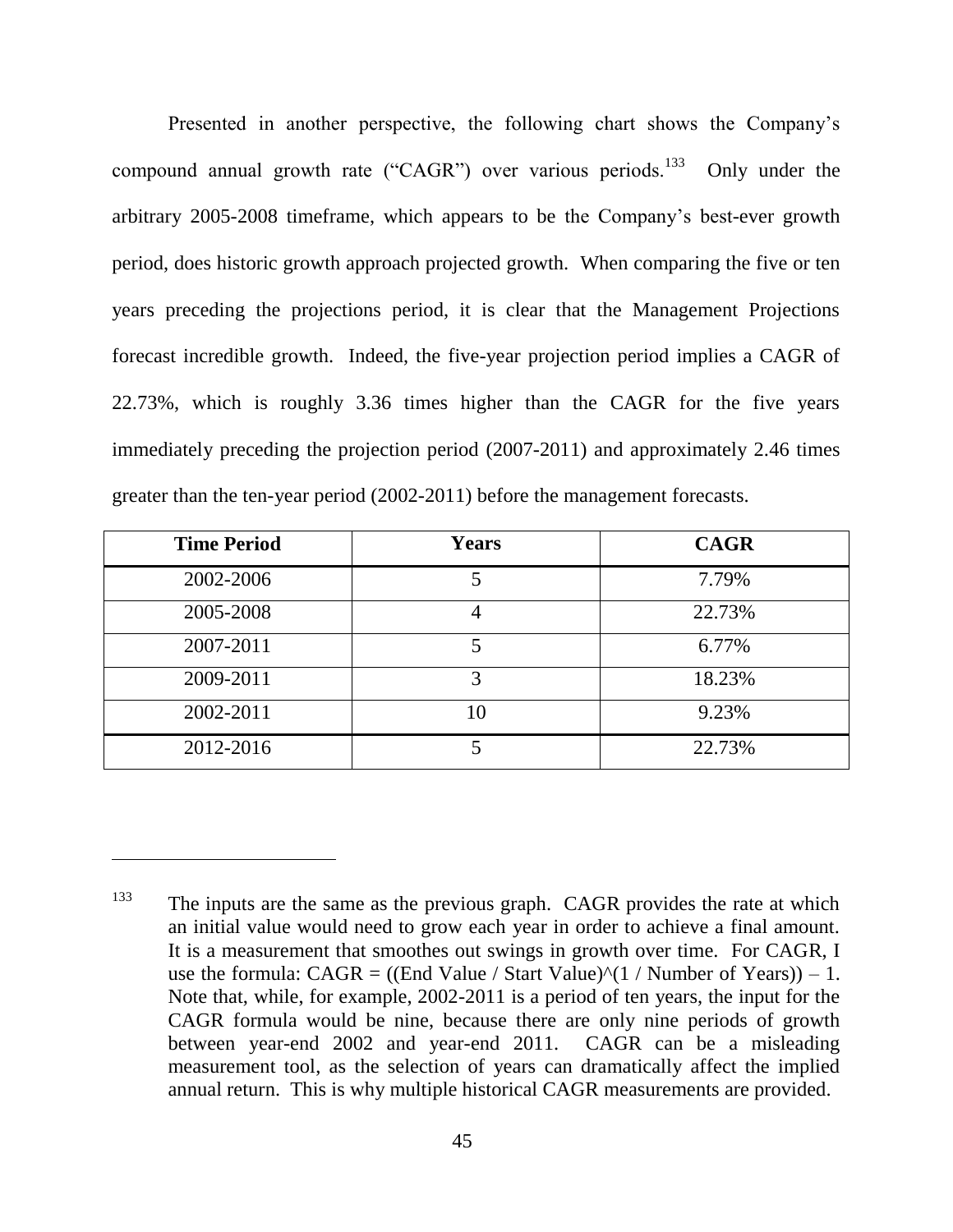Presented in another perspective, the following chart shows the Company's compound annual growth rate ("CAGR") over various periods.<sup>133</sup> Only under the arbitrary 2005-2008 timeframe, which appears to be the Company's best-ever growth period, does historic growth approach projected growth. When comparing the five or ten years preceding the projections period, it is clear that the Management Projections forecast incredible growth. Indeed, the five-year projection period implies a CAGR of 22.73%, which is roughly 3.36 times higher than the CAGR for the five years immediately preceding the projection period (2007-2011) and approximately 2.46 times greater than the ten-year period (2002-2011) before the management forecasts.

| <b>Time Period</b> | <b>Years</b> | <b>CAGR</b> |
|--------------------|--------------|-------------|
| 2002-2006          |              | 7.79%       |
| 2005-2008          |              | 22.73%      |
| 2007-2011          | 5            | 6.77%       |
| 2009-2011          | 3            | 18.23%      |
| 2002-2011          | 10           | 9.23%       |
| 2012-2016          |              | 22.73%      |

<sup>&</sup>lt;sup>133</sup> The inputs are the same as the previous graph. CAGR provides the rate at which an initial value would need to grow each year in order to achieve a final amount. It is a measurement that smoothes out swings in growth over time. For CAGR, I use the formula:  $CAGR = ((End Value / Start Value)^(1 / Number of Years)) - 1$ . Note that, while, for example, 2002-2011 is a period of ten years, the input for the CAGR formula would be nine, because there are only nine periods of growth between year-end 2002 and year-end 2011. CAGR can be a misleading measurement tool, as the selection of years can dramatically affect the implied annual return. This is why multiple historical CAGR measurements are provided.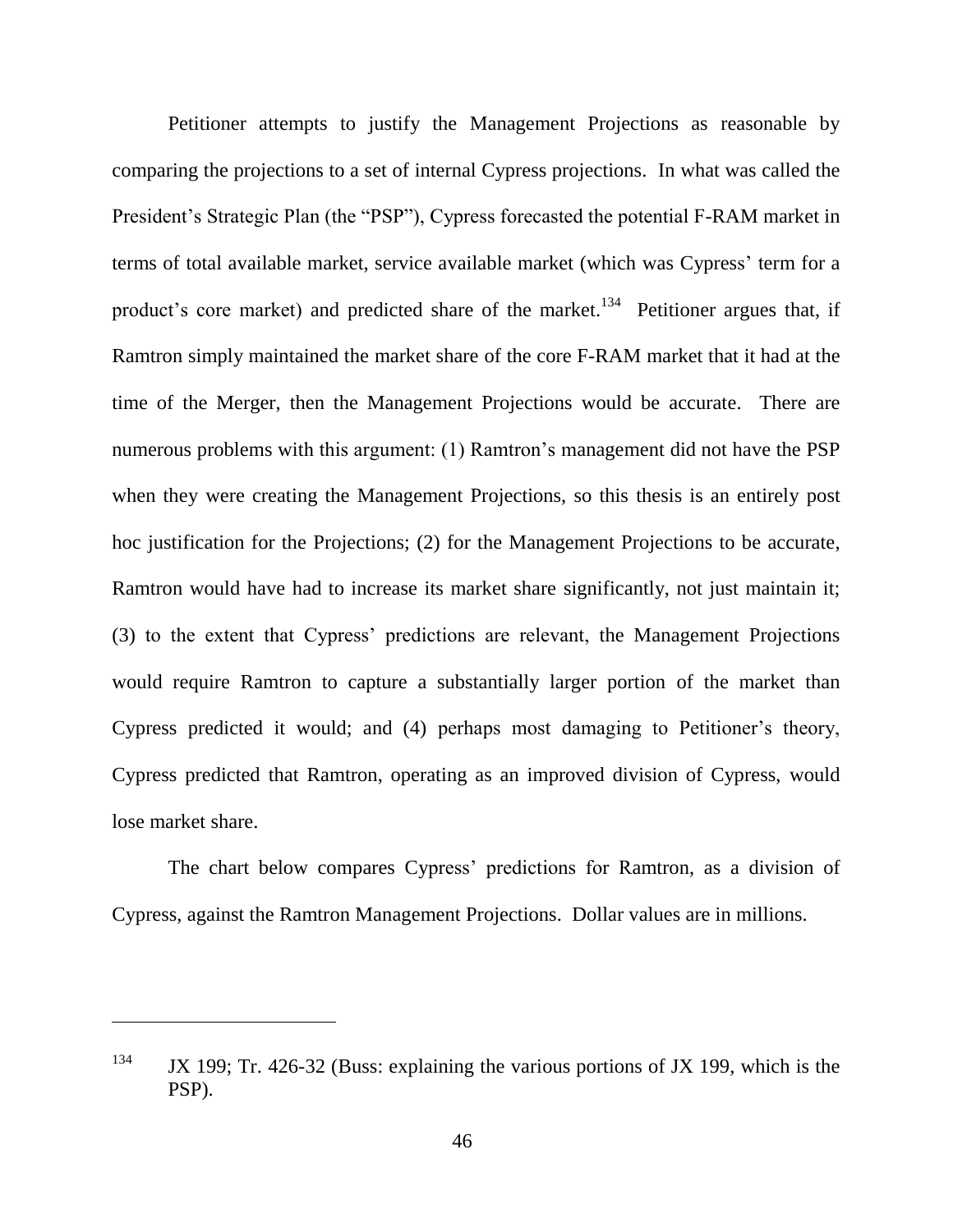Petitioner attempts to justify the Management Projections as reasonable by comparing the projections to a set of internal Cypress projections. In what was called the President's Strategic Plan (the "PSP"), Cypress forecasted the potential F-RAM market in terms of total available market, service available market (which was Cypress' term for a product's core market) and predicted share of the market.<sup>134</sup> Petitioner argues that, if Ramtron simply maintained the market share of the core F-RAM market that it had at the time of the Merger, then the Management Projections would be accurate. There are numerous problems with this argument: (1) Ramtron's management did not have the PSP when they were creating the Management Projections, so this thesis is an entirely post hoc justification for the Projections; (2) for the Management Projections to be accurate, Ramtron would have had to increase its market share significantly, not just maintain it; (3) to the extent that Cypress' predictions are relevant, the Management Projections would require Ramtron to capture a substantially larger portion of the market than Cypress predicted it would; and (4) perhaps most damaging to Petitioner's theory, Cypress predicted that Ramtron, operating as an improved division of Cypress, would lose market share.

The chart below compares Cypress' predictions for Ramtron, as a division of Cypress, against the Ramtron Management Projections. Dollar values are in millions.

<sup>&</sup>lt;sup>134</sup> JX 199; Tr. 426-32 (Buss: explaining the various portions of JX 199, which is the PSP).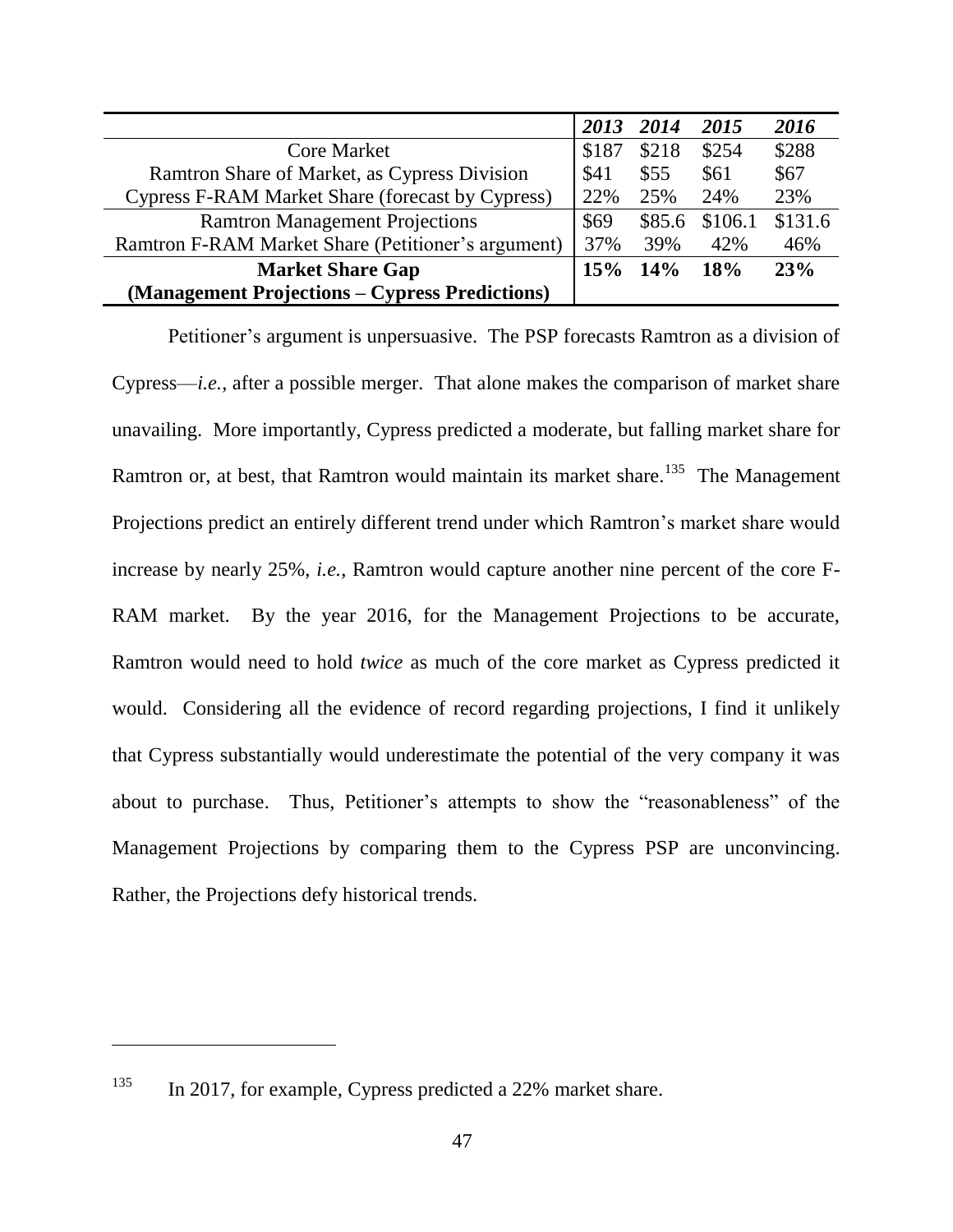|                                                    | 2013 | 2014   | 2015    | 2016    |
|----------------------------------------------------|------|--------|---------|---------|
| <b>Core Market</b>                                 |      | \$218  | \$254   | \$288   |
| Ramtron Share of Market, as Cypress Division       |      | \$55   | \$61    | \$67    |
| Cypress F-RAM Market Share (forecast by Cypress)   |      | 25%    | 24%     | 23%     |
| <b>Ramtron Management Projections</b>              |      | \$85.6 | \$106.1 | \$131.6 |
| Ramtron F-RAM Market Share (Petitioner's argument) |      | 39%    | 42%     | 46%     |
| <b>Market Share Gap</b>                            |      | 14%    | 18%     | 23%     |
| (Management Projections - Cypress Predictions)     |      |        |         |         |

Petitioner's argument is unpersuasive. The PSP forecasts Ramtron as a division of Cypress—*i.e.*, after a possible merger. That alone makes the comparison of market share unavailing. More importantly, Cypress predicted a moderate, but falling market share for Ramtron or, at best, that Ramtron would maintain its market share.<sup>135</sup> The Management Projections predict an entirely different trend under which Ramtron's market share would increase by nearly 25%, *i.e.*, Ramtron would capture another nine percent of the core F-RAM market. By the year 2016, for the Management Projections to be accurate, Ramtron would need to hold *twice* as much of the core market as Cypress predicted it would. Considering all the evidence of record regarding projections, I find it unlikely that Cypress substantially would underestimate the potential of the very company it was about to purchase. Thus, Petitioner's attempts to show the "reasonableness" of the Management Projections by comparing them to the Cypress PSP are unconvincing. Rather, the Projections defy historical trends.

<sup>&</sup>lt;sup>135</sup> In 2017, for example, Cypress predicted a 22% market share.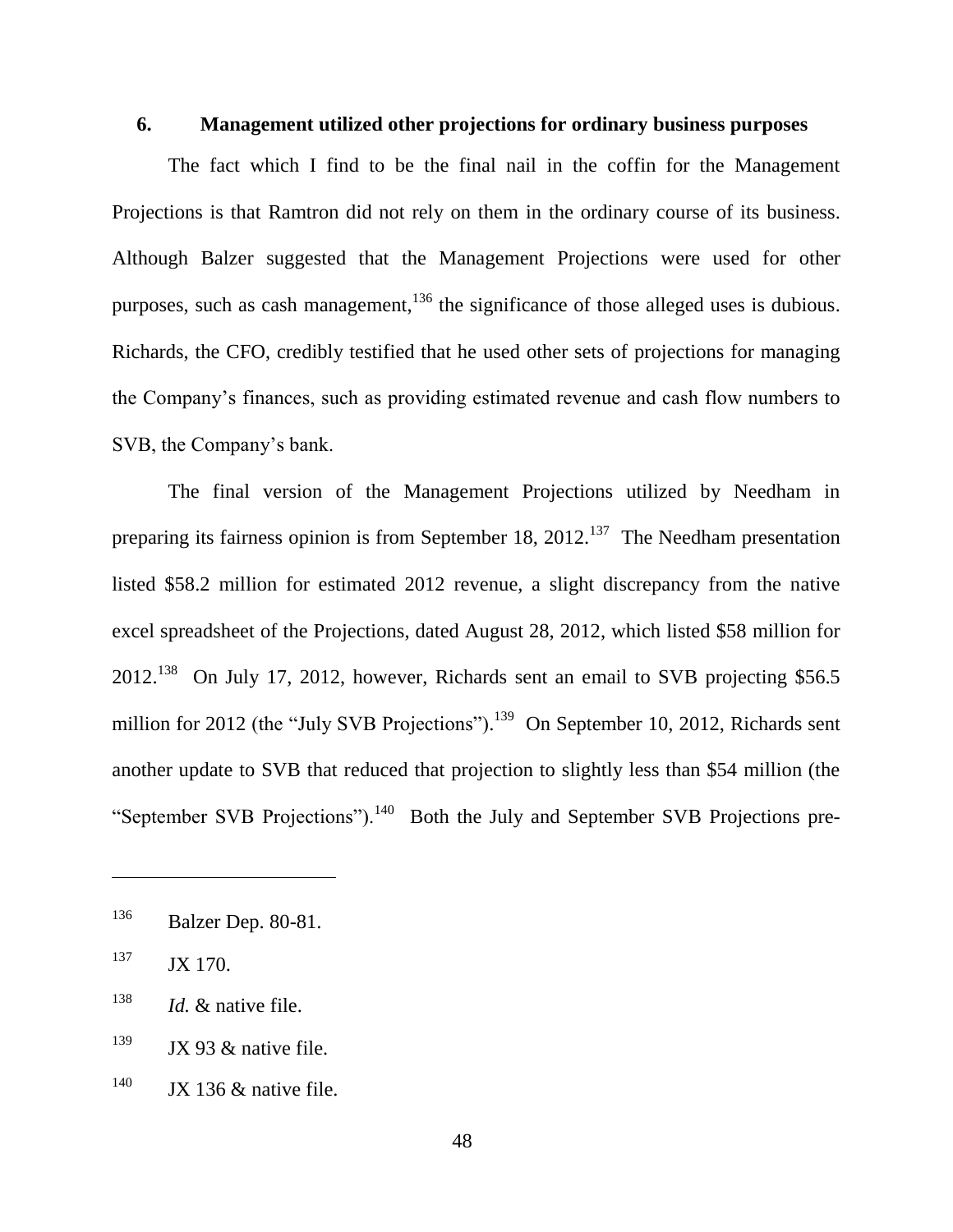## **6. Management utilized other projections for ordinary business purposes**

The fact which I find to be the final nail in the coffin for the Management Projections is that Ramtron did not rely on them in the ordinary course of its business. Although Balzer suggested that the Management Projections were used for other purposes, such as cash management,<sup>136</sup> the significance of those alleged uses is dubious. Richards, the CFO, credibly testified that he used other sets of projections for managing the Company's finances, such as providing estimated revenue and cash flow numbers to SVB, the Company's bank.

The final version of the Management Projections utilized by Needham in preparing its fairness opinion is from September 18, 2012.<sup>137</sup> The Needham presentation listed \$58.2 million for estimated 2012 revenue, a slight discrepancy from the native excel spreadsheet of the Projections, dated August 28, 2012, which listed \$58 million for  $2012.<sup>138</sup>$  On July 17, 2012, however, Richards sent an email to SVB projecting \$56.5 million for 2012 (the "July SVB Projections"). <sup>139</sup> On September 10, 2012, Richards sent another update to SVB that reduced that projection to slightly less than \$54 million (the "September SVB Projections").<sup>140</sup> Both the July and September SVB Projections pre-

<sup>136</sup> Balzer Dep. 80-81.

 $137$  JX 170.

<sup>138</sup> *Id.* & native file.

 $139$  JX 93 & native file.

 $140$  JX 136 & native file.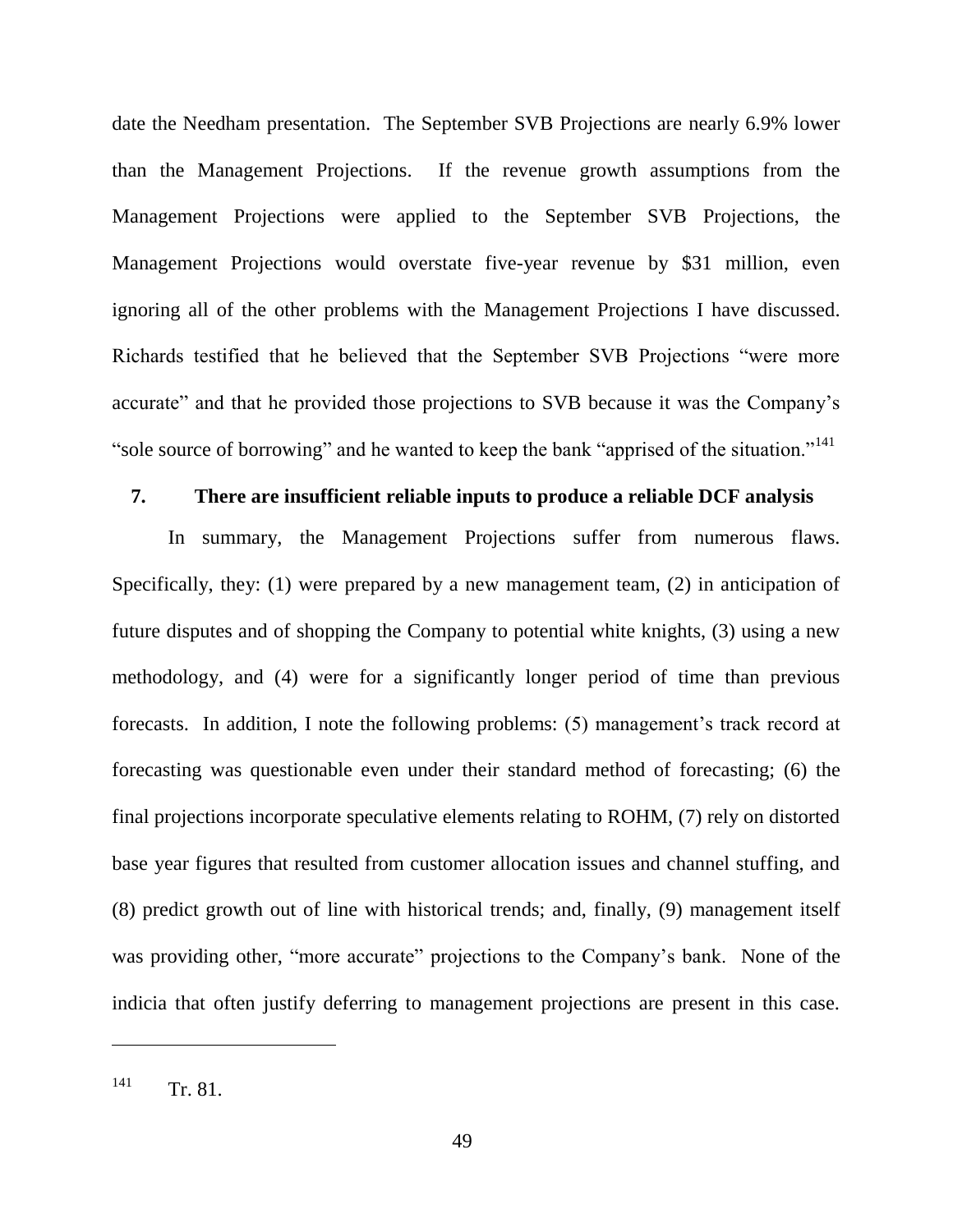date the Needham presentation. The September SVB Projections are nearly 6.9% lower than the Management Projections. If the revenue growth assumptions from the Management Projections were applied to the September SVB Projections, the Management Projections would overstate five-year revenue by \$31 million, even ignoring all of the other problems with the Management Projections I have discussed. Richards testified that he believed that the September SVB Projections "were more accurate" and that he provided those projections to SVB because it was the Company's "sole source of borrowing" and he wanted to keep the bank "apprised of the situation."<sup>141</sup>

#### **7. There are insufficient reliable inputs to produce a reliable DCF analysis**

In summary, the Management Projections suffer from numerous flaws. Specifically, they: (1) were prepared by a new management team, (2) in anticipation of future disputes and of shopping the Company to potential white knights, (3) using a new methodology, and (4) were for a significantly longer period of time than previous forecasts. In addition, I note the following problems: (5) management's track record at forecasting was questionable even under their standard method of forecasting; (6) the final projections incorporate speculative elements relating to ROHM, (7) rely on distorted base year figures that resulted from customer allocation issues and channel stuffing, and (8) predict growth out of line with historical trends; and, finally, (9) management itself was providing other, "more accurate" projections to the Company's bank. None of the indicia that often justify deferring to management projections are present in this case.

 $141$  Tr. 81.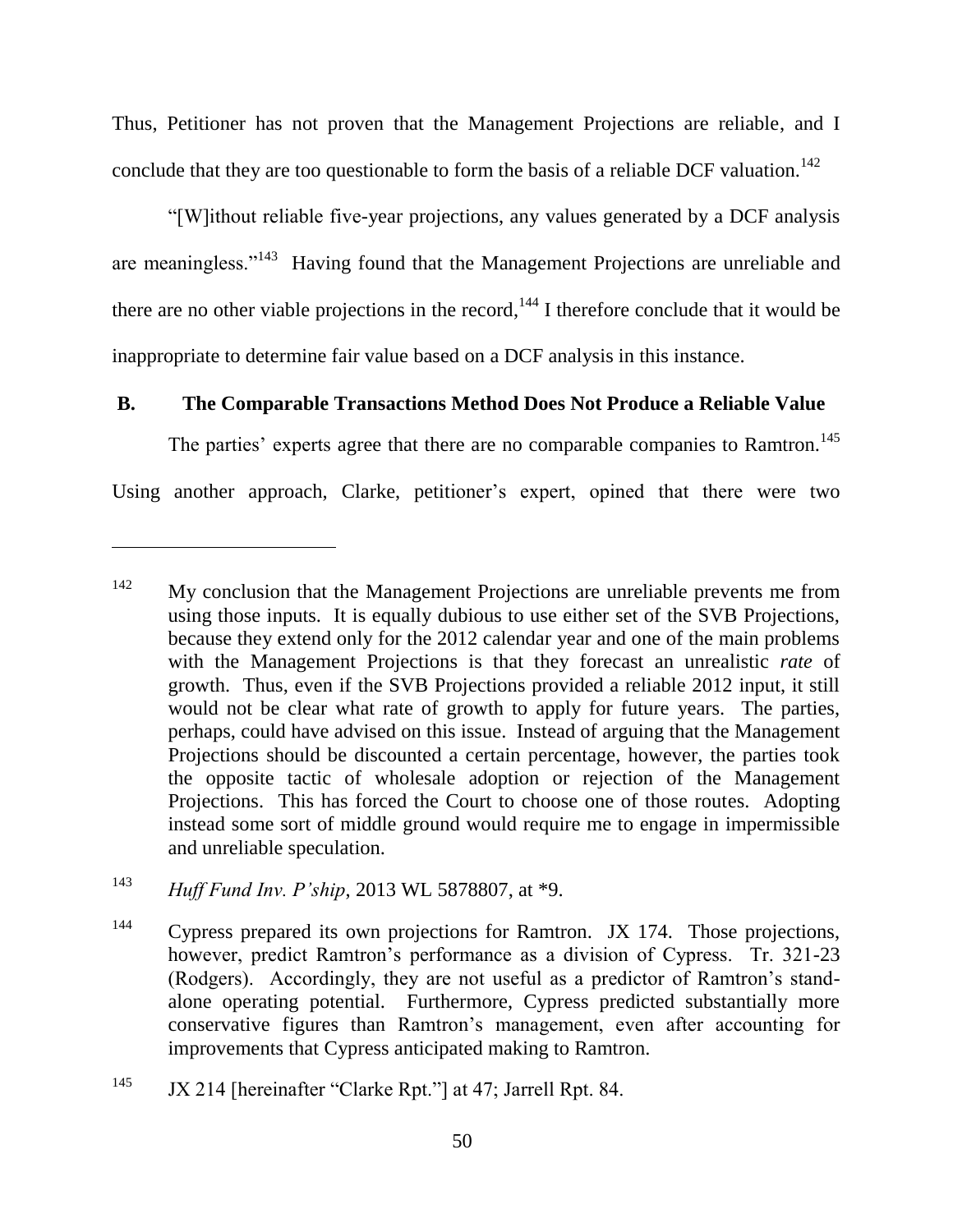Thus, Petitioner has not proven that the Management Projections are reliable, and I conclude that they are too questionable to form the basis of a reliable DCF valuation.<sup>142</sup>

―[W]ithout reliable five-year projections, any values generated by a DCF analysis are meaningless."<sup>143</sup> Having found that the Management Projections are unreliable and there are no other viable projections in the record,  $144$  I therefore conclude that it would be inappropriate to determine fair value based on a DCF analysis in this instance.

# **B. The Comparable Transactions Method Does Not Produce a Reliable Value**

The parties' experts agree that there are no comparable companies to Ramtron.<sup>145</sup>

Using another approach, Clarke, petitioner's expert, opined that there were two

<sup>&</sup>lt;sup>142</sup> My conclusion that the Management Projections are unreliable prevents me from using those inputs. It is equally dubious to use either set of the SVB Projections, because they extend only for the 2012 calendar year and one of the main problems with the Management Projections is that they forecast an unrealistic *rate* of growth. Thus, even if the SVB Projections provided a reliable 2012 input, it still would not be clear what rate of growth to apply for future years. The parties, perhaps, could have advised on this issue. Instead of arguing that the Management Projections should be discounted a certain percentage, however, the parties took the opposite tactic of wholesale adoption or rejection of the Management Projections. This has forced the Court to choose one of those routes. Adopting instead some sort of middle ground would require me to engage in impermissible and unreliable speculation.

<sup>143</sup> *Huff Fund Inv. P'ship*, 2013 WL 5878807, at \*9.

<sup>&</sup>lt;sup>144</sup> Cypress prepared its own projections for Ramtron. JX 174. Those projections, however, predict Ramtron's performance as a division of Cypress. Tr. 321-23 (Rodgers). Accordingly, they are not useful as a predictor of Ramtron's standalone operating potential. Furthermore, Cypress predicted substantially more conservative figures than Ramtron's management, even after accounting for improvements that Cypress anticipated making to Ramtron.

 $145$  JX 214 [hereinafter "Clarke Rpt."] at 47; Jarrell Rpt. 84.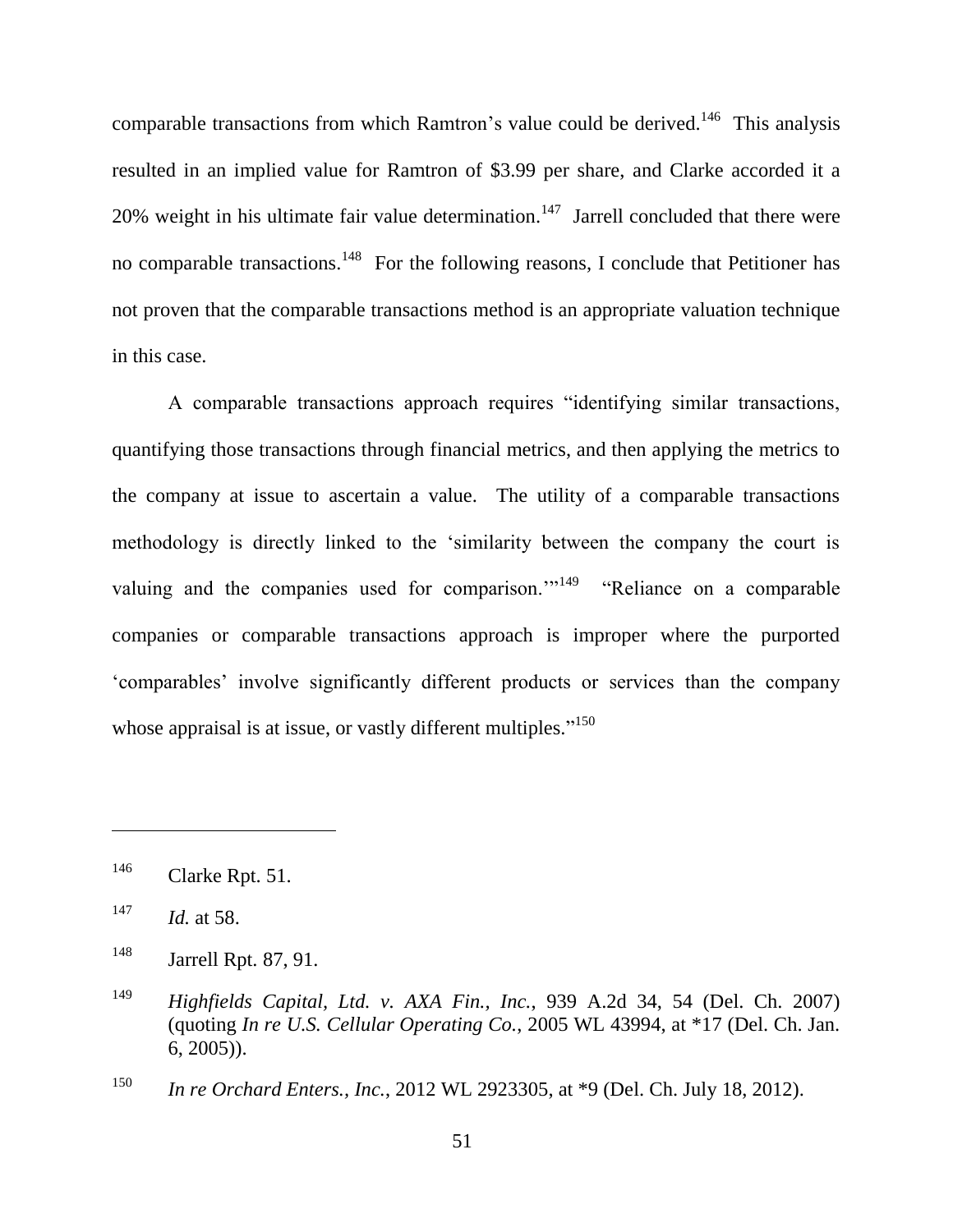comparable transactions from which Ramtron's value could be derived.<sup>146</sup> This analysis resulted in an implied value for Ramtron of \$3.99 per share, and Clarke accorded it a 20% weight in his ultimate fair value determination.<sup>147</sup> Jarrell concluded that there were no comparable transactions.<sup>148</sup> For the following reasons, I conclude that Petitioner has not proven that the comparable transactions method is an appropriate valuation technique in this case.

A comparable transactions approach requires "identifying similar transactions, quantifying those transactions through financial metrics, and then applying the metrics to the company at issue to ascertain a value. The utility of a comparable transactions methodology is directly linked to the 'similarity between the company the court is valuing and the companies used for comparison."<sup>149</sup> "Reliance on a comparable companies or comparable transactions approach is improper where the purported ‗comparables' involve significantly different products or services than the company whose appraisal is at issue, or vastly different multiples. $150$ 

 $^{146}$  Clarke Rpt. 51.

 $147$  *Id.* at 58.

<sup>148</sup> Jarrell Rpt. 87, 91.

<sup>149</sup> *Highfields Capital, Ltd. v. AXA Fin., Inc.*, 939 A.2d 34, 54 (Del. Ch. 2007) (quoting *In re U.S. Cellular Operating Co.*, 2005 WL 43994, at \*17 (Del. Ch. Jan. 6, 2005)).

<sup>150</sup> *In re Orchard Enters., Inc.*, 2012 WL 2923305, at \*9 (Del. Ch. July 18, 2012).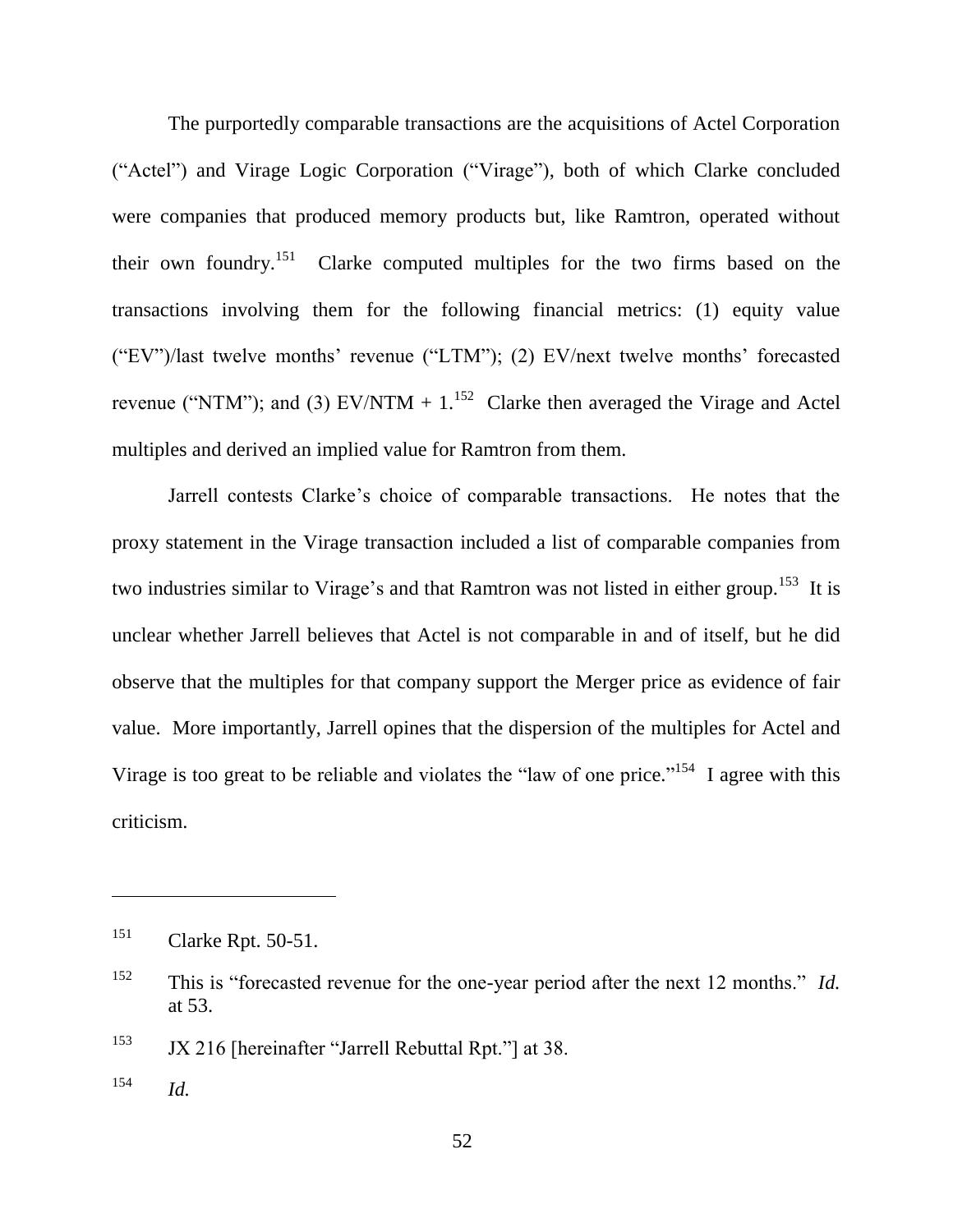The purportedly comparable transactions are the acquisitions of Actel Corporation ("Actel") and Virage Logic Corporation ("Virage"), both of which Clarke concluded were companies that produced memory products but, like Ramtron, operated without their own foundry.<sup>151</sup> Clarke computed multiples for the two firms based on the transactions involving them for the following financial metrics: (1) equity value  $('EV")$ /last twelve months' revenue ("LTM"); (2) EV/next twelve months' forecasted revenue ("NTM"); and (3)  $EV/NTM + 1$ .<sup>152</sup> Clarke then averaged the Virage and Actel multiples and derived an implied value for Ramtron from them.

Jarrell contests Clarke's choice of comparable transactions. He notes that the proxy statement in the Virage transaction included a list of comparable companies from two industries similar to Virage's and that Ramtron was not listed in either group.<sup>153</sup> It is unclear whether Jarrell believes that Actel is not comparable in and of itself, but he did observe that the multiples for that company support the Merger price as evidence of fair value. More importantly, Jarrell opines that the dispersion of the multiples for Actel and Virage is too great to be reliable and violates the "law of one price."<sup>154</sup> I agree with this criticism.

 $153$  JX 216 [hereinafter "Jarrell Rebuttal Rpt."] at 38.

 $154$  *Id.* 

<sup>151</sup> Clarke Rpt. 50-51.

<sup>&</sup>lt;sup>152</sup> This is "forecasted revenue for the one-year period after the next 12 months." *Id.* at 53.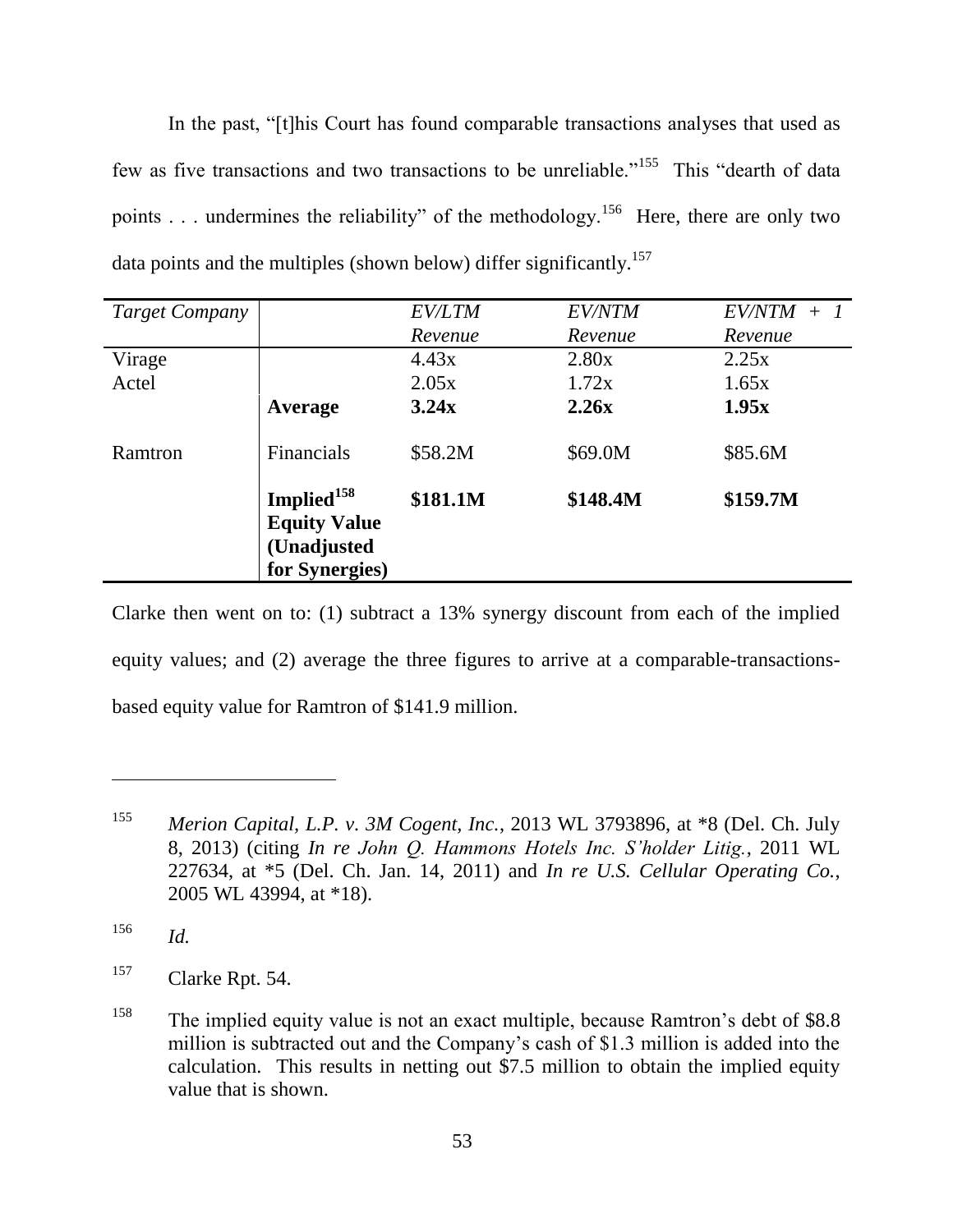In the past, "[t]his Court has found comparable transactions analyses that used as few as five transactions and two transactions to be unreliable."<sup>155</sup> This "dearth of data points . . . undermines the reliability" of the methodology.<sup>156</sup> Here, there are only two data points and the multiples (shown below) differ significantly.<sup>157</sup>

| <b>Target Company</b> |                                                              | <b>EV/LTM</b> | <b>EV/NTM</b> | $EV/NTM +$ |
|-----------------------|--------------------------------------------------------------|---------------|---------------|------------|
|                       |                                                              | Revenue       | Revenue       | Revenue    |
| Virage                |                                                              | 4.43x         | 2.80x         | 2.25x      |
| Actel                 |                                                              | 2.05x         | 1.72x         | 1.65x      |
|                       | Average                                                      | 3.24x         | 2.26x         | 1.95x      |
| Ramtron               | <b>Financials</b>                                            | \$58.2M       | \$69.0M       | \$85.6M    |
|                       | Implied <sup>158</sup><br><b>Equity Value</b><br>(Unadjusted | \$181.1M      | \$148.4M      | \$159.7M   |
|                       | for Synergies)                                               |               |               |            |

Clarke then went on to: (1) subtract a 13% synergy discount from each of the implied equity values; and (2) average the three figures to arrive at a comparable-transactionsbased equity value for Ramtron of \$141.9 million.

<sup>155</sup> *Merion Capital, L.P. v. 3M Cogent, Inc.*, 2013 WL 3793896, at \*8 (Del. Ch. July 8, 2013) (citing *In re John Q. Hammons Hotels Inc. S'holder Litig.*, 2011 WL 227634, at \*5 (Del. Ch. Jan. 14, 2011) and *In re U.S. Cellular Operating Co.*, 2005 WL 43994, at \*18).

<sup>156</sup> *Id.*

<sup>157</sup> Clarke Rpt. 54.

<sup>&</sup>lt;sup>158</sup> The implied equity value is not an exact multiple, because Ramtron's debt of \$8.8 million is subtracted out and the Company's cash of \$1.3 million is added into the calculation. This results in netting out \$7.5 million to obtain the implied equity value that is shown.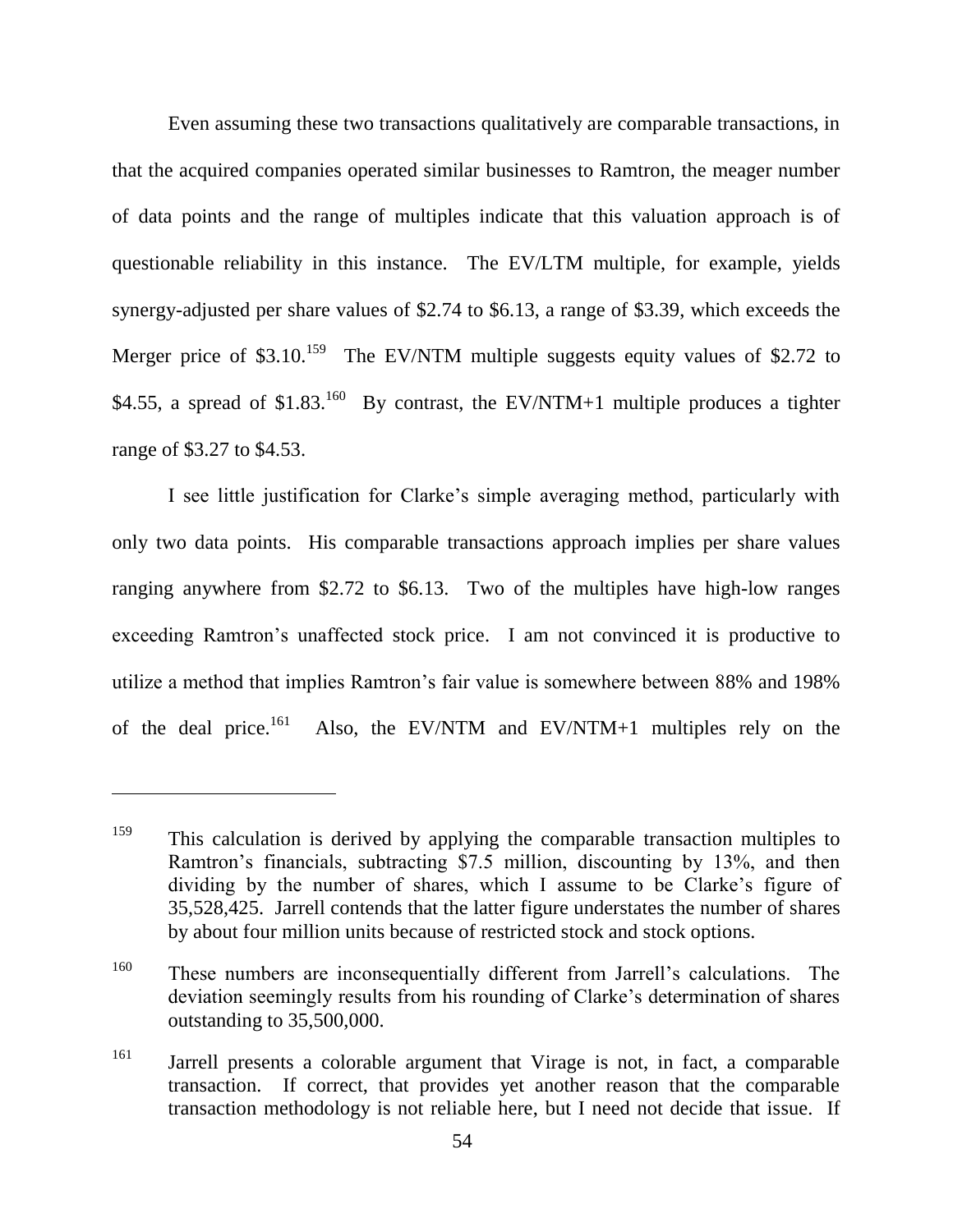Even assuming these two transactions qualitatively are comparable transactions, in that the acquired companies operated similar businesses to Ramtron, the meager number of data points and the range of multiples indicate that this valuation approach is of questionable reliability in this instance. The EV/LTM multiple, for example, yields synergy-adjusted per share values of \$2.74 to \$6.13, a range of \$3.39, which exceeds the Merger price of \$3.10.<sup>159</sup> The EV/NTM multiple suggests equity values of \$2.72 to \$4.55, a spread of \$1.83.<sup>160</sup> By contrast, the EV/NTM+1 multiple produces a tighter range of \$3.27 to \$4.53.

I see little justification for Clarke's simple averaging method, particularly with only two data points. His comparable transactions approach implies per share values ranging anywhere from \$2.72 to \$6.13. Two of the multiples have high-low ranges exceeding Ramtron's unaffected stock price. I am not convinced it is productive to utilize a method that implies Ramtron's fair value is somewhere between 88% and 198% of the deal price. $161$ Also, the EV/NTM and EV/NTM+1 multiples rely on the

<sup>&</sup>lt;sup>159</sup> This calculation is derived by applying the comparable transaction multiples to Ramtron's financials, subtracting \$7.5 million, discounting by 13%, and then dividing by the number of shares, which I assume to be Clarke's figure of 35,528,425. Jarrell contends that the latter figure understates the number of shares by about four million units because of restricted stock and stock options.

<sup>160</sup> These numbers are inconsequentially different from Jarrell's calculations. The deviation seemingly results from his rounding of Clarke's determination of shares outstanding to 35,500,000.

<sup>&</sup>lt;sup>161</sup> Jarrell presents a colorable argument that Virage is not, in fact, a comparable transaction. If correct, that provides yet another reason that the comparable transaction methodology is not reliable here, but I need not decide that issue. If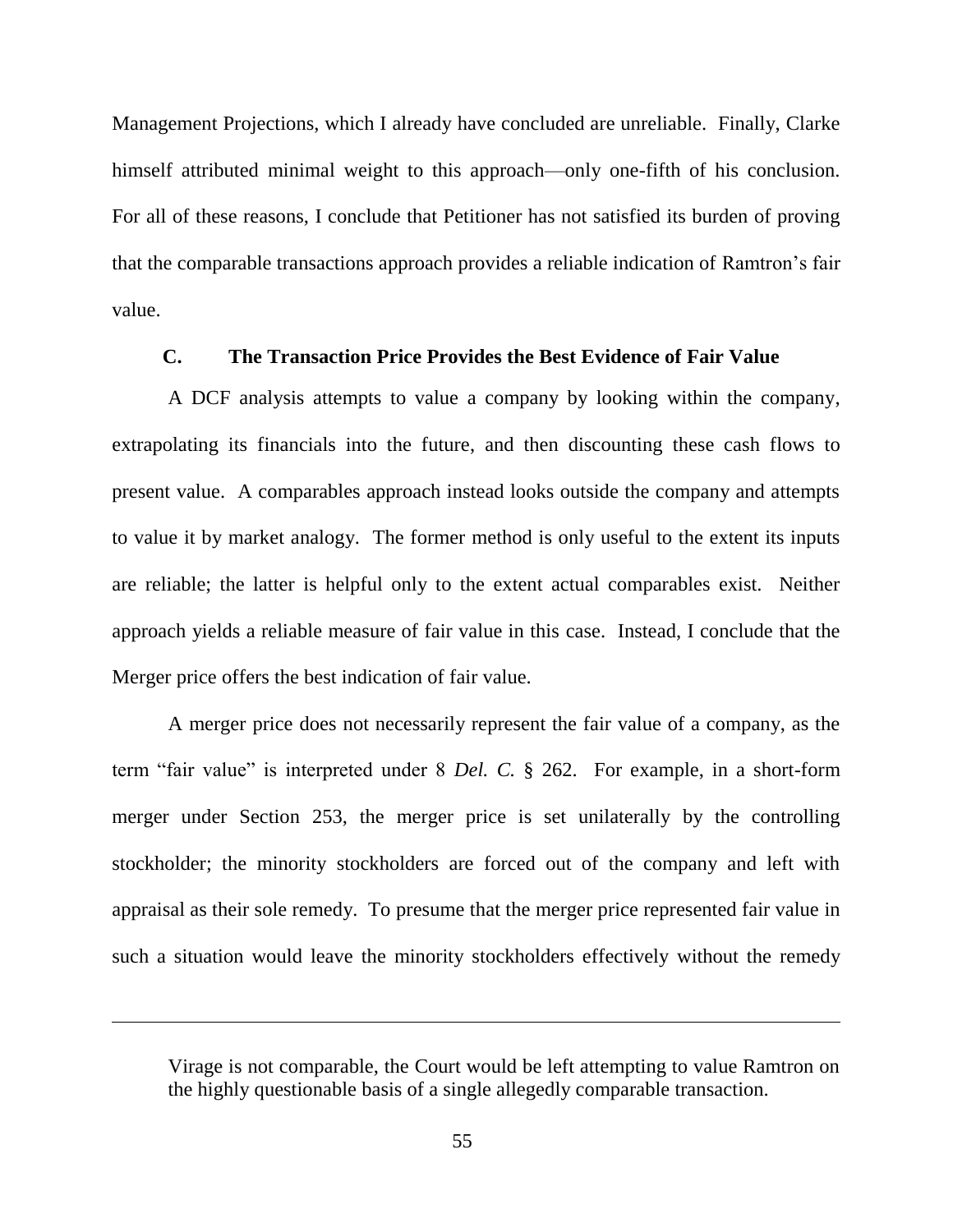Management Projections, which I already have concluded are unreliable. Finally, Clarke himself attributed minimal weight to this approach—only one-fifth of his conclusion. For all of these reasons, I conclude that Petitioner has not satisfied its burden of proving that the comparable transactions approach provides a reliable indication of Ramtron's fair value.

#### **C. The Transaction Price Provides the Best Evidence of Fair Value**

A DCF analysis attempts to value a company by looking within the company, extrapolating its financials into the future, and then discounting these cash flows to present value. A comparables approach instead looks outside the company and attempts to value it by market analogy. The former method is only useful to the extent its inputs are reliable; the latter is helpful only to the extent actual comparables exist. Neither approach yields a reliable measure of fair value in this case. Instead, I conclude that the Merger price offers the best indication of fair value.

A merger price does not necessarily represent the fair value of a company, as the term "fair value" is interpreted under 8 *Del. C.* § 262. For example, in a short-form merger under Section 253, the merger price is set unilaterally by the controlling stockholder; the minority stockholders are forced out of the company and left with appraisal as their sole remedy. To presume that the merger price represented fair value in such a situation would leave the minority stockholders effectively without the remedy

Virage is not comparable, the Court would be left attempting to value Ramtron on the highly questionable basis of a single allegedly comparable transaction.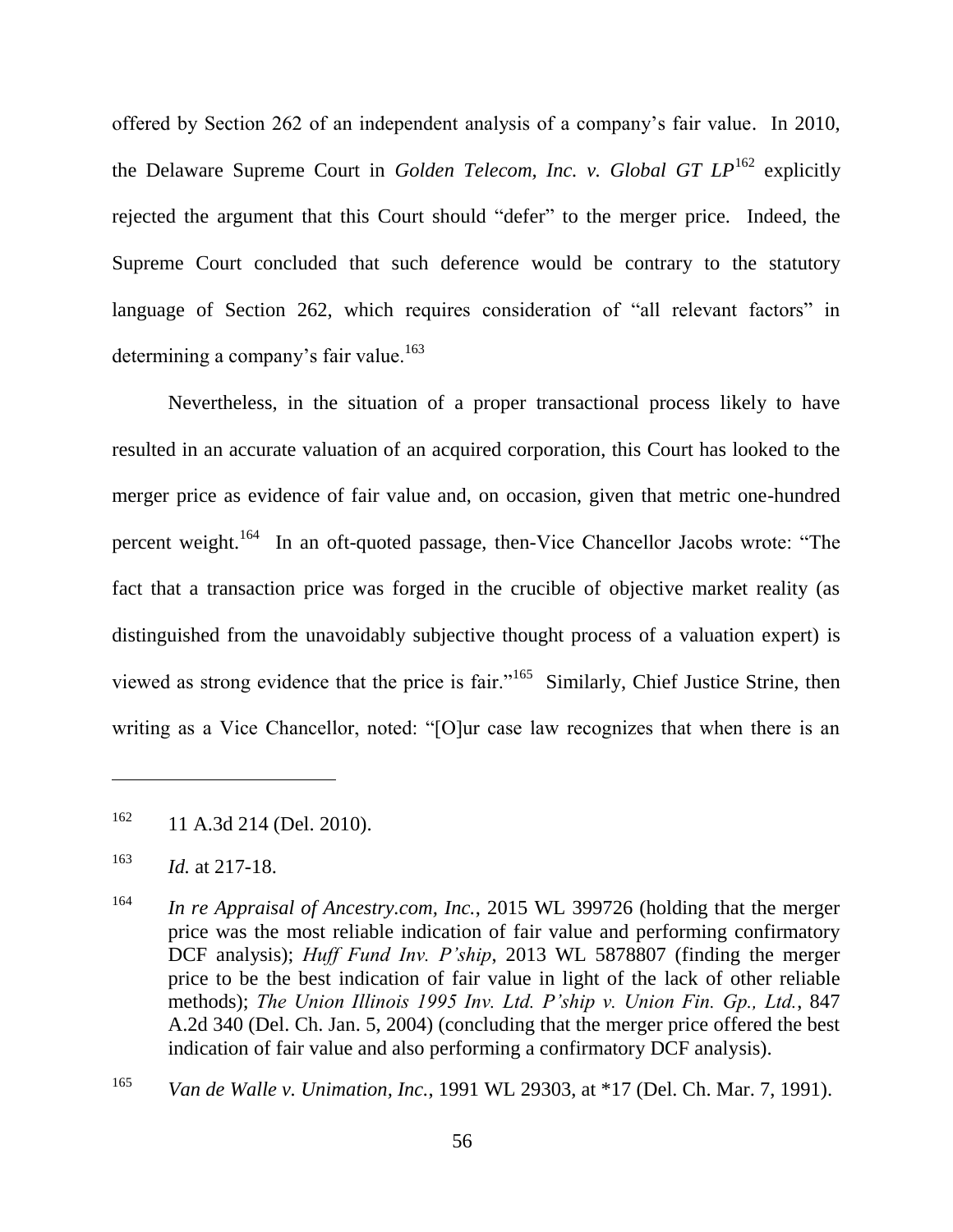offered by Section 262 of an independent analysis of a company's fair value. In 2010, the Delaware Supreme Court in *Golden Telecom, Inc. v. Global GT LP*<sup>162</sup> explicitly rejected the argument that this Court should "defer" to the merger price. Indeed, the Supreme Court concluded that such deference would be contrary to the statutory language of Section 262, which requires consideration of "all relevant factors" in determining a company's fair value.<sup>163</sup>

Nevertheless, in the situation of a proper transactional process likely to have resulted in an accurate valuation of an acquired corporation, this Court has looked to the merger price as evidence of fair value and, on occasion, given that metric one-hundred percent weight.<sup>164</sup> In an oft-quoted passage, then-Vice Chancellor Jacobs wrote: "The fact that a transaction price was forged in the crucible of objective market reality (as distinguished from the unavoidably subjective thought process of a valuation expert) is viewed as strong evidence that the price is fair."<sup>165</sup> Similarly, Chief Justice Strine, then writing as a Vice Chancellor, noted: "[O]ur case law recognizes that when there is an

 $162$  11 A.3d 214 (Del. 2010).

<sup>163</sup> *Id.* at 217-18.

<sup>164</sup> *In re Appraisal of Ancestry.com, Inc.*, 2015 WL 399726 (holding that the merger price was the most reliable indication of fair value and performing confirmatory DCF analysis); *Huff Fund Inv. P'ship*, 2013 WL 5878807 (finding the merger price to be the best indication of fair value in light of the lack of other reliable methods); *The Union Illinois 1995 Inv. Ltd. P'ship v. Union Fin. Gp., Ltd.*, 847 A.2d 340 (Del. Ch. Jan. 5, 2004) (concluding that the merger price offered the best indication of fair value and also performing a confirmatory DCF analysis).

<sup>165</sup> *Van de Walle v. Unimation, Inc.*, 1991 WL 29303, at \*17 (Del. Ch. Mar. 7, 1991).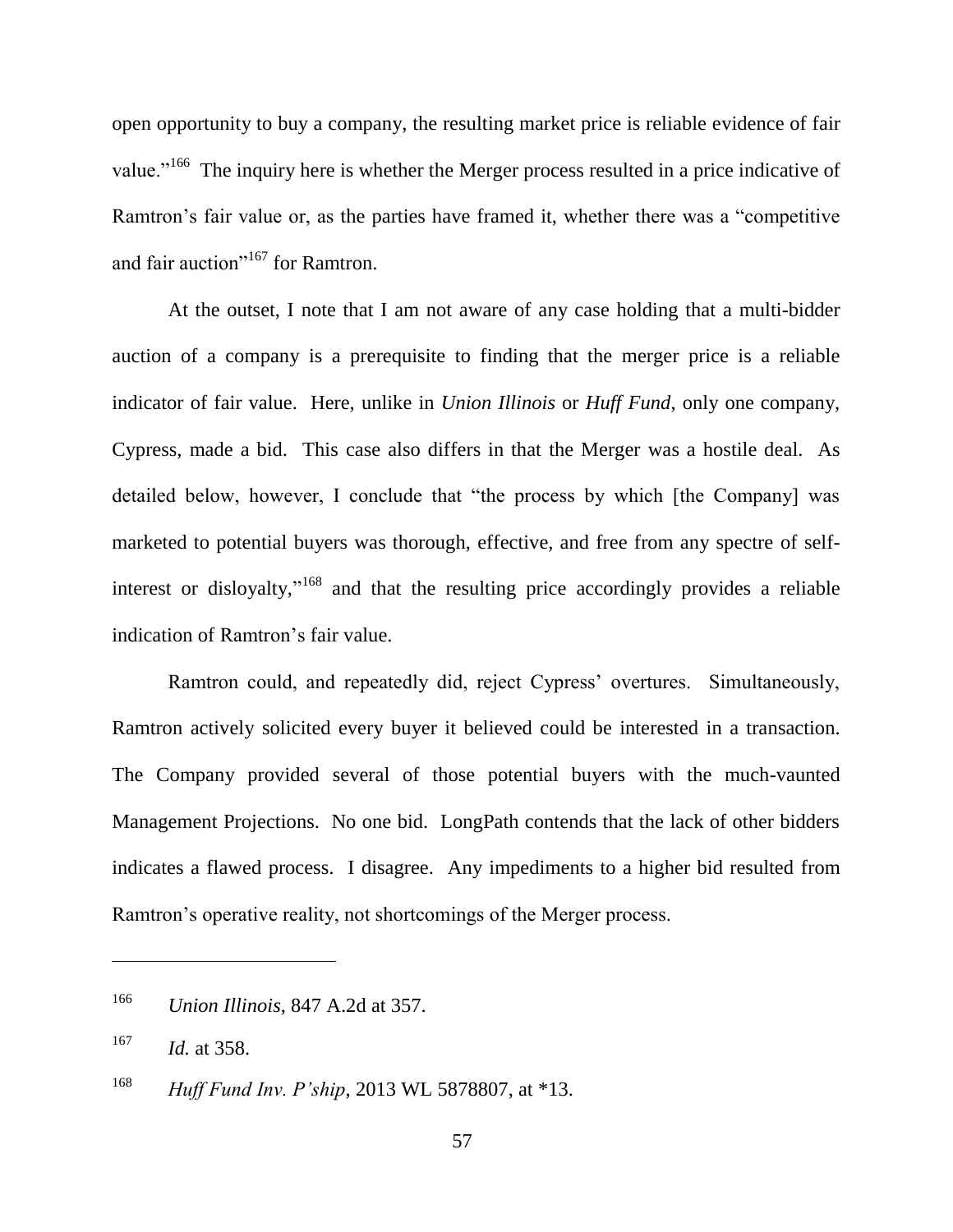open opportunity to buy a company, the resulting market price is reliable evidence of fair value."<sup>166</sup> The inquiry here is whether the Merger process resulted in a price indicative of Ramtron's fair value or, as the parties have framed it, whether there was a "competitive" and fair auction"<sup>167</sup> for Ramtron.

At the outset, I note that I am not aware of any case holding that a multi-bidder auction of a company is a prerequisite to finding that the merger price is a reliable indicator of fair value. Here, unlike in *Union Illinois* or *Huff Fund*, only one company, Cypress, made a bid. This case also differs in that the Merger was a hostile deal. As detailed below, however, I conclude that "the process by which [the Company] was marketed to potential buyers was thorough, effective, and free from any spectre of selfinterest or disloyalty,"<sup>168</sup> and that the resulting price accordingly provides a reliable indication of Ramtron's fair value.

Ramtron could, and repeatedly did, reject Cypress' overtures. Simultaneously, Ramtron actively solicited every buyer it believed could be interested in a transaction. The Company provided several of those potential buyers with the much-vaunted Management Projections. No one bid. LongPath contends that the lack of other bidders indicates a flawed process. I disagree. Any impediments to a higher bid resulted from Ramtron's operative reality, not shortcomings of the Merger process.

<sup>166</sup> *Union Illinois*, 847 A.2d at 357.

<sup>167</sup> *Id.* at 358.

<sup>168</sup> *Huff Fund Inv. P'ship*, 2013 WL 5878807, at \*13.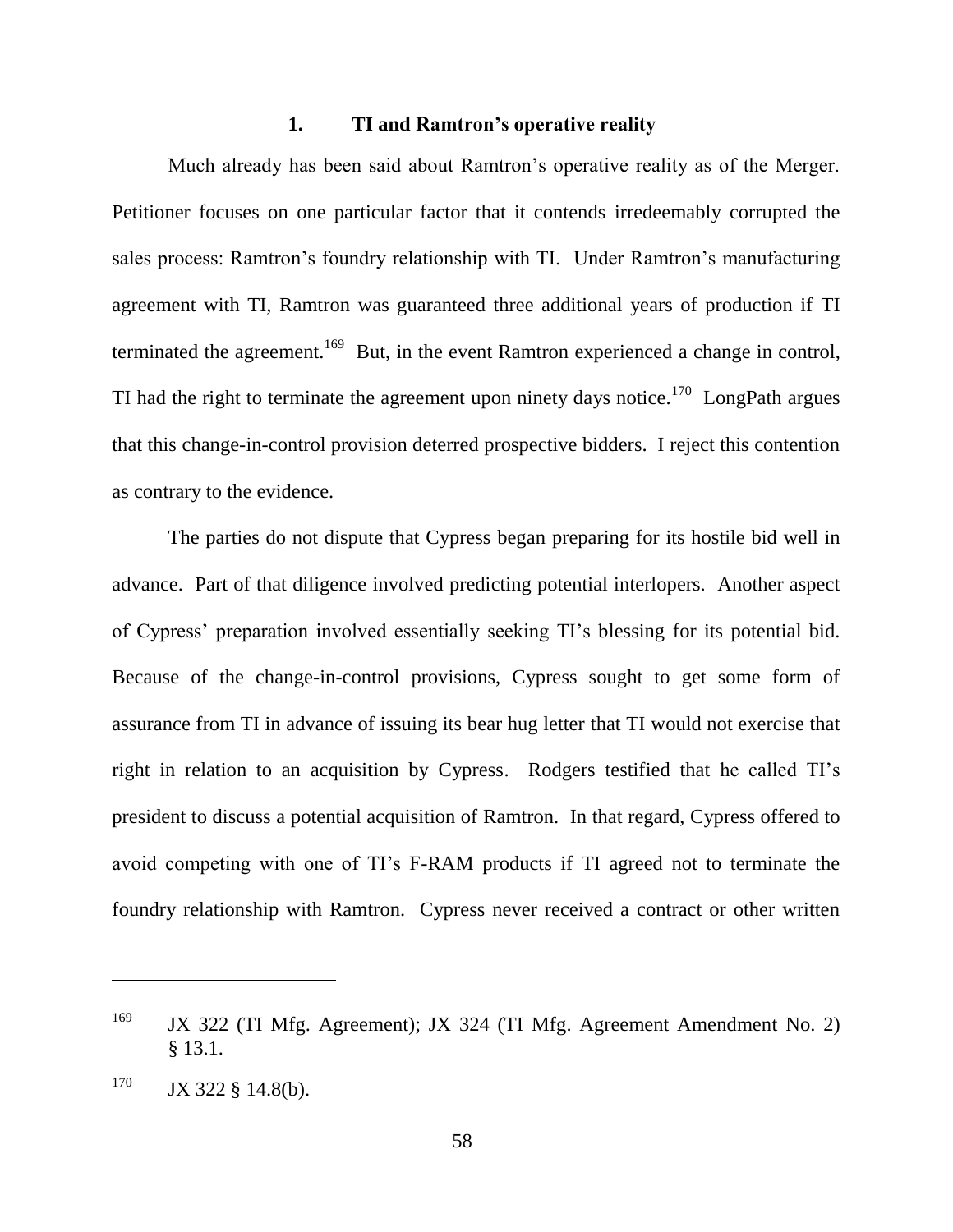#### **1. TI and Ramtron's operative reality**

Much already has been said about Ramtron's operative reality as of the Merger. Petitioner focuses on one particular factor that it contends irredeemably corrupted the sales process: Ramtron's foundry relationship with TI. Under Ramtron's manufacturing agreement with TI, Ramtron was guaranteed three additional years of production if TI terminated the agreement.<sup>169</sup> But, in the event Ramtron experienced a change in control, TI had the right to terminate the agreement upon ninety days notice.<sup>170</sup> LongPath argues that this change-in-control provision deterred prospective bidders. I reject this contention as contrary to the evidence.

The parties do not dispute that Cypress began preparing for its hostile bid well in advance. Part of that diligence involved predicting potential interlopers. Another aspect of Cypress' preparation involved essentially seeking TI's blessing for its potential bid. Because of the change-in-control provisions, Cypress sought to get some form of assurance from TI in advance of issuing its bear hug letter that TI would not exercise that right in relation to an acquisition by Cypress. Rodgers testified that he called TI's president to discuss a potential acquisition of Ramtron. In that regard, Cypress offered to avoid competing with one of TI's F-RAM products if TI agreed not to terminate the foundry relationship with Ramtron. Cypress never received a contract or other written

<sup>&</sup>lt;sup>169</sup> JX 322 (TI Mfg. Agreement); JX 324 (TI Mfg. Agreement Amendment No. 2) § 13.1.

 $170$  JX 322 § 14.8(b).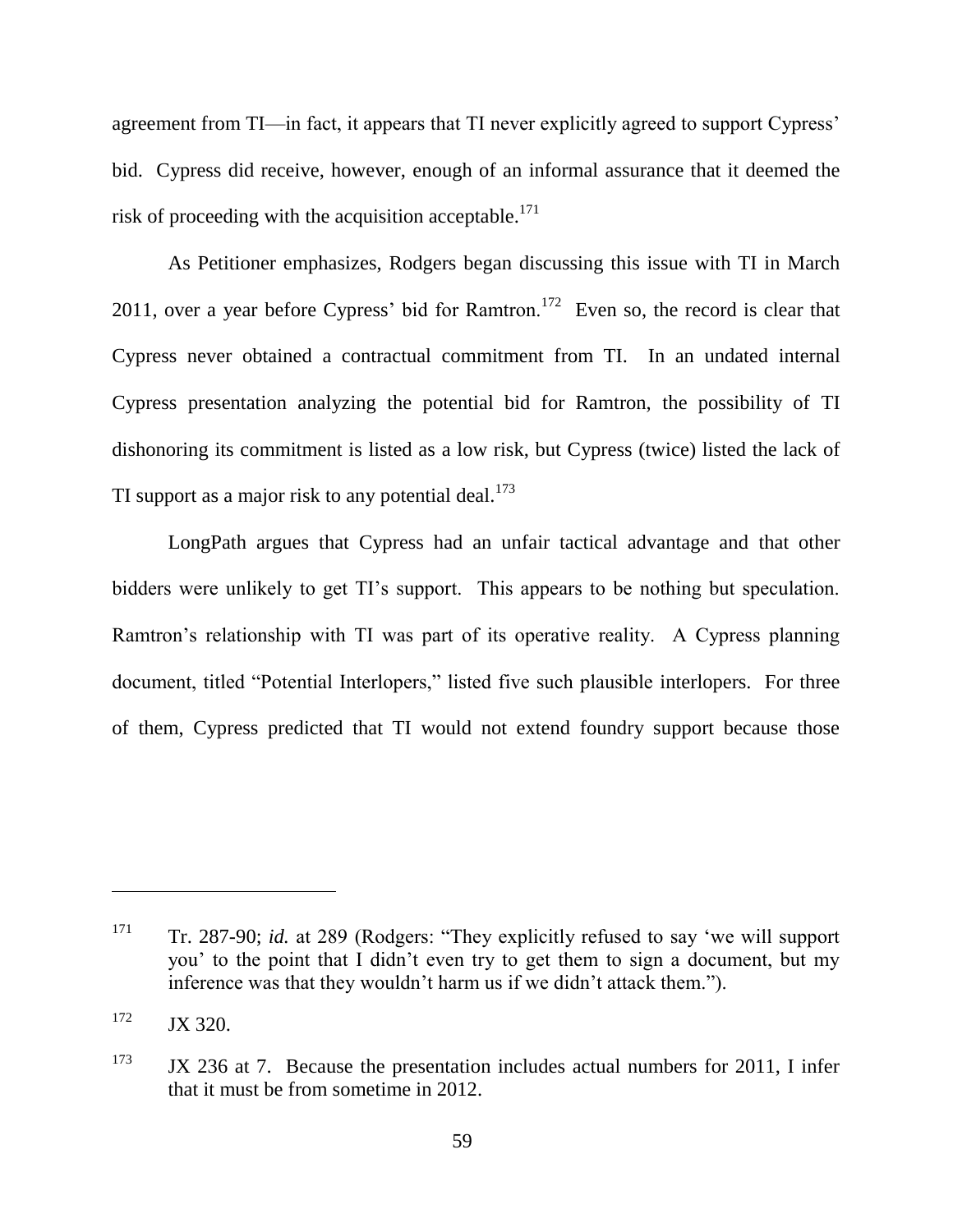agreement from TI—in fact, it appears that TI never explicitly agreed to support Cypress' bid. Cypress did receive, however, enough of an informal assurance that it deemed the risk of proceeding with the acquisition acceptable.<sup>171</sup>

As Petitioner emphasizes, Rodgers began discussing this issue with TI in March 2011, over a year before Cypress' bid for Ramtron.<sup>172</sup> Even so, the record is clear that Cypress never obtained a contractual commitment from TI. In an undated internal Cypress presentation analyzing the potential bid for Ramtron, the possibility of TI dishonoring its commitment is listed as a low risk, but Cypress (twice) listed the lack of TI support as a major risk to any potential deal. $^{173}$ 

LongPath argues that Cypress had an unfair tactical advantage and that other bidders were unlikely to get TI's support. This appears to be nothing but speculation. Ramtron's relationship with TI was part of its operative reality. A Cypress planning document, titled "Potential Interlopers," listed five such plausible interlopers. For three of them, Cypress predicted that TI would not extend foundry support because those

<sup>&</sup>lt;sup>171</sup> Tr. 287-90; *id.* at 289 (Rodgers: "They explicitly refused to say 'we will support you' to the point that I didn't even try to get them to sign a document, but my inference was that they wouldn't harm us if we didn't attack them.").

 $172$  JX 320.

 $173$  JX 236 at 7. Because the presentation includes actual numbers for 2011, I infer that it must be from sometime in 2012.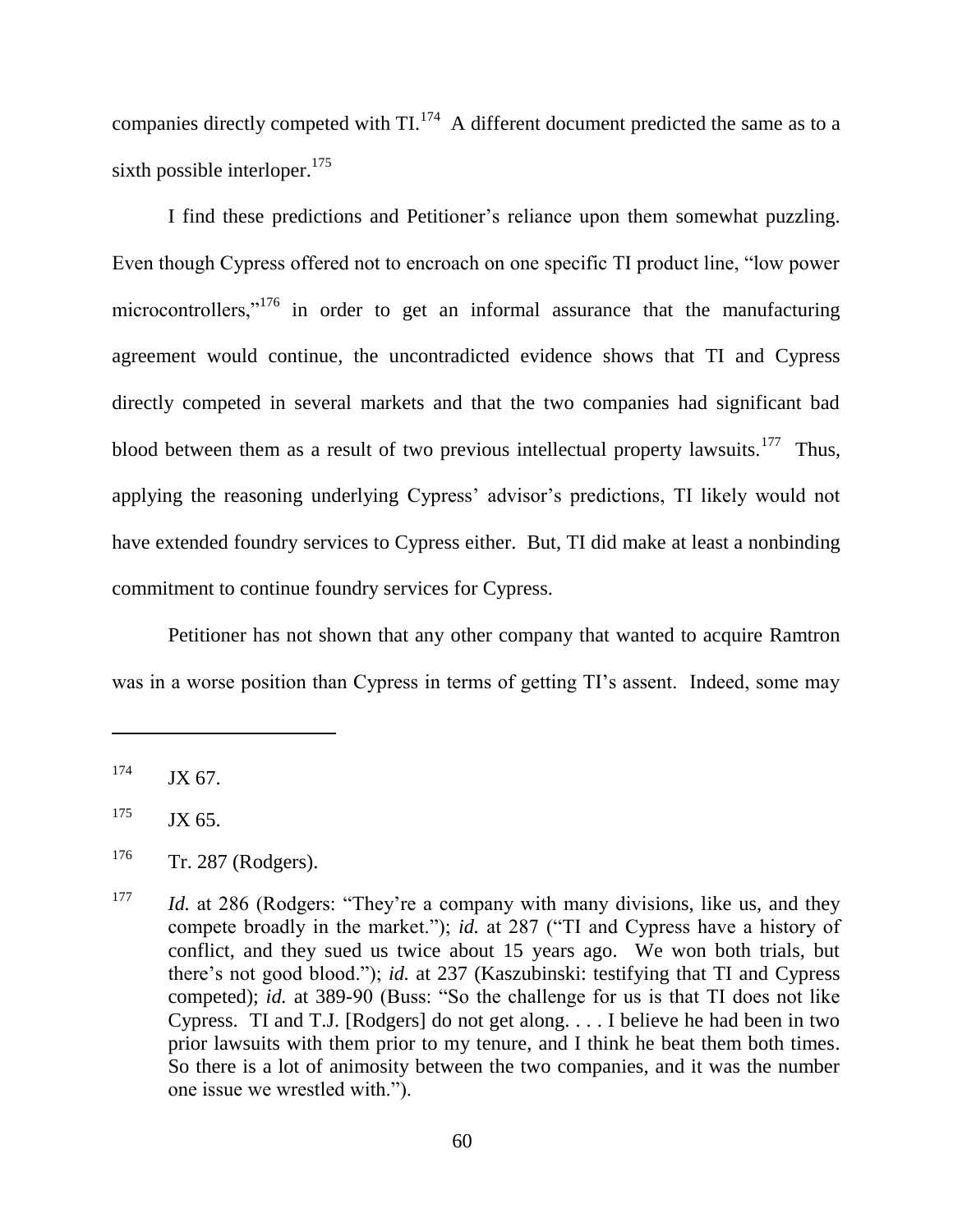companies directly competed with  $TI$ .<sup>174</sup> A different document predicted the same as to a sixth possible interloper.<sup>175</sup>

I find these predictions and Petitioner's reliance upon them somewhat puzzling. Even though Cypress offered not to encroach on one specific TI product line, "low power microcontrollers, $\cdot^{176}$  in order to get an informal assurance that the manufacturing agreement would continue, the uncontradicted evidence shows that TI and Cypress directly competed in several markets and that the two companies had significant bad blood between them as a result of two previous intellectual property lawsuits.<sup>177</sup> Thus, applying the reasoning underlying Cypress' advisor's predictions, TI likely would not have extended foundry services to Cypress either. But, TI did make at least a nonbinding commitment to continue foundry services for Cypress.

Petitioner has not shown that any other company that wanted to acquire Ramtron was in a worse position than Cypress in terms of getting TI's assent. Indeed, some may

 $174$  JX 67.

 $175$  JX 65.

 $176$  Tr. 287 (Rodgers).

<sup>&</sup>lt;sup>177</sup> *Id.* at 286 (Rodgers: "They're a company with many divisions, like us, and they compete broadly in the market."); *id.* at 287 ("TI and Cypress have a history of conflict, and they sued us twice about 15 years ago. We won both trials, but there's not good blood."); *id.* at 237 (Kaszubinski: testifying that TI and Cypress competed); *id.* at 389-90 (Buss: "So the challenge for us is that TI does not like Cypress. TI and T.J. [Rodgers] do not get along. . . . I believe he had been in two prior lawsuits with them prior to my tenure, and I think he beat them both times. So there is a lot of animosity between the two companies, and it was the number one issue we wrestled with.").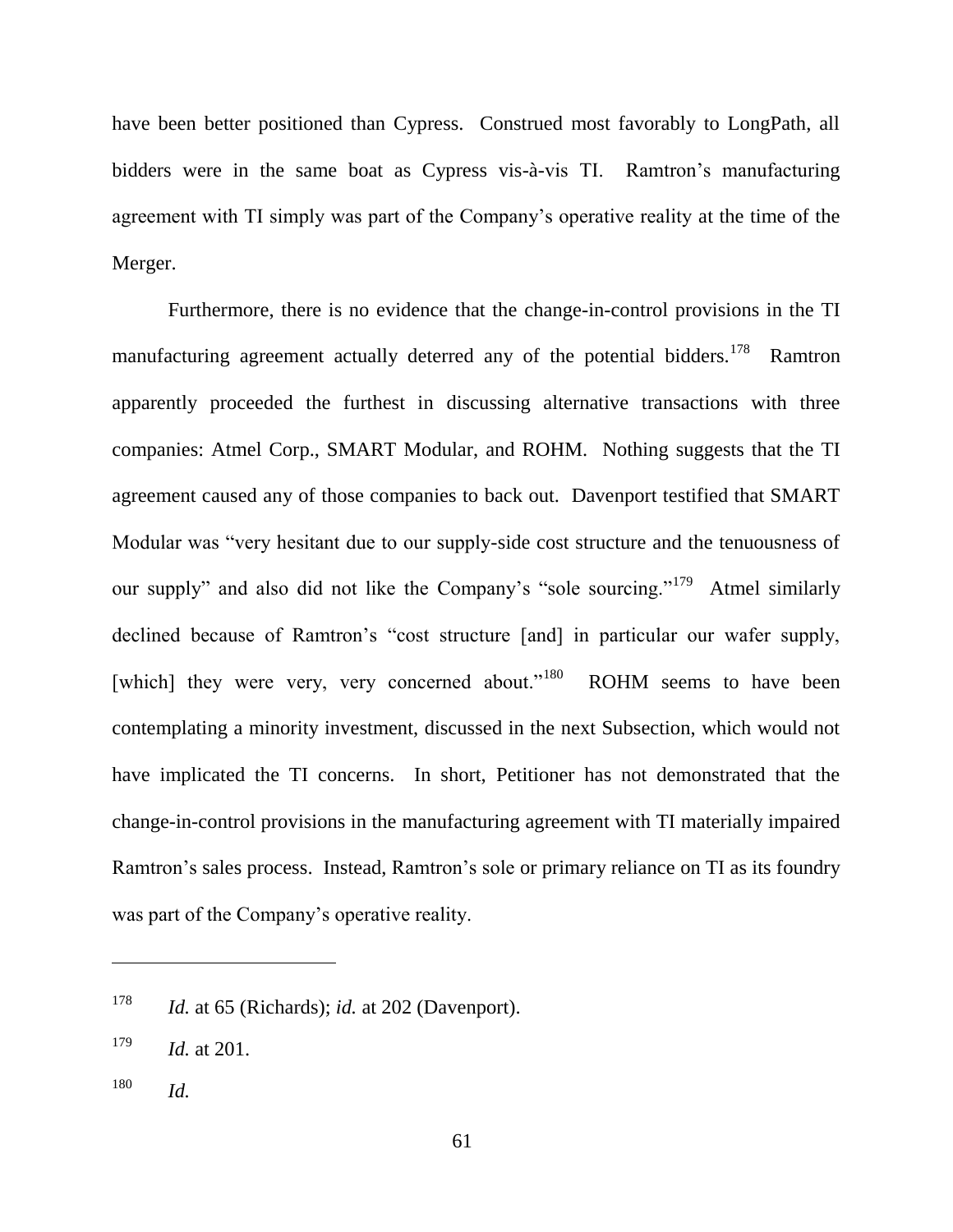have been better positioned than Cypress. Construed most favorably to LongPath, all bidders were in the same boat as Cypress vis-à-vis TI. Ramtron's manufacturing agreement with TI simply was part of the Company's operative reality at the time of the Merger.

Furthermore, there is no evidence that the change-in-control provisions in the TI manufacturing agreement actually deterred any of the potential bidders.<sup>178</sup> Ramtron apparently proceeded the furthest in discussing alternative transactions with three companies: Atmel Corp., SMART Modular, and ROHM. Nothing suggests that the TI agreement caused any of those companies to back out. Davenport testified that SMART Modular was "very hesitant due to our supply-side cost structure and the tenuousness of our supply" and also did not like the Company's "sole sourcing."<sup>179</sup> Atmel similarly declined because of Ramtron's "cost structure [and] in particular our wafer supply, [which] they were very, very concerned about." $180$  ROHM seems to have been contemplating a minority investment, discussed in the next Subsection, which would not have implicated the TI concerns. In short, Petitioner has not demonstrated that the change-in-control provisions in the manufacturing agreement with TI materially impaired Ramtron's sales process. Instead, Ramtron's sole or primary reliance on TI as its foundry was part of the Company's operative reality.

<sup>178</sup> *Id.* at 65 (Richards); *id.* at 202 (Davenport).

<sup>179</sup> *Id.* at 201.

<sup>180</sup> *Id.*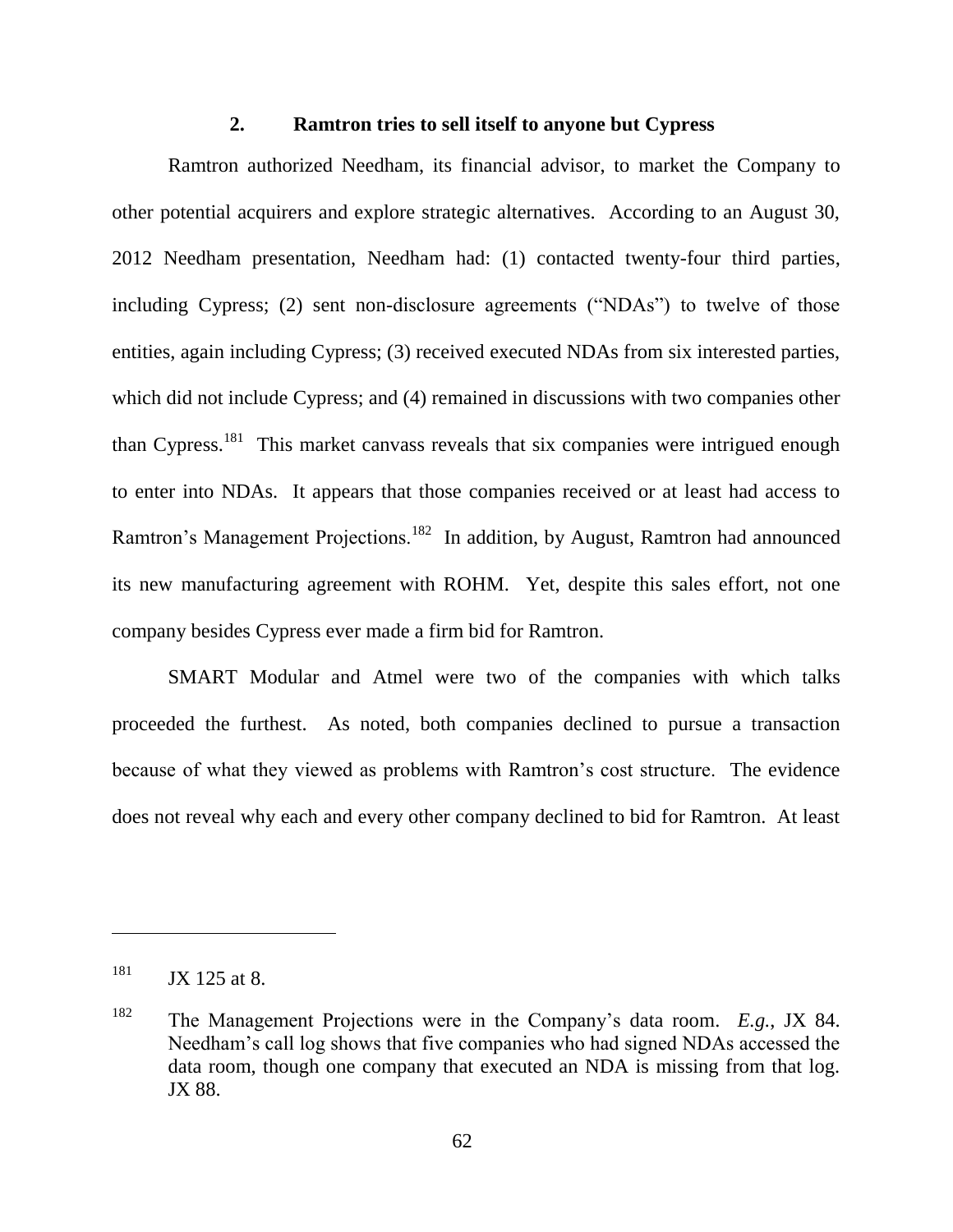## **2. Ramtron tries to sell itself to anyone but Cypress**

Ramtron authorized Needham, its financial advisor, to market the Company to other potential acquirers and explore strategic alternatives. According to an August 30, 2012 Needham presentation, Needham had: (1) contacted twenty-four third parties, including Cypress; (2) sent non-disclosure agreements ( $WDAs$ ) to twelve of those entities, again including Cypress; (3) received executed NDAs from six interested parties, which did not include Cypress; and (4) remained in discussions with two companies other than Cypress.<sup>181</sup> This market canvass reveals that six companies were intrigued enough to enter into NDAs. It appears that those companies received or at least had access to Ramtron's Management Projections.<sup>182</sup> In addition, by August, Ramtron had announced its new manufacturing agreement with ROHM. Yet, despite this sales effort, not one company besides Cypress ever made a firm bid for Ramtron.

SMART Modular and Atmel were two of the companies with which talks proceeded the furthest. As noted, both companies declined to pursue a transaction because of what they viewed as problems with Ramtron's cost structure. The evidence does not reveal why each and every other company declined to bid for Ramtron. At least

 $181$  JX 125 at 8.

<sup>182</sup> The Management Projections were in the Company's data room. *E.g.*, JX 84. Needham's call log shows that five companies who had signed NDAs accessed the data room, though one company that executed an NDA is missing from that log. JX 88.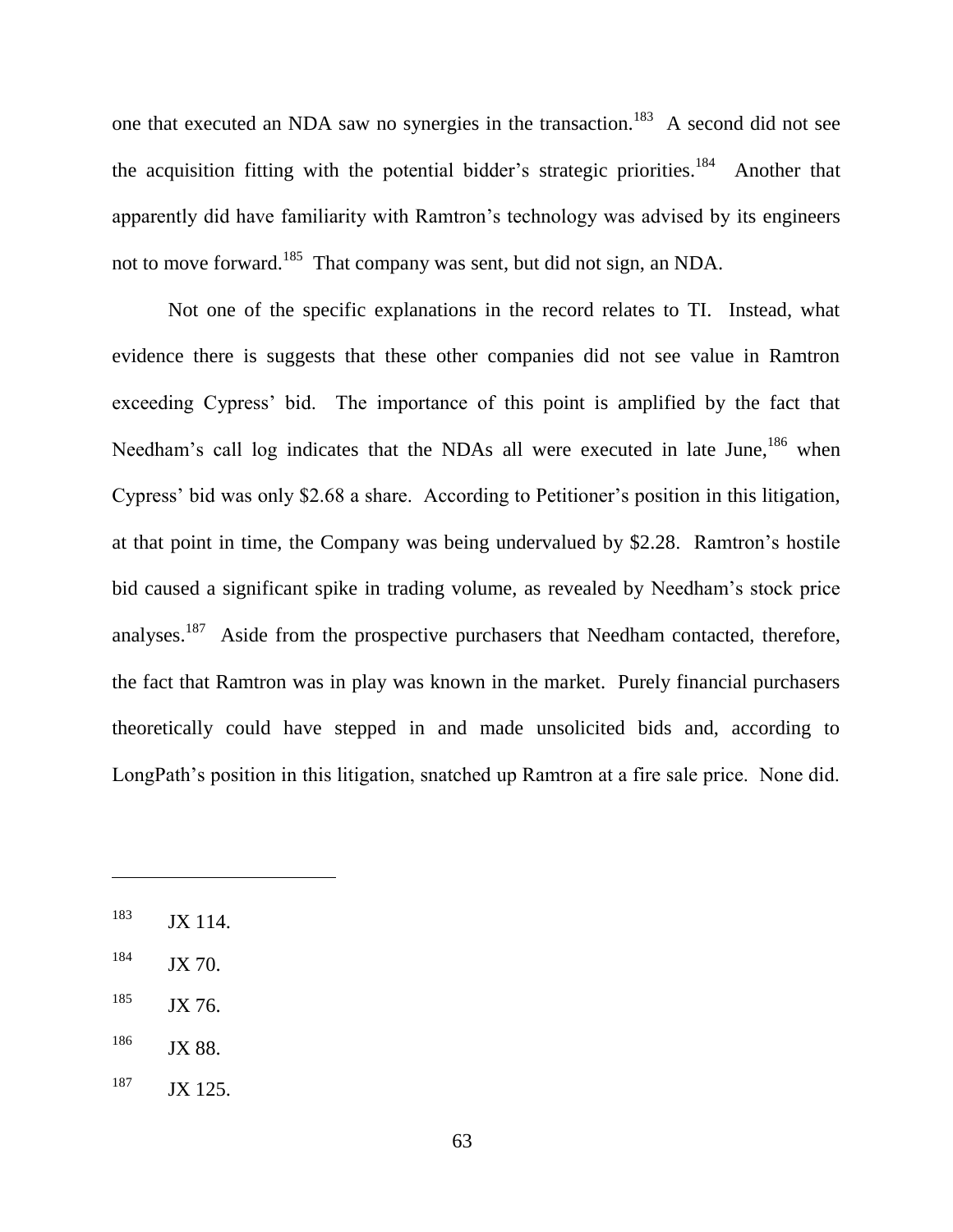one that executed an NDA saw no synergies in the transaction.<sup>183</sup> A second did not see the acquisition fitting with the potential bidder's strategic priorities.<sup>184</sup> Another that apparently did have familiarity with Ramtron's technology was advised by its engineers not to move forward.<sup>185</sup> That company was sent, but did not sign, an NDA.

Not one of the specific explanations in the record relates to TI. Instead, what evidence there is suggests that these other companies did not see value in Ramtron exceeding Cypress' bid. The importance of this point is amplified by the fact that Needham's call log indicates that the NDAs all were executed in late June,<sup>186</sup> when Cypress' bid was only \$2.68 a share. According to Petitioner's position in this litigation, at that point in time, the Company was being undervalued by \$2.28. Ramtron's hostile bid caused a significant spike in trading volume, as revealed by Needham's stock price analyses.<sup>187</sup> Aside from the prospective purchasers that Needham contacted, therefore, the fact that Ramtron was in play was known in the market. Purely financial purchasers theoretically could have stepped in and made unsolicited bids and, according to LongPath's position in this litigation, snatched up Ramtron at a fire sale price. None did.

 $184$  JX 70.

<sup>185</sup> JX 76.

 $186$  JX 88.

 $187$  JX 125.

<sup>&</sup>lt;sup>183</sup> JX 114.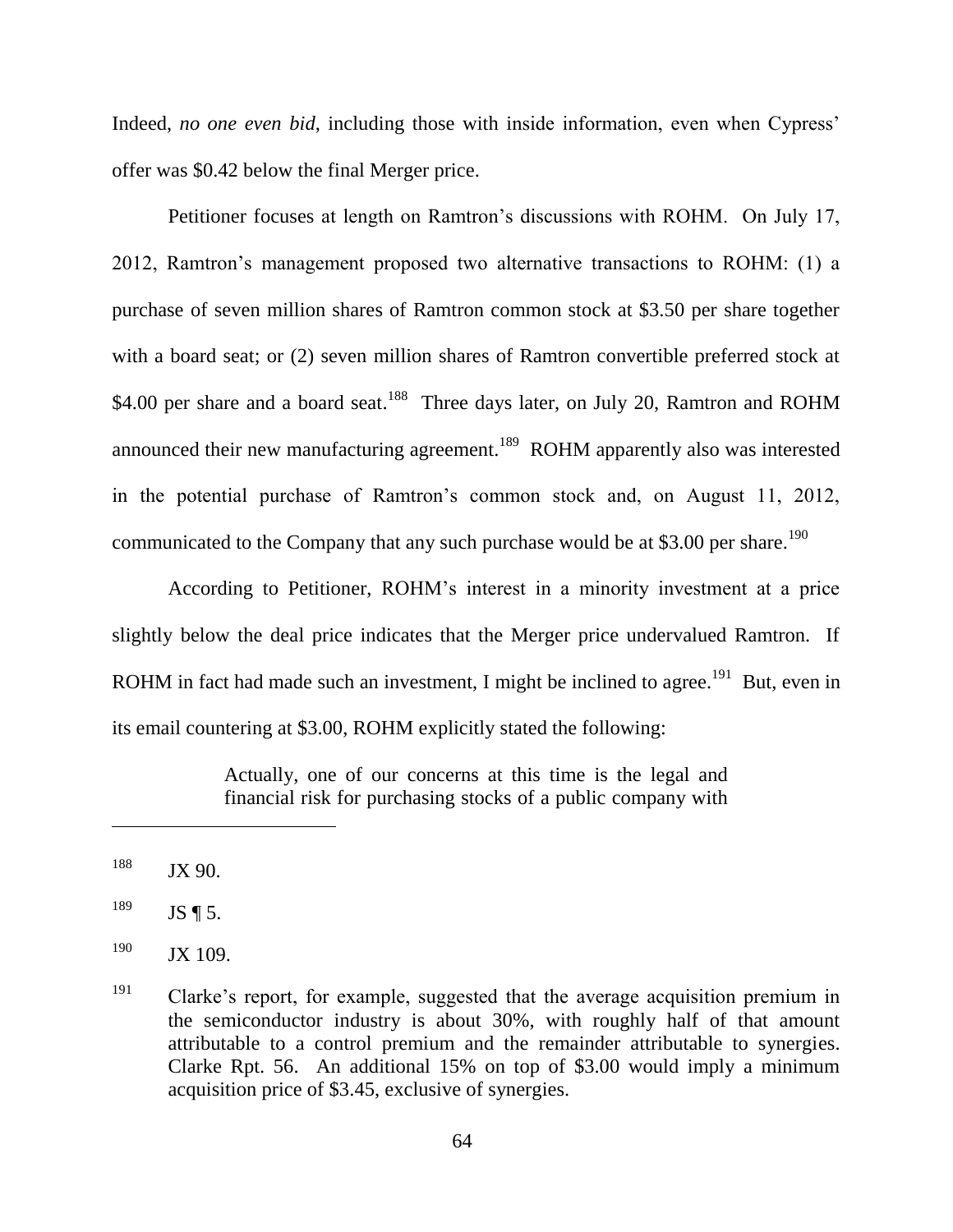Indeed, *no one even bid*, including those with inside information, even when Cypress' offer was \$0.42 below the final Merger price.

Petitioner focuses at length on Ramtron's discussions with ROHM. On July 17, 2012, Ramtron's management proposed two alternative transactions to ROHM: (1) a purchase of seven million shares of Ramtron common stock at \$3.50 per share together with a board seat; or (2) seven million shares of Ramtron convertible preferred stock at \$4.00 per share and a board seat.<sup>188</sup> Three days later, on July 20, Ramtron and ROHM announced their new manufacturing agreement.<sup>189</sup> ROHM apparently also was interested in the potential purchase of Ramtron's common stock and, on August 11, 2012, communicated to the Company that any such purchase would be at \$3.00 per share.<sup>190</sup>

According to Petitioner, ROHM's interest in a minority investment at a price slightly below the deal price indicates that the Merger price undervalued Ramtron. If ROHM in fact had made such an investment, I might be inclined to agree.<sup>191</sup> But, even in its email countering at \$3.00, ROHM explicitly stated the following:

> Actually, one of our concerns at this time is the legal and financial risk for purchasing stocks of a public company with

 $188$  JX 90.

 $^{189}$  JS ¶ 5.

 $^{190}$  JX 109.

 $191$  Clarke's report, for example, suggested that the average acquisition premium in the semiconductor industry is about 30%, with roughly half of that amount attributable to a control premium and the remainder attributable to synergies. Clarke Rpt. 56. An additional 15% on top of \$3.00 would imply a minimum acquisition price of \$3.45, exclusive of synergies.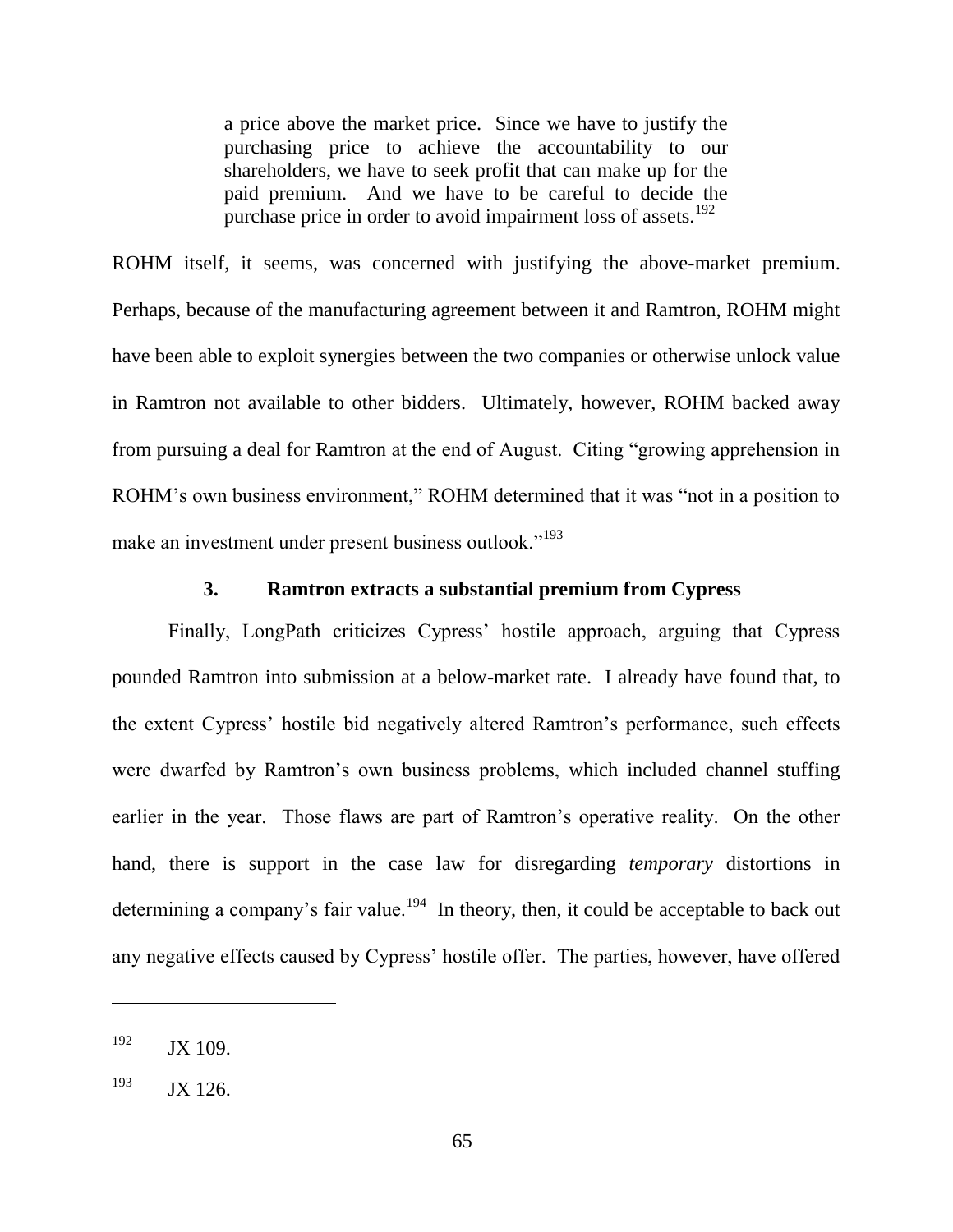a price above the market price. Since we have to justify the purchasing price to achieve the accountability to our shareholders, we have to seek profit that can make up for the paid premium. And we have to be careful to decide the purchase price in order to avoid impairment loss of assets.<sup>192</sup>

ROHM itself, it seems, was concerned with justifying the above-market premium. Perhaps, because of the manufacturing agreement between it and Ramtron, ROHM might have been able to exploit synergies between the two companies or otherwise unlock value in Ramtron not available to other bidders. Ultimately, however, ROHM backed away from pursuing a deal for Ramtron at the end of August. Citing "growing apprehension in ROHM's own business environment," ROHM determined that it was "not in a position to make an investment under present business outlook."<sup>193</sup>

#### **3. Ramtron extracts a substantial premium from Cypress**

Finally, LongPath criticizes Cypress' hostile approach, arguing that Cypress pounded Ramtron into submission at a below-market rate. I already have found that, to the extent Cypress' hostile bid negatively altered Ramtron's performance, such effects were dwarfed by Ramtron's own business problems, which included channel stuffing earlier in the year. Those flaws are part of Ramtron's operative reality. On the other hand, there is support in the case law for disregarding *temporary* distortions in determining a company's fair value.<sup>194</sup> In theory, then, it could be acceptable to back out any negative effects caused by Cypress' hostile offer. The parties, however, have offered

 $192$  JX 109.

 $193$  JX 126.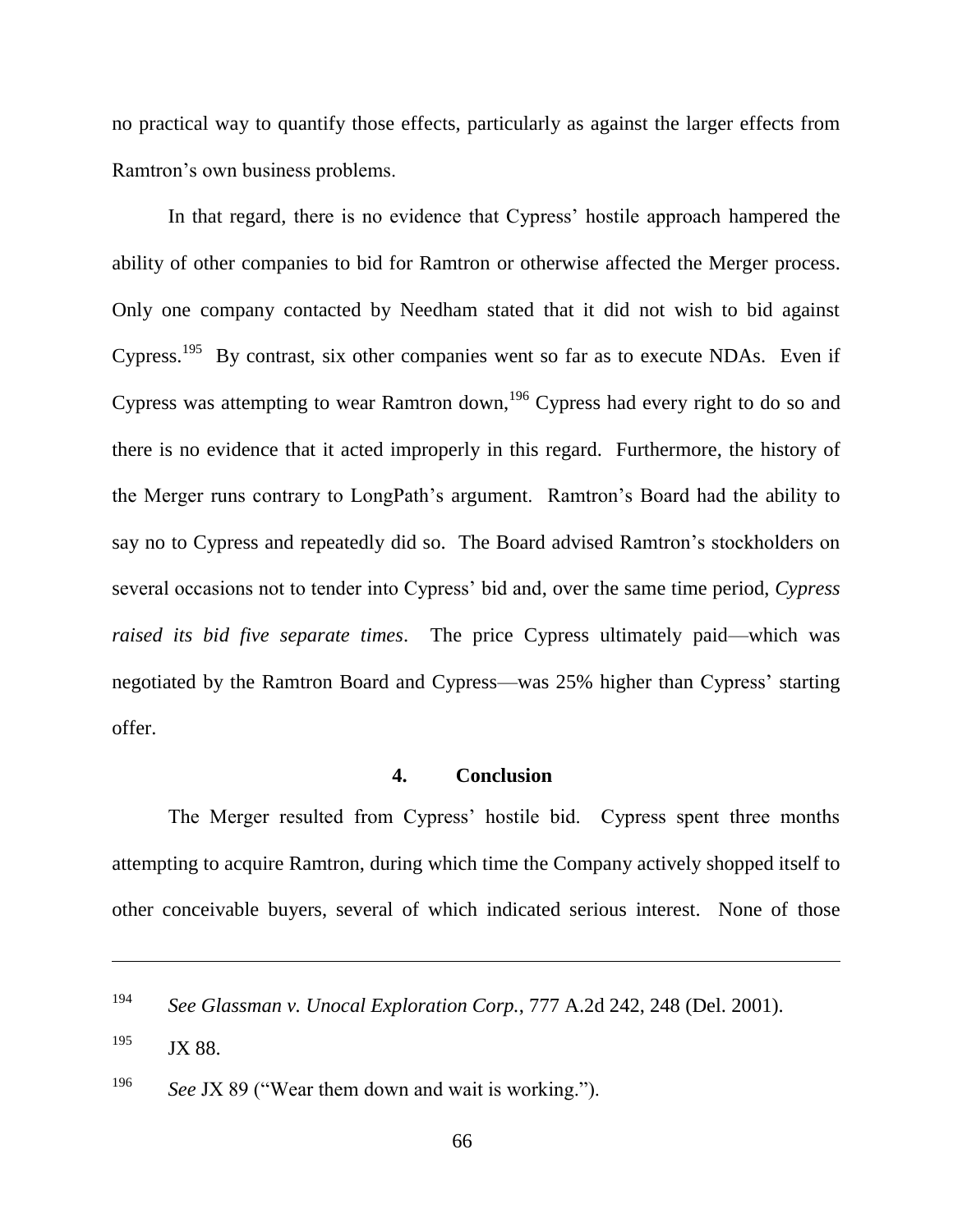no practical way to quantify those effects, particularly as against the larger effects from Ramtron's own business problems.

In that regard, there is no evidence that Cypress' hostile approach hampered the ability of other companies to bid for Ramtron or otherwise affected the Merger process. Only one company contacted by Needham stated that it did not wish to bid against Cypress.<sup>195</sup> By contrast, six other companies went so far as to execute NDAs. Even if Cypress was attempting to wear Ramtron down,<sup>196</sup> Cypress had every right to do so and there is no evidence that it acted improperly in this regard. Furthermore, the history of the Merger runs contrary to LongPath's argument. Ramtron's Board had the ability to say no to Cypress and repeatedly did so. The Board advised Ramtron's stockholders on several occasions not to tender into Cypress' bid and, over the same time period, *Cypress raised its bid five separate times*. The price Cypress ultimately paid—which was negotiated by the Ramtron Board and Cypress—was 25% higher than Cypress' starting offer.

## **4. Conclusion**

The Merger resulted from Cypress' hostile bid. Cypress spent three months attempting to acquire Ramtron, during which time the Company actively shopped itself to other conceivable buyers, several of which indicated serious interest. None of those

<sup>194</sup> *See Glassman v. Unocal Exploration Corp.*, 777 A.2d 242, 248 (Del. 2001).

<sup>&</sup>lt;sup>195</sup> JX 88.

<sup>&</sup>lt;sup>196</sup> *See JX 89* ("Wear them down and wait is working.").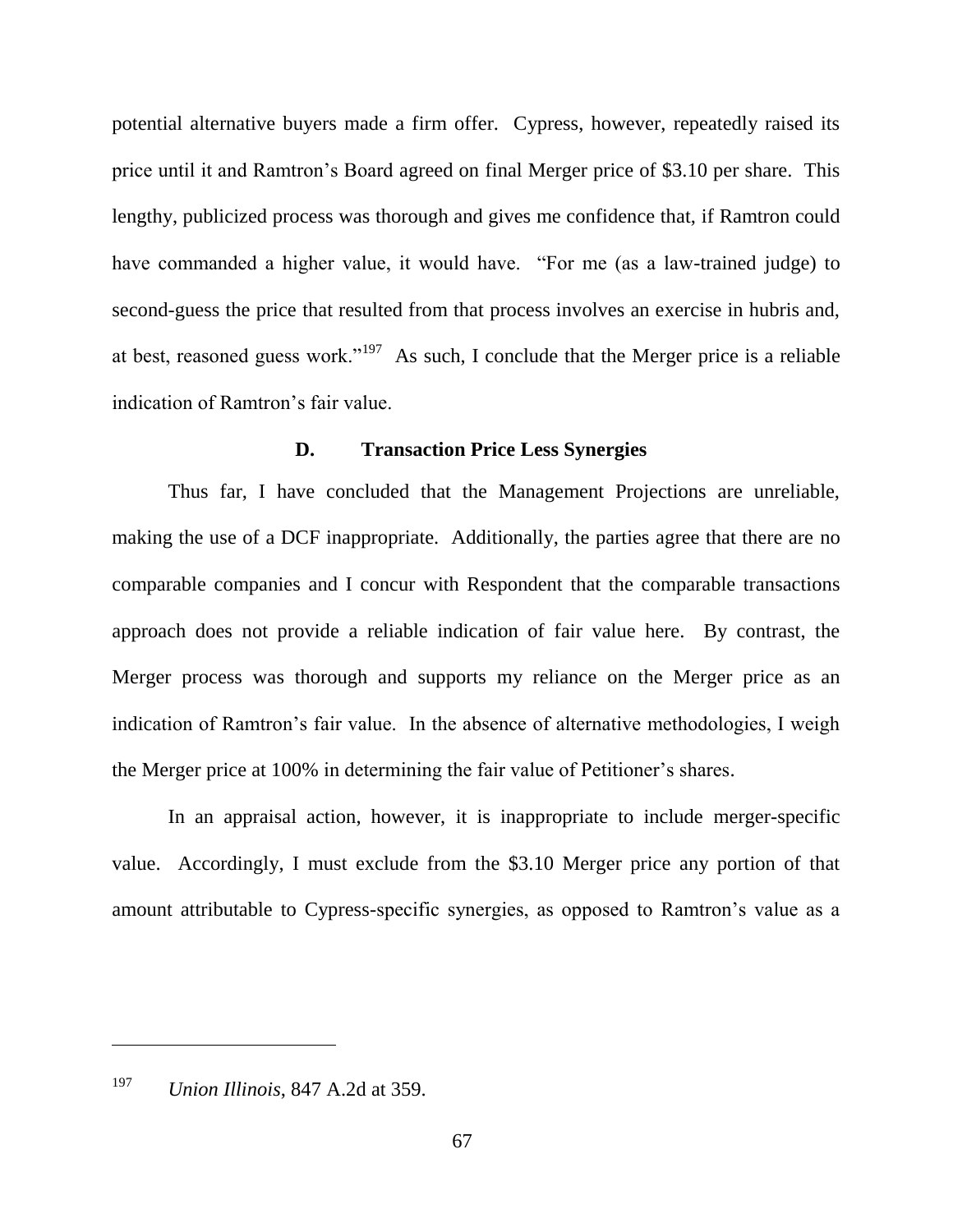potential alternative buyers made a firm offer. Cypress, however, repeatedly raised its price until it and Ramtron's Board agreed on final Merger price of \$3.10 per share. This lengthy, publicized process was thorough and gives me confidence that, if Ramtron could have commanded a higher value, it would have. "For me (as a law-trained judge) to second-guess the price that resulted from that process involves an exercise in hubris and, at best, reasoned guess work."<sup>197</sup> As such, I conclude that the Merger price is a reliable indication of Ramtron's fair value.

#### **D. Transaction Price Less Synergies**

Thus far, I have concluded that the Management Projections are unreliable, making the use of a DCF inappropriate. Additionally, the parties agree that there are no comparable companies and I concur with Respondent that the comparable transactions approach does not provide a reliable indication of fair value here. By contrast, the Merger process was thorough and supports my reliance on the Merger price as an indication of Ramtron's fair value. In the absence of alternative methodologies, I weigh the Merger price at 100% in determining the fair value of Petitioner's shares.

In an appraisal action, however, it is inappropriate to include merger-specific value. Accordingly, I must exclude from the \$3.10 Merger price any portion of that amount attributable to Cypress-specific synergies, as opposed to Ramtron's value as a

<sup>197</sup> *Union Illinois*, 847 A.2d at 359.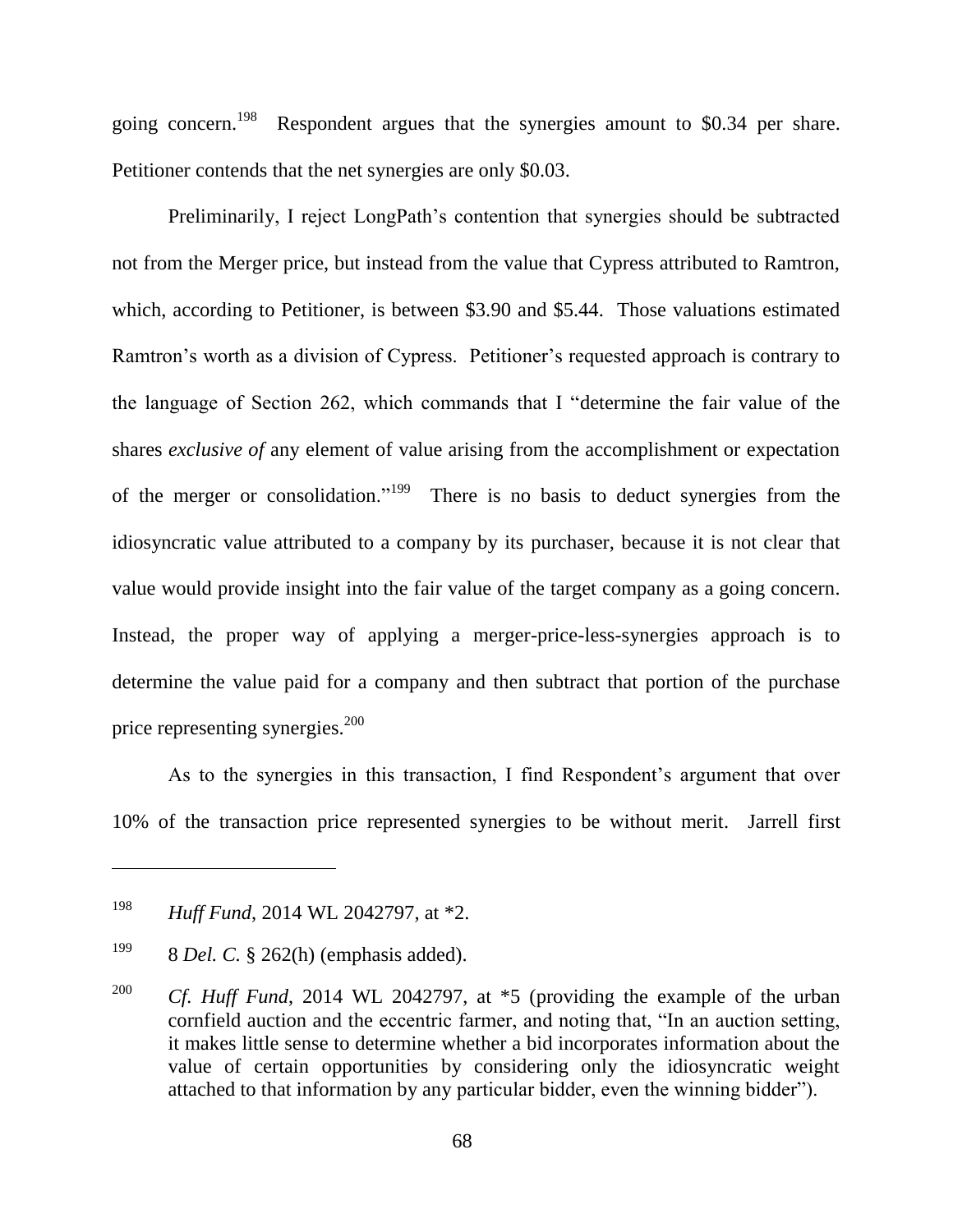going concern.<sup>198</sup> Respondent argues that the synergies amount to \$0.34 per share. Petitioner contends that the net synergies are only \$0.03.

Preliminarily, I reject LongPath's contention that synergies should be subtracted not from the Merger price, but instead from the value that Cypress attributed to Ramtron, which, according to Petitioner, is between \$3.90 and \$5.44. Those valuations estimated Ramtron's worth as a division of Cypress. Petitioner's requested approach is contrary to the language of Section 262, which commands that I "determine the fair value of the shares *exclusive of* any element of value arising from the accomplishment or expectation of the merger or consolidation."<sup>199</sup> There is no basis to deduct synergies from the idiosyncratic value attributed to a company by its purchaser, because it is not clear that value would provide insight into the fair value of the target company as a going concern. Instead, the proper way of applying a merger-price-less-synergies approach is to determine the value paid for a company and then subtract that portion of the purchase price representing synergies. 200

As to the synergies in this transaction, I find Respondent's argument that over 10% of the transaction price represented synergies to be without merit. Jarrell first

<sup>198</sup> *Huff Fund*, 2014 WL 2042797, at \*2.

<sup>199</sup> 8 *Del. C.* § 262(h) (emphasis added).

<sup>&</sup>lt;sup>200</sup> *Cf. Huff Fund*, 2014 WL 2042797, at \*5 (providing the example of the urban cornfield auction and the eccentric farmer, and noting that, "In an auction setting, it makes little sense to determine whether a bid incorporates information about the value of certain opportunities by considering only the idiosyncratic weight attached to that information by any particular bidder, even the winning bidder").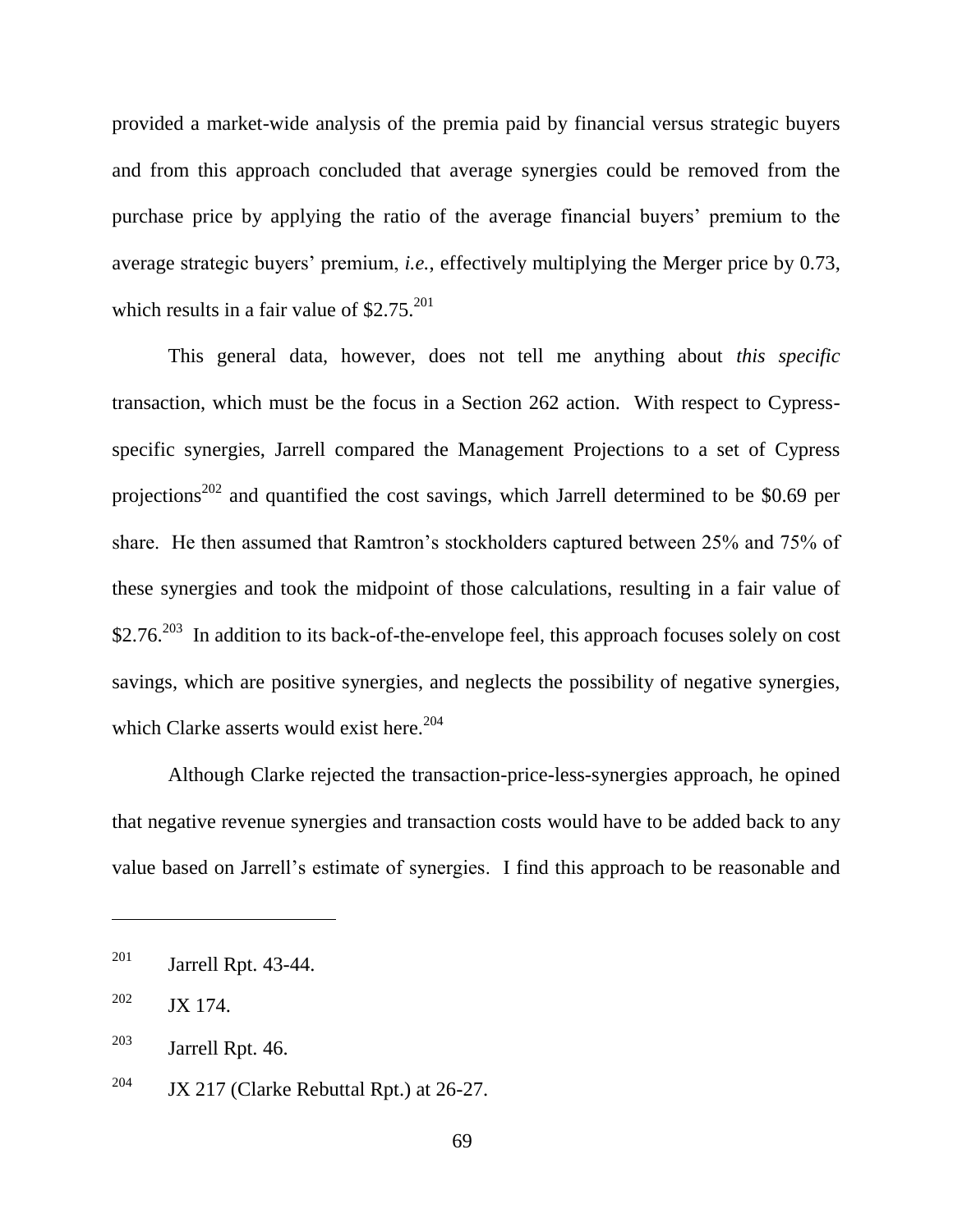provided a market-wide analysis of the premia paid by financial versus strategic buyers and from this approach concluded that average synergies could be removed from the purchase price by applying the ratio of the average financial buyers' premium to the average strategic buyers' premium, *i.e.*, effectively multiplying the Merger price by 0.73, which results in a fair value of  $$2.75$ <sup>201</sup>

This general data, however, does not tell me anything about *this specific* transaction, which must be the focus in a Section 262 action. With respect to Cypressspecific synergies, Jarrell compared the Management Projections to a set of Cypress projections<sup>202</sup> and quantified the cost savings, which Jarrell determined to be \$0.69 per share. He then assumed that Ramtron's stockholders captured between 25% and 75% of these synergies and took the midpoint of those calculations, resulting in a fair value of \$2.76.<sup>203</sup> In addition to its back-of-the-envelope feel, this approach focuses solely on cost savings, which are positive synergies, and neglects the possibility of negative synergies, which Clarke asserts would exist here.<sup>204</sup>

Although Clarke rejected the transaction-price-less-synergies approach, he opined that negative revenue synergies and transaction costs would have to be added back to any value based on Jarrell's estimate of synergies. I find this approach to be reasonable and

 $201$  Jarrell Rpt. 43-44.

 $202$  JX 174.

 $203$  Jarrell Rpt. 46.

<sup>&</sup>lt;sup>204</sup> JX 217 (Clarke Rebuttal Rpt.) at 26-27.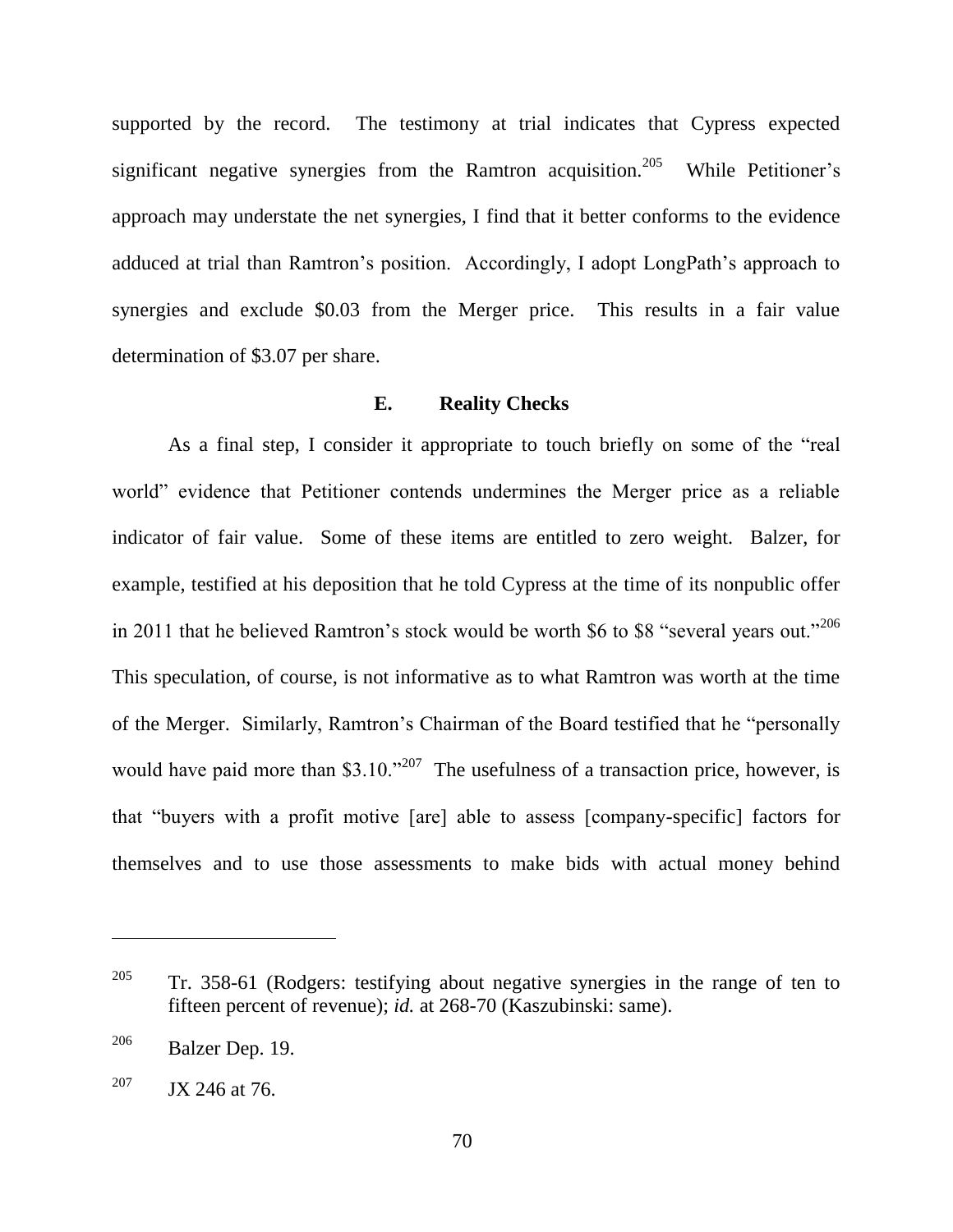supported by the record. The testimony at trial indicates that Cypress expected significant negative synergies from the Ramtron acquisition.<sup>205</sup> While Petitioner's approach may understate the net synergies, I find that it better conforms to the evidence adduced at trial than Ramtron's position. Accordingly, I adopt LongPath's approach to synergies and exclude \$0.03 from the Merger price. This results in a fair value determination of \$3.07 per share.

## **E. Reality Checks**

As a final step, I consider it appropriate to touch briefly on some of the "real world" evidence that Petitioner contends undermines the Merger price as a reliable indicator of fair value. Some of these items are entitled to zero weight. Balzer, for example, testified at his deposition that he told Cypress at the time of its nonpublic offer in 2011 that he believed Ramtron's stock would be worth \$6 to \$8 "several years out."<sup>206</sup> This speculation, of course, is not informative as to what Ramtron was worth at the time of the Merger. Similarly, Ramtron's Chairman of the Board testified that he "personally would have paid more than \$3.10.<sup> $207$ </sup> The usefulness of a transaction price, however, is that "buyers with a profit motive [are] able to assess [company-specific] factors for themselves and to use those assessments to make bids with actual money behind

<sup>&</sup>lt;sup>205</sup> Tr. 358-61 (Rodgers: testifying about negative synergies in the range of ten to fifteen percent of revenue); *id.* at 268-70 (Kaszubinski: same).

 $206$  Balzer Dep. 19.

<sup>&</sup>lt;sup>207</sup> JX 246 at 76.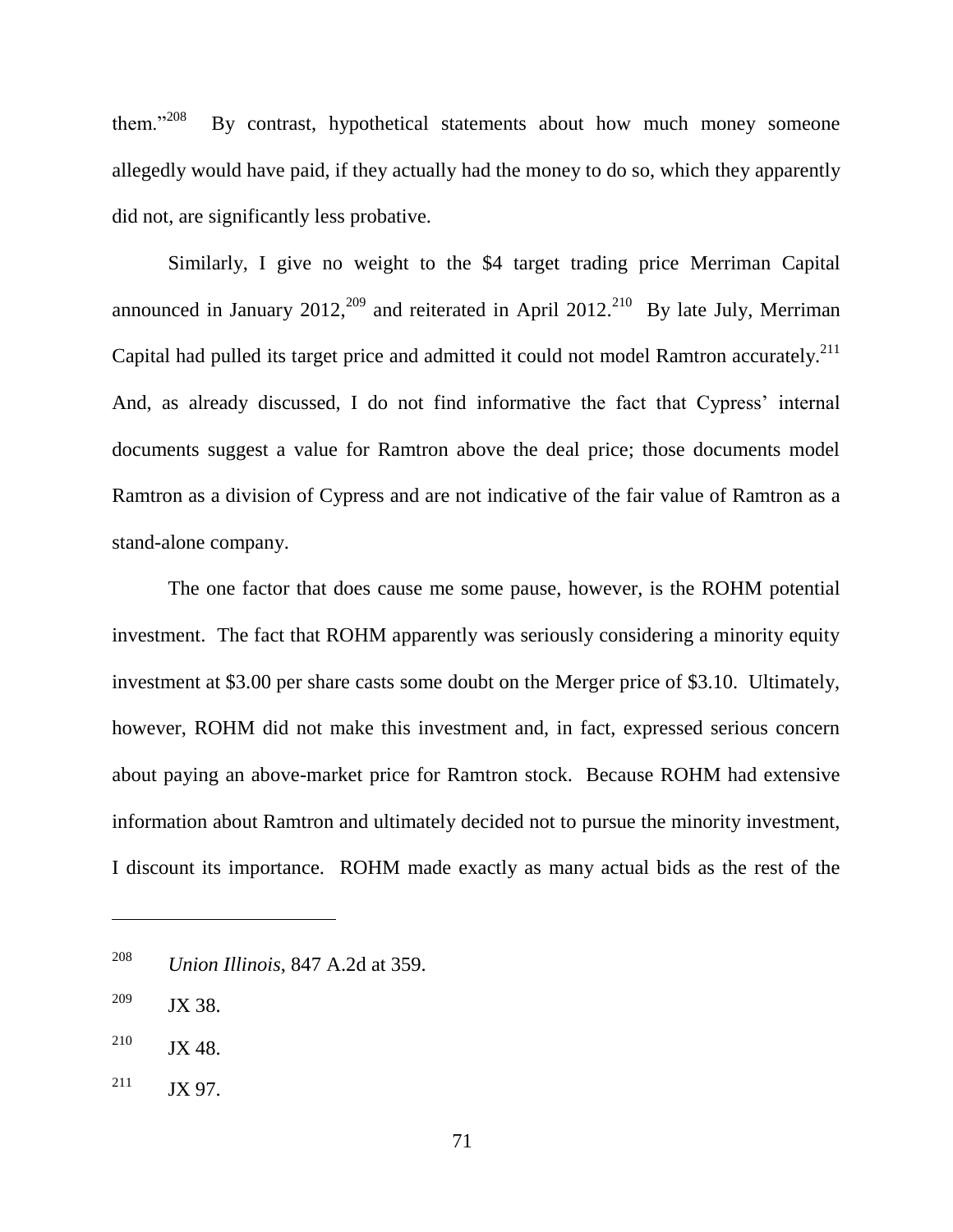them."208 By contrast, hypothetical statements about how much money someone allegedly would have paid, if they actually had the money to do so, which they apparently did not, are significantly less probative.

Similarly, I give no weight to the \$4 target trading price Merriman Capital announced in January 2012,<sup>209</sup> and reiterated in April 2012.<sup>210</sup> By late July, Merriman Capital had pulled its target price and admitted it could not model Ramtron accurately.<sup>211</sup> And, as already discussed, I do not find informative the fact that Cypress' internal documents suggest a value for Ramtron above the deal price; those documents model Ramtron as a division of Cypress and are not indicative of the fair value of Ramtron as a stand-alone company.

The one factor that does cause me some pause, however, is the ROHM potential investment. The fact that ROHM apparently was seriously considering a minority equity investment at \$3.00 per share casts some doubt on the Merger price of \$3.10. Ultimately, however, ROHM did not make this investment and, in fact, expressed serious concern about paying an above-market price for Ramtron stock. Because ROHM had extensive information about Ramtron and ultimately decided not to pursue the minority investment, I discount its importance. ROHM made exactly as many actual bids as the rest of the

<sup>208</sup> *Union Illinois*, 847 A.2d at 359.

<sup>209</sup> JX 38.

 $^{210}$  JX 48.

 $211$  JX 97.